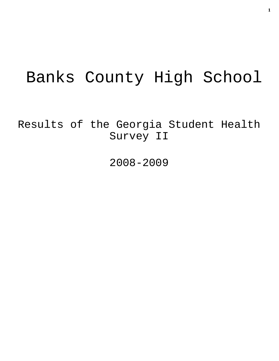# Banks County High School

Results of the Georgia Student Health Survey II

2008-2009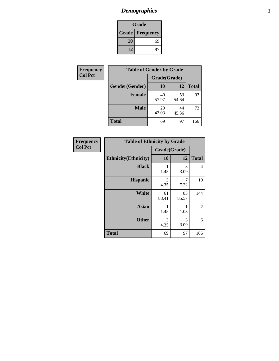# *Demographics* **2**

| Grade                    |    |  |  |
|--------------------------|----|--|--|
| <b>Grade   Frequency</b> |    |  |  |
| 10                       | 69 |  |  |
| 12                       | 97 |  |  |

| <b>Frequency</b> | <b>Table of Gender by Grade</b> |              |             |              |
|------------------|---------------------------------|--------------|-------------|--------------|
| <b>Col Pct</b>   |                                 | Grade(Grade) |             |              |
|                  | Gender(Gender)                  | 10           | 12          | <b>Total</b> |
|                  | <b>Female</b>                   | 40<br>57.97  | 53<br>54.64 | 93           |
|                  | <b>Male</b>                     | 29<br>42.03  | 44<br>45.36 | 73           |
|                  | <b>Total</b>                    | 69           | 97          | 166          |

| Frequency      |
|----------------|
| <b>Col Pct</b> |

| <b>Table of Ethnicity by Grade</b> |              |             |              |  |  |
|------------------------------------|--------------|-------------|--------------|--|--|
|                                    | Grade(Grade) |             |              |  |  |
| <b>Ethnicity</b> (Ethnicity)       | 10           | 12          | <b>Total</b> |  |  |
| <b>Black</b>                       | 1.45         | 3<br>3.09   | 4            |  |  |
| <b>Hispanic</b>                    | 3<br>4.35    | 7<br>7.22   | 10           |  |  |
| <b>White</b>                       | 61<br>88.41  | 83<br>85.57 | 144          |  |  |
| <b>Asian</b>                       | 1<br>1.45    | 1<br>1.03   | 2            |  |  |
| <b>Other</b>                       | 3<br>4.35    | 3<br>3.09   | 6            |  |  |
| <b>Total</b>                       | 69           | 97          | 166          |  |  |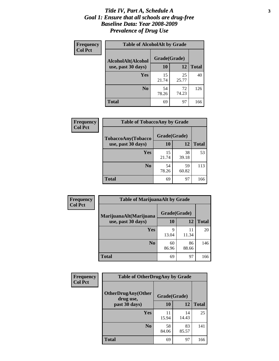#### *Title IV, Part A, Schedule A* **3** *Goal 1: Ensure that all schools are drug-free Baseline Data: Year 2008-2009 Prevalence of Drug Use*

| Frequency<br><b>Col Pct</b> | <b>Table of AlcoholAlt by Grade</b> |              |             |              |  |
|-----------------------------|-------------------------------------|--------------|-------------|--------------|--|
|                             | AlcoholAlt(Alcohol                  | Grade(Grade) |             |              |  |
|                             | use, past 30 days)                  | 10           | 12          | <b>Total</b> |  |
|                             | Yes                                 | 15<br>21.74  | 25<br>25.77 | 40           |  |
|                             | N <sub>0</sub>                      | 54<br>78.26  | 72<br>74.23 | 126          |  |
|                             | <b>Total</b>                        | 69           | 97          | 166          |  |

| Frequency      | <b>Table of TobaccoAny by Grade</b> |              |             |              |  |
|----------------|-------------------------------------|--------------|-------------|--------------|--|
| <b>Col Pct</b> | <b>TobaccoAny(Tobacco</b>           | Grade(Grade) |             |              |  |
|                | use, past 30 days)                  | 10           | 12          | <b>Total</b> |  |
|                | Yes                                 | 15<br>21.74  | 38<br>39.18 | 53           |  |
|                | N <sub>0</sub>                      | 54<br>78.26  | 59<br>60.82 | 113          |  |
|                | Total                               | 69           | 97          | 166          |  |

| Frequency      | <b>Table of MarijuanaAlt by Grade</b> |              |             |              |  |
|----------------|---------------------------------------|--------------|-------------|--------------|--|
| <b>Col Pct</b> | MarijuanaAlt(Marijuana                | Grade(Grade) |             |              |  |
|                | use, past 30 days)                    | 10           | 12          | <b>Total</b> |  |
|                | Yes                                   | 9<br>13.04   | 11<br>11.34 | 20           |  |
|                | N <sub>0</sub>                        | 60<br>86.96  | 86<br>88.66 | 146          |  |
|                | <b>Total</b>                          | 69           | 97          | 166          |  |

| Frequency      | <b>Table of OtherDrugAny by Grade</b>  |              |             |              |  |
|----------------|----------------------------------------|--------------|-------------|--------------|--|
| <b>Col Pct</b> | <b>OtherDrugAny(Other</b><br>drug use, | Grade(Grade) |             |              |  |
|                | past 30 days)                          | 10           | 12          | <b>Total</b> |  |
|                | Yes                                    | 11<br>15.94  | 14<br>14.43 | 25           |  |
|                | N <sub>0</sub>                         | 58<br>84.06  | 83<br>85.57 | 141          |  |
|                | <b>Total</b>                           | 69           | 97          | 166          |  |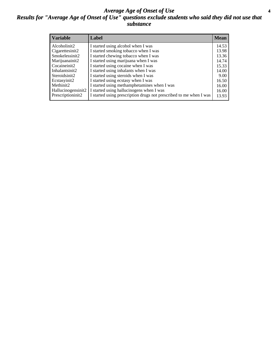#### *Average Age of Onset of Use* **4** *Results for "Average Age of Onset of Use" questions exclude students who said they did not use that substance*

| <b>Variable</b>    | Label                                                              | <b>Mean</b> |
|--------------------|--------------------------------------------------------------------|-------------|
| Alcoholinit2       | I started using alcohol when I was                                 | 14.53       |
| Cigarettesinit2    | I started smoking tobacco when I was                               | 13.98       |
| Smokelessinit2     | I started chewing tobacco when I was                               | 13.36       |
| Marijuanainit2     | I started using marijuana when I was                               | 14.74       |
| Cocaineinit2       | I started using cocaine when I was                                 | 15.33       |
| Inhalantsinit2     | I started using inhalants when I was                               | 14.00       |
| Steroidsinit2      | I started using steroids when I was                                | 9.00        |
| Ecstasyinit2       | I started using ecstasy when I was                                 | 16.50       |
| Methinit2          | I started using methamphetamines when I was                        | 16.00       |
| Hallucinogensinit2 | I started using hallucinogens when I was                           | 16.00       |
| Prescriptioninit2  | I started using prescription drugs not prescribed to me when I was | 13.93       |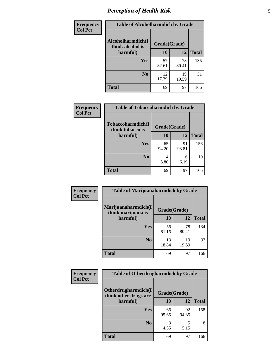# *Perception of Health Risk* **5**

| Frequency      | <b>Table of Alcoholharmdich by Grade</b> |              |             |              |
|----------------|------------------------------------------|--------------|-------------|--------------|
| <b>Col Pct</b> | Alcoholharmdich(I<br>think alcohol is    | Grade(Grade) |             |              |
|                | harmful)                                 | 10           | 12          | <b>Total</b> |
|                | Yes                                      | 57<br>82.61  | 78<br>80.41 | 135          |
|                | N <sub>0</sub>                           | 12<br>17.39  | 19<br>19.59 | 31           |
|                | <b>Total</b>                             | 69           | 97          | 166          |

| Frequency      | <b>Table of Tobaccoharmdich by Grade</b>          |              |             |              |
|----------------|---------------------------------------------------|--------------|-------------|--------------|
| <b>Col Pct</b> | Tobaccoharmdich(I<br>think tobacco is<br>harmful) | Grade(Grade) |             |              |
|                |                                                   | 10           | 12          | <b>Total</b> |
|                | Yes                                               | 65<br>94.20  | 91<br>93.81 | 156          |
|                | N <sub>0</sub>                                    | 4<br>5.80    | 6<br>6.19   | 10           |
|                | <b>Total</b>                                      | 69           | 97          | 166          |

| Frequency      | <b>Table of Marijuanaharmdich by Grade</b> |              |             |              |  |
|----------------|--------------------------------------------|--------------|-------------|--------------|--|
| <b>Col Pct</b> | Marijuanaharmdich(I<br>think marijuana is  | Grade(Grade) |             |              |  |
|                | harmful)                                   | 10           | 12          | <b>Total</b> |  |
|                | <b>Yes</b>                                 | 56<br>81.16  | 78<br>80.41 | 134          |  |
|                | N <sub>0</sub>                             | 13<br>18.84  | 19<br>19.59 | 32           |  |
|                | <b>Total</b>                               | 69           | 97          | 166          |  |

| Frequency      | <b>Table of Otherdrugharmdich by Grade</b>   |             |              |              |  |  |  |  |
|----------------|----------------------------------------------|-------------|--------------|--------------|--|--|--|--|
| <b>Col Pct</b> | Otherdrugharmdich(I<br>think other drugs are |             | Grade(Grade) |              |  |  |  |  |
|                | harmful)                                     | <b>10</b>   | 12           | <b>Total</b> |  |  |  |  |
|                | <b>Yes</b>                                   | 66<br>95.65 | 92<br>94.85  | 158          |  |  |  |  |
|                | N <sub>0</sub>                               | 4.35        | 5<br>5.15    | 8            |  |  |  |  |
|                | <b>Total</b>                                 | 69          | 97           | 166          |  |  |  |  |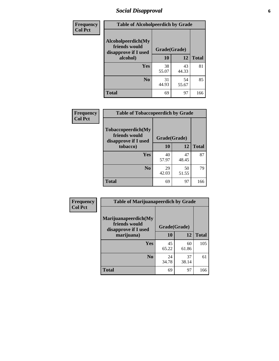# *Social Disapproval* **6**

| Frequency      | <b>Table of Alcoholpeerdich by Grade</b>                    |              |             |              |
|----------------|-------------------------------------------------------------|--------------|-------------|--------------|
| <b>Col Pct</b> | Alcoholpeerdich(My<br>friends would<br>disapprove if I used | Grade(Grade) |             |              |
|                | alcohol)                                                    | 10           | 12          | <b>Total</b> |
|                | <b>Yes</b>                                                  | 38<br>55.07  | 43<br>44.33 | 81           |
|                | N <sub>0</sub>                                              | 31<br>44.93  | 54<br>55.67 | 85           |
|                | <b>Total</b>                                                | 69           | 97          | 166          |

| <b>Frequency</b> |
|------------------|
| <b>Col Pct</b>   |

| <b>Table of Tobaccopeerdich by Grade</b>                    |              |             |              |  |  |  |  |
|-------------------------------------------------------------|--------------|-------------|--------------|--|--|--|--|
| Tobaccopeerdich(My<br>friends would<br>disapprove if I used | Grade(Grade) |             |              |  |  |  |  |
| tobacco)                                                    | 10           | 12          | <b>Total</b> |  |  |  |  |
| Yes                                                         | 40<br>57.97  | 47<br>48.45 | 87           |  |  |  |  |
| N <sub>0</sub>                                              | 29<br>42.03  | 50<br>51.55 | 79           |  |  |  |  |
| <b>Total</b>                                                | 69           | 97          | 166          |  |  |  |  |

| Frequency      | <b>Table of Marijuanapeerdich by Grade</b>                    |              |             |              |  |  |  |  |
|----------------|---------------------------------------------------------------|--------------|-------------|--------------|--|--|--|--|
| <b>Col Pct</b> | Marijuanapeerdich(My<br>friends would<br>disapprove if I used | Grade(Grade) |             |              |  |  |  |  |
|                | marijuana)                                                    | 10           | 12          | <b>Total</b> |  |  |  |  |
|                | <b>Yes</b>                                                    | 45<br>65.22  | 60<br>61.86 | 105          |  |  |  |  |
|                | N <sub>0</sub>                                                | 24<br>34.78  | 37<br>38.14 | 61           |  |  |  |  |
|                | <b>Total</b>                                                  | 69           | 97          | 166          |  |  |  |  |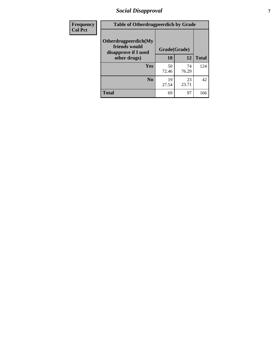# *Social Disapproval* **7**

| Frequency      | <b>Table of Otherdrugpeerdich by Grade</b>                    |              |             |              |  |  |  |  |
|----------------|---------------------------------------------------------------|--------------|-------------|--------------|--|--|--|--|
| <b>Col Pct</b> | Otherdrugpeerdich(My<br>friends would<br>disapprove if I used | Grade(Grade) |             |              |  |  |  |  |
|                | other drugs)                                                  | 10           | 12          | <b>Total</b> |  |  |  |  |
|                | <b>Yes</b>                                                    | 50<br>72.46  | 74<br>76.29 | 124          |  |  |  |  |
|                | N <sub>0</sub>                                                | 19<br>27.54  | 23<br>23.71 | 42           |  |  |  |  |
|                | <b>Total</b>                                                  | 69           | 97          | 166          |  |  |  |  |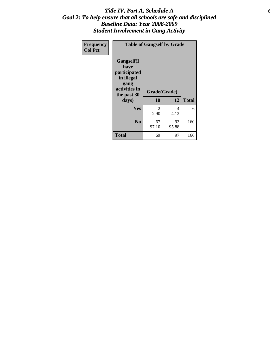#### Title IV, Part A, Schedule A **8** *Goal 2: To help ensure that all schools are safe and disciplined Baseline Data: Year 2008-2009 Student Involvement in Gang Activity*

| Frequency      | <b>Table of Gangself by Grade</b>                                                                 |                    |             |              |
|----------------|---------------------------------------------------------------------------------------------------|--------------------|-------------|--------------|
| <b>Col Pct</b> | Gangself(I<br>have<br>participated<br>in illegal<br>gang<br>activities in<br>the past 30<br>days) | Grade(Grade)<br>10 | 12          | <b>Total</b> |
|                | Yes                                                                                               | 2<br>2.90          | 4<br>4.12   | 6            |
|                | N <sub>0</sub>                                                                                    | 67<br>97.10        | 93<br>95.88 | 160          |
|                | <b>Total</b>                                                                                      | 69                 | 97          | 166          |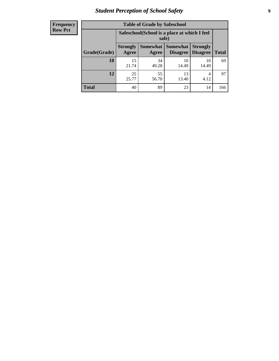# *Student Perception of School Safety* **9**

| <b>Frequency</b><br>Row Pct |
|-----------------------------|
|                             |

| <b>Table of Grade by Safeschool</b> |                                                                                                                   |             |             |             |     |  |  |
|-------------------------------------|-------------------------------------------------------------------------------------------------------------------|-------------|-------------|-------------|-----|--|--|
|                                     | Safeschool (School is a place at which I feel<br>safe)                                                            |             |             |             |     |  |  |
| Grade(Grade)                        | <b>Somewhat   Somewhat</b><br><b>Strongly</b><br><b>Strongly</b><br><b>Disagree</b><br>Agree<br>Disagree<br>Agree |             |             |             |     |  |  |
| 10                                  | 15<br>21.74                                                                                                       | 34<br>49.28 | 10<br>14.49 | 10<br>14.49 | 69  |  |  |
| 12                                  | 25<br>25.77                                                                                                       | 55<br>56.70 | 13<br>13.40 | 4<br>4.12   | 97  |  |  |
| <b>Total</b>                        | 40                                                                                                                | 89          | 23          | 14          | 166 |  |  |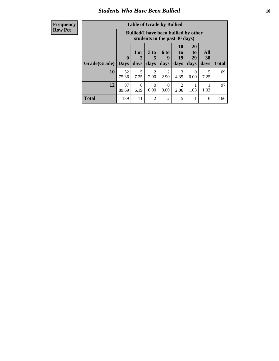#### *Students Who Have Been Bullied* **10**

| <b>Frequency</b> |
|------------------|
| Row Pct          |

| <b>Table of Grade by Bullied</b> |                         |                                                                               |                              |                          |                                     |                               |                   |              |
|----------------------------------|-------------------------|-------------------------------------------------------------------------------|------------------------------|--------------------------|-------------------------------------|-------------------------------|-------------------|--------------|
|                                  |                         | <b>Bullied</b> (I have been bullied by other<br>students in the past 30 days) |                              |                          |                                     |                               |                   |              |
| Grade(Grade)                     | $\bf{0}$<br><b>Days</b> | 1 or<br>2<br>days                                                             | 3 <sub>to</sub><br>5<br>days | <b>6 to</b><br>9<br>days | <b>10</b><br>to<br>19<br>days       | <b>20</b><br>to<br>29<br>days | All<br>30<br>days | <b>Total</b> |
| 10                               | 52<br>75.36             | 5<br>7.25                                                                     | 2<br>2.90                    | 2<br>2.90                | 3<br>4.35                           | $\theta$<br>0.00              | 5<br>7.25         | 69           |
| 12                               | 87<br>89.69             | 6<br>6.19                                                                     | 0<br>0.00                    | 0<br>0.00                | $\mathcal{D}_{\mathcal{L}}$<br>2.06 | 1.03                          | 1.03              | 97           |
| <b>Total</b>                     | 139                     | 11                                                                            | $\overline{2}$               | $\overline{2}$           | 5                                   |                               | 6                 | 166          |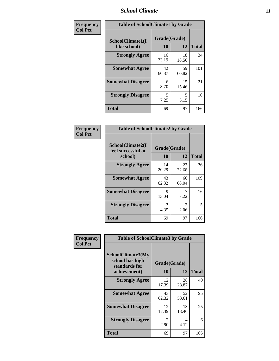### *School Climate* **11**

| Frequency      | <b>Table of SchoolClimate1 by Grade</b> |                    |             |              |  |  |  |
|----------------|-----------------------------------------|--------------------|-------------|--------------|--|--|--|
| <b>Col Pct</b> | SchoolClimate1(I<br>like school)        | Grade(Grade)<br>10 | 12          | <b>Total</b> |  |  |  |
|                | <b>Strongly Agree</b>                   | 16<br>23.19        | 18<br>18.56 | 34           |  |  |  |
|                | <b>Somewhat Agree</b>                   | 42<br>60.87        | 59<br>60.82 | 101          |  |  |  |
|                | <b>Somewhat Disagree</b>                | 6<br>8.70          | 15<br>15.46 | 21           |  |  |  |
|                | <b>Strongly Disagree</b>                | 5<br>7.25          | 5<br>5.15   | 10           |  |  |  |
|                | <b>Total</b>                            | 69                 | 97          | 166          |  |  |  |

| Frequency      | <b>Table of SchoolClimate2 by Grade</b>           |                    |                        |              |
|----------------|---------------------------------------------------|--------------------|------------------------|--------------|
| <b>Col Pct</b> | SchoolClimate2(I<br>feel successful at<br>school) | Grade(Grade)<br>10 | 12                     | <b>Total</b> |
|                | <b>Strongly Agree</b>                             | 14<br>20.29        | 22<br>22.68            | 36           |
|                | <b>Somewhat Agree</b>                             | 43<br>62.32        | 66<br>68.04            | 109          |
|                | <b>Somewhat Disagree</b>                          | 9<br>13.04         | 7<br>7.22              | 16           |
|                | <b>Strongly Disagree</b>                          | 3<br>4.35          | $\mathfrak{D}$<br>2.06 | 5            |
|                | <b>Total</b>                                      | 69                 | 97                     | 166          |

| Frequency      |                                                       | <b>Table of SchoolClimate3 by Grade</b> |             |              |  |
|----------------|-------------------------------------------------------|-----------------------------------------|-------------|--------------|--|
| <b>Col Pct</b> | SchoolClimate3(My<br>school has high<br>standards for | Grade(Grade)                            |             |              |  |
|                | achievement)                                          | 10                                      | 12          | <b>Total</b> |  |
|                | <b>Strongly Agree</b>                                 | 12<br>17.39                             | 28<br>28.87 | 40           |  |
|                | <b>Somewhat Agree</b>                                 | 43<br>62.32                             | 52<br>53.61 | 95           |  |
|                | <b>Somewhat Disagree</b>                              | 12<br>17.39                             | 13<br>13.40 | 25           |  |
|                | <b>Strongly Disagree</b>                              | 2<br>2.90                               | 4<br>4.12   | 6            |  |
|                | Total                                                 | 69                                      | 97          | 166          |  |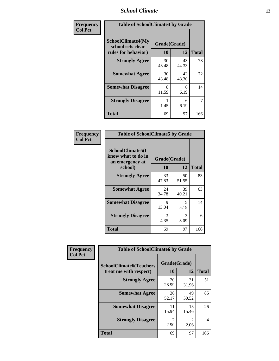### *School Climate* **12**

| Frequency      | <b>Table of SchoolClimate4 by Grade</b>                              |                    |             |              |
|----------------|----------------------------------------------------------------------|--------------------|-------------|--------------|
| <b>Col Pct</b> | <b>SchoolClimate4(My</b><br>school sets clear<br>rules for behavior) | Grade(Grade)<br>10 | 12          | <b>Total</b> |
|                | <b>Strongly Agree</b>                                                | 30<br>43.48        | 43<br>44.33 | 73           |
|                | <b>Somewhat Agree</b>                                                | 30<br>43.48        | 42<br>43.30 | 72           |
|                | <b>Somewhat Disagree</b>                                             | 8<br>11.59         | 6<br>6.19   | 14           |
|                | <b>Strongly Disagree</b>                                             | 1.45               | 6<br>6.19   | 7            |
|                | <b>Total</b>                                                         | 69                 | 97          | 166          |

| <b>Table of SchoolClimate5 by Grade</b>                   |              |             |              |  |  |
|-----------------------------------------------------------|--------------|-------------|--------------|--|--|
| SchoolClimate5(I<br>know what to do in<br>an emergency at | Grade(Grade) |             |              |  |  |
| school)                                                   | 10           | 12          | <b>Total</b> |  |  |
| <b>Strongly Agree</b>                                     | 33<br>47.83  | 50<br>51.55 | 83           |  |  |
| <b>Somewhat Agree</b>                                     | 24<br>34.78  | 39<br>40.21 | 63           |  |  |
| <b>Somewhat Disagree</b>                                  | 9<br>13.04   | 5<br>5.15   | 14           |  |  |
| <b>Strongly Disagree</b>                                  | 3<br>4.35    | 3<br>3.09   | 6            |  |  |
| <b>Total</b>                                              | 69           | 97          | 166          |  |  |

| <b>Frequency</b> | <b>Table of SchoolClimate6 by Grade</b>                  |                        |                        |                |  |
|------------------|----------------------------------------------------------|------------------------|------------------------|----------------|--|
| <b>Col Pct</b>   | <b>SchoolClimate6(Teachers</b><br>treat me with respect) | Grade(Grade)<br>10     | 12                     | <b>Total</b>   |  |
|                  | <b>Strongly Agree</b>                                    | 20<br>28.99            | 31<br>31.96            | 51             |  |
|                  | <b>Somewhat Agree</b>                                    | 36<br>52.17            | 49<br>50.52            | 85             |  |
|                  | <b>Somewhat Disagree</b>                                 | 11<br>15.94            | 15<br>15.46            | 26             |  |
|                  | <b>Strongly Disagree</b>                                 | $\mathfrak{D}$<br>2.90 | $\mathfrak{D}$<br>2.06 | $\overline{4}$ |  |
|                  | <b>Total</b>                                             | 69                     | 97                     | 166            |  |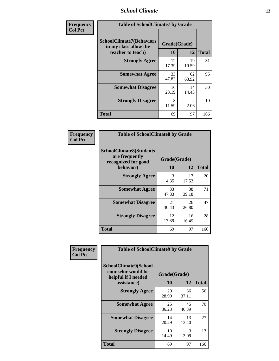### *School Climate* **13**

| Frequency      | <b>Table of SchoolClimate7 by Grade</b>                                       |                           |                        |              |
|----------------|-------------------------------------------------------------------------------|---------------------------|------------------------|--------------|
| <b>Col Pct</b> | <b>SchoolClimate7(Behaviors</b><br>in my class allow the<br>teacher to teach) | Grade(Grade)<br><b>10</b> | 12                     | <b>Total</b> |
|                | <b>Strongly Agree</b>                                                         | 12<br>17.39               | 19<br>19.59            | 31           |
|                | <b>Somewhat Agree</b>                                                         | 33<br>47.83               | 62<br>63.92            | 95           |
|                | <b>Somewhat Disagree</b>                                                      | 16<br>23.19               | 14<br>14.43            | 30           |
|                | <b>Strongly Disagree</b>                                                      | 8<br>11.59                | $\mathfrak{D}$<br>2.06 | 10           |
|                | <b>Total</b>                                                                  | 69                        | 97                     | 166          |

| Frequency      | <b>Table of SchoolClimate8 by Grade</b>                                              |                    |             |              |
|----------------|--------------------------------------------------------------------------------------|--------------------|-------------|--------------|
| <b>Col Pct</b> | <b>SchoolClimate8(Students</b><br>are frequently<br>recognized for good<br>behavior) | Grade(Grade)<br>10 | 12          | <b>Total</b> |
|                | <b>Strongly Agree</b>                                                                | 3<br>4.35          | 17<br>17.53 | 20           |
|                | <b>Somewhat Agree</b>                                                                | 33<br>47.83        | 38<br>39.18 | 71           |
|                | <b>Somewhat Disagree</b>                                                             | 21<br>30.43        | 26<br>26.80 | 47           |
|                | <b>Strongly Disagree</b>                                                             | 12<br>17.39        | 16<br>16.49 | 28           |
|                | <b>Total</b>                                                                         | 69                 | 97          | 166          |

| Frequency      | <b>Table of SchoolClimate9 by Grade</b>                                           |                    |             |              |
|----------------|-----------------------------------------------------------------------------------|--------------------|-------------|--------------|
| <b>Col Pct</b> | SchoolClimate9(School<br>counselor would be<br>helpful if I needed<br>assistance) | Grade(Grade)<br>10 | 12          | <b>Total</b> |
|                | <b>Strongly Agree</b>                                                             | 20<br>28.99        | 36<br>37.11 | 56           |
|                | <b>Somewhat Agree</b>                                                             | 25<br>36.23        | 45<br>46.39 | 70           |
|                | <b>Somewhat Disagree</b>                                                          | 14<br>20.29        | 13<br>13.40 | 27           |
|                | <b>Strongly Disagree</b>                                                          | 10<br>14.49        | 3<br>3.09   | 13           |
|                | Total                                                                             | 69                 | 97          | 166          |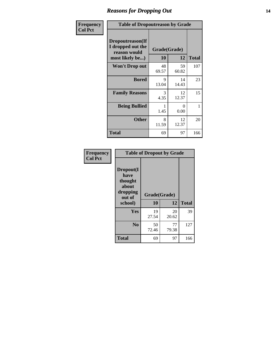### *Reasons for Dropping Out* **14**

| Frequency      | <b>Table of Dropoutreason by Grade</b>                                   |             |                    |              |
|----------------|--------------------------------------------------------------------------|-------------|--------------------|--------------|
| <b>Col Pct</b> | Dropoutreason(If<br>I dropped out the<br>reason would<br>most likely be) | 10          | Grade(Grade)<br>12 | <b>Total</b> |
|                | <b>Won't Drop out</b>                                                    | 48<br>69.57 | 59<br>60.82        | 107          |
|                | <b>Bored</b>                                                             | 9<br>13.04  | 14<br>14.43        | 23           |
|                | <b>Family Reasons</b>                                                    | 3<br>4.35   | 12<br>12.37        | 15           |
|                | <b>Being Bullied</b>                                                     | 1.45        | $\Omega$<br>0.00   | 1            |
|                | <b>Other</b>                                                             | 8<br>11.59  | 12<br>12.37        | 20           |
|                | Total                                                                    | 69          | 97                 | 166          |

| Frequency      | <b>Table of Dropout by Grade</b>                                       |                    |              |     |  |
|----------------|------------------------------------------------------------------------|--------------------|--------------|-----|--|
| <b>Col Pct</b> | Dropout(I<br>have<br>thought<br>about<br>dropping<br>out of<br>school) | Grade(Grade)<br>10 | <b>Total</b> |     |  |
|                | Yes                                                                    | 19<br>27.54        | 20<br>20.62  | 39  |  |
|                | N <sub>0</sub>                                                         | 50<br>72.46        | 77<br>79.38  | 127 |  |
|                | <b>Total</b>                                                           | 69                 | 97           | 166 |  |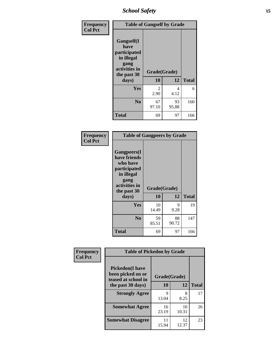*School Safety* **15**

| Frequency      | <b>Table of Gangself by Grade</b>                                                                 |                          |             |              |
|----------------|---------------------------------------------------------------------------------------------------|--------------------------|-------------|--------------|
| <b>Col Pct</b> | Gangself(I<br>have<br>participated<br>in illegal<br>gang<br>activities in<br>the past 30<br>days) | Grade(Grade)<br>10<br>12 |             | <b>Total</b> |
|                | Yes                                                                                               | $\mathcal{L}$<br>2.90    | 4<br>4.12   | 6            |
|                | N <sub>0</sub>                                                                                    | 67<br>97.10              | 93<br>95.88 | 160          |
|                | <b>Total</b>                                                                                      | 69                       | 97          | 166          |

| Frequency<br><b>Col Pct</b> | <b>Table of Gangpeers by Grade</b>                                                                                     |                    |             |              |
|-----------------------------|------------------------------------------------------------------------------------------------------------------------|--------------------|-------------|--------------|
|                             | Gangpeers(I<br>have friends<br>who have<br>participated<br>in illegal<br>gang<br>activities in<br>the past 30<br>days) | Grade(Grade)<br>10 | 12          | <b>Total</b> |
|                             | Yes                                                                                                                    | 10<br>14.49        | 9<br>9.28   | 19           |
|                             | N <sub>0</sub>                                                                                                         | 59<br>85.51        | 88<br>90.72 | 147          |
|                             | <b>Total</b>                                                                                                           | 69                 | 97          | 166          |

| Frequency      | <b>Table of Pickedon by Grade</b>                                  |              |             |              |
|----------------|--------------------------------------------------------------------|--------------|-------------|--------------|
| <b>Col Pct</b> | <b>Pickedon(I have</b><br>been picked on or<br>teased at school in | Grade(Grade) |             |              |
|                | the past 30 days)                                                  | 10           | 12          | <b>Total</b> |
|                | <b>Strongly Agree</b>                                              | Q<br>13.04   | 8<br>8.25   | 17           |
|                | <b>Somewhat Agree</b>                                              | 16<br>23.19  | 10<br>10.31 | 26           |
|                | <b>Somewhat Disagree</b>                                           | 11<br>15.94  | 12<br>12.37 | 23           |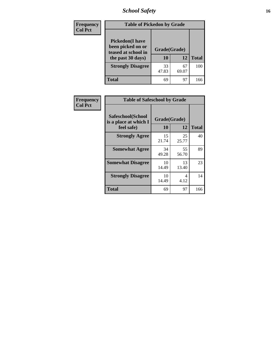*School Safety* **16**

| <b>Frequency</b> | <b>Table of Pickedon by Grade</b>                                                        |                    |             |              |  |  |  |  |  |  |
|------------------|------------------------------------------------------------------------------------------|--------------------|-------------|--------------|--|--|--|--|--|--|
| <b>Col Pct</b>   | <b>Pickedon</b> (I have<br>been picked on or<br>teased at school in<br>the past 30 days) | Grade(Grade)<br>10 | 12          | <b>Total</b> |  |  |  |  |  |  |
|                  | <b>Strongly Disagree</b>                                                                 | 33<br>47.83        | 67<br>69.07 | 100          |  |  |  |  |  |  |
|                  | <b>Total</b>                                                                             | 69                 | 97          | 166          |  |  |  |  |  |  |

| <b>Frequency</b> | <b>Table of Safeschool by Grade</b>        |              |             |              |  |  |  |  |  |  |
|------------------|--------------------------------------------|--------------|-------------|--------------|--|--|--|--|--|--|
| <b>Col Pct</b>   | Safeschool(School<br>is a place at which I | Grade(Grade) |             |              |  |  |  |  |  |  |
|                  | feel safe)                                 | 10           | 12          | <b>Total</b> |  |  |  |  |  |  |
|                  | <b>Strongly Agree</b>                      | 15<br>21.74  | 25<br>25.77 | 40           |  |  |  |  |  |  |
|                  | <b>Somewhat Agree</b>                      | 34<br>49.28  | 55<br>56.70 | 89           |  |  |  |  |  |  |
|                  | <b>Somewhat Disagree</b>                   | 10<br>14.49  | 13<br>13.40 | 23           |  |  |  |  |  |  |
|                  | <b>Strongly Disagree</b>                   | 10<br>14.49  | 4<br>4.12   | 14           |  |  |  |  |  |  |
|                  | <b>Total</b>                               | 69           | 97          | 166          |  |  |  |  |  |  |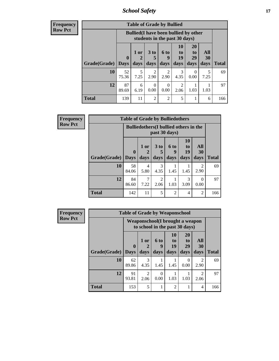*School Safety* **17**

| Frequency      |
|----------------|
| <b>Row Pct</b> |

| V | <b>Table of Grade by Bullied</b> |                             |                                                                               |                         |                          |                               |                               |                          |              |  |
|---|----------------------------------|-----------------------------|-------------------------------------------------------------------------------|-------------------------|--------------------------|-------------------------------|-------------------------------|--------------------------|--------------|--|
|   |                                  |                             | <b>Bullied</b> (I have been bullied by other<br>students in the past 30 days) |                         |                          |                               |                               |                          |              |  |
|   | Grade(Grade)                     | $\mathbf{0}$<br><b>Days</b> | 1 or<br>2<br>days                                                             | 3 <sub>to</sub><br>days | <b>6 to</b><br>9<br>days | <b>10</b><br>to<br>19<br>days | <b>20</b><br>to<br>29<br>days | All<br><b>30</b><br>days | <b>Total</b> |  |
|   | 10                               | 52<br>75.36                 | 5<br>7.25                                                                     | $\overline{c}$<br>2.90  | $\overline{2}$<br>2.90   | 3<br>4.35                     | $\theta$<br>0.00              | 5<br>7.25                | 69           |  |
|   | 12                               | 87<br>89.69                 | 6<br>6.19                                                                     | 0<br>0.00               | 0<br>0.00                | 2<br>2.06                     | 1.03                          | 1.03                     | 97           |  |
|   | <b>Total</b>                     | 139                         | 11                                                                            | $\overline{2}$          | 2                        | 5                             |                               | 6                        | 166          |  |

| Frequency      | <b>Table of Grade by Bulliedothers</b> |             |                                               |                        |                |                       |                |              |  |  |
|----------------|----------------------------------------|-------------|-----------------------------------------------|------------------------|----------------|-----------------------|----------------|--------------|--|--|
| <b>Row Pct</b> |                                        |             | <b>Bulliedothers</b> (I bullied others in the |                        | past 30 days)  |                       |                |              |  |  |
|                |                                        | $\bf{0}$    | 1 or                                          | 3 <sub>to</sub>        | 6 to<br>9      | <b>10</b><br>to<br>19 | All<br>30      |              |  |  |
|                | Grade(Grade)   Days                    |             | days                                          | days                   | days           | days                  | days           | <b>Total</b> |  |  |
|                | 10                                     | 58<br>84.06 | 4<br>5.80                                     | 3<br>4.35              | 1.45           | 1.45                  | 2<br>2.90      | 69           |  |  |
|                | 12                                     | 84<br>86.60 | 7.22                                          | $\mathfrak{D}$<br>2.06 | 1.03           | 3<br>3.09             | 0<br>0.00      | 97           |  |  |
|                | <b>Total</b>                           | 142         | 11                                            | 5                      | $\overline{2}$ | 4                     | $\overline{2}$ | 166          |  |  |

| <b>Frequency</b> | <b>Table of Grade by Weaponschool</b> |             |                                     |                  |                                 |                                                                   |                        |              |  |  |
|------------------|---------------------------------------|-------------|-------------------------------------|------------------|---------------------------------|-------------------------------------------------------------------|------------------------|--------------|--|--|
| <b>Row Pct</b>   |                                       |             |                                     |                  |                                 | Weaponschool(I brought a weapon<br>to school in the past 30 days) |                        |              |  |  |
|                  |                                       | $\bf{0}$    | 1 or                                | 6 to<br>9        | <b>10</b><br>$\mathbf{t}$<br>19 | <b>20</b><br>t <sub>0</sub><br>29                                 | All<br>30              |              |  |  |
|                  | Grade(Grade)                          | <b>Days</b> | days                                | days             | days                            | days                                                              | days                   | <b>Total</b> |  |  |
|                  | 10                                    | 62<br>89.86 | 3<br>4.35                           | 1.45             | 1.45                            | 0<br>0.00                                                         | $\overline{2}$<br>2.90 | 69           |  |  |
|                  | 12                                    | 91<br>93.81 | $\mathcal{D}_{\mathcal{L}}$<br>2.06 | $\Omega$<br>0.00 | 1.03                            | 1.03                                                              | $\mathfrak{D}$<br>2.06 | 97           |  |  |
|                  | <b>Total</b>                          | 153         | 5                                   |                  | $\overline{2}$                  | 1                                                                 | 4                      | 166          |  |  |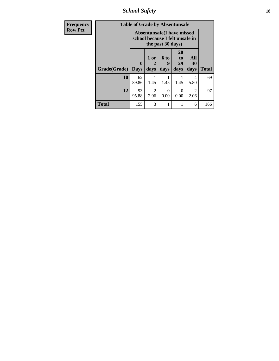*School Safety* **18**

| <b>Frequency</b> |              | <b>Table of Grade by Absentunsafe</b>                                |                        |                   |                        |                        |              |
|------------------|--------------|----------------------------------------------------------------------|------------------------|-------------------|------------------------|------------------------|--------------|
| <b>Row Pct</b>   |              | <b>Absentunsafe(I have missed</b><br>school because I felt unsafe in |                        |                   |                        |                        |              |
|                  | Grade(Grade) | $\bf{0}$<br><b>Days</b>                                              | 1 or<br>2<br>days      | 6 to<br>9<br>days | 20<br>to<br>29<br>days | All<br>30<br>days      | <b>Total</b> |
|                  | 10           | 62<br>89.86                                                          | 1.45                   | 1.45              | 1.45                   | 4<br>5.80              | 69           |
|                  | 12           | 93<br>95.88                                                          | $\overline{2}$<br>2.06 | ∩<br>0.00         | ∩<br>0.00              | $\mathfrak{D}$<br>2.06 | 97           |
|                  | <b>Total</b> | 155                                                                  | 3                      |                   |                        | 6                      | 166          |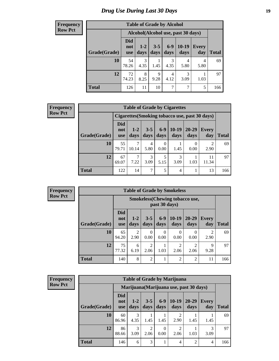# *Drug Use During Last 30 Days* **19**

#### **Frequency Row Pct**

| <b>Table of Grade by Alcohol</b> |                          |                                                                                      |           |                       |           |           |     |  |  |  |  |
|----------------------------------|--------------------------|--------------------------------------------------------------------------------------|-----------|-----------------------|-----------|-----------|-----|--|--|--|--|
|                                  |                          | Alcohol(Alcohol use, past 30 days)                                                   |           |                       |           |           |     |  |  |  |  |
| Grade(Grade)                     | Did<br>not<br><b>use</b> | $6-9$<br>$10-19$<br>$3 - 5$<br>$1-2$<br>Every<br>days<br>days<br>days<br>day<br>days |           |                       |           |           |     |  |  |  |  |
| 10                               | 54<br>78.26              | 3<br>4.35                                                                            | 1.45      | $\mathcal{R}$<br>4.35 | 4<br>5.80 | 4<br>5.80 | 69  |  |  |  |  |
| 12                               | 72<br>74.23              | 8<br>8.25                                                                            | 9<br>9.28 | 4<br>4.12             | 3<br>3.09 | 1.03      | 97  |  |  |  |  |
| <b>Total</b>                     | 126                      | 11                                                                                   | 10        |                       | 7         | 5         | 166 |  |  |  |  |

| <b>Frequency</b> |  |
|------------------|--|
| <b>Row Pct</b>   |  |

| <b>Table of Grade by Cigarettes</b> |                                                                                                                                            |            |           |                  |           |                                                |                                     |     |  |  |
|-------------------------------------|--------------------------------------------------------------------------------------------------------------------------------------------|------------|-----------|------------------|-----------|------------------------------------------------|-------------------------------------|-----|--|--|
|                                     |                                                                                                                                            |            |           |                  |           | Cigarettes (Smoking tobacco use, past 30 days) |                                     |     |  |  |
| Grade(Grade)                        | Did<br>$6 - 9$<br>$10-19$<br>$3 - 5$<br>20-29<br>$1-2$<br><b>Every</b><br>not<br>days<br>days<br>days<br>days<br>days<br>day<br><b>use</b> |            |           |                  |           |                                                |                                     |     |  |  |
| 10                                  | 55<br>79.71                                                                                                                                | ┑<br>10.14 | 4<br>5.80 | $\theta$<br>0.00 | 1.45      | 0.00                                           | $\mathcal{D}_{\mathcal{A}}$<br>2.90 | 69  |  |  |
| 12                                  | 67<br>69.07                                                                                                                                | ┑<br>7.22  | 3<br>3.09 | 5<br>5.15        | 3<br>3.09 | 1.03                                           | 11<br>11.34                         | 97  |  |  |
| <b>Total</b>                        | 122                                                                                                                                        | 14         | 7         | 5                | 4         |                                                | 13                                  | 166 |  |  |

**Frequency Row Pct**

| <b>Table of Grade by Smokeless</b> |                                 |                                                         |                        |               |                        |               |                        |       |  |
|------------------------------------|---------------------------------|---------------------------------------------------------|------------------------|---------------|------------------------|---------------|------------------------|-------|--|
|                                    |                                 | <b>Smokeless</b> (Chewing tobacco use,<br>past 30 days) |                        |               |                        |               |                        |       |  |
| Grade(Grade)                       | <b>Did</b><br>not<br><b>use</b> | $1 - 2$<br>days                                         | $3 - 5$<br>days        | $6-9$<br>days | $10-19$<br>days        | 20-29<br>days | <b>Every</b><br>day    | Total |  |
| 10                                 | 65<br>94.20                     | 2<br>2.90                                               | $\Omega$<br>0.00       | 0<br>0.00     | 0<br>0.00              | 0.00          | $\mathfrak{D}$<br>2.90 | 69    |  |
| 12                                 | 75<br>77.32                     | 6<br>6.19                                               | $\overline{c}$<br>2.06 | 1.03          | $\overline{2}$<br>2.06 | 2.06          | 9<br>9.28              | 97    |  |
| <b>Total</b>                       | 140                             | 8                                                       | $\overline{2}$         |               | $\overline{c}$         | 2             |                        | 166   |  |

**Frequency Row Pct**

| <b>Table of Grade by Marijuana</b> |                          |                                         |                        |                  |                 |                   |                     |              |
|------------------------------------|--------------------------|-----------------------------------------|------------------------|------------------|-----------------|-------------------|---------------------|--------------|
|                                    |                          | Marijuana (Marijuana use, past 30 days) |                        |                  |                 |                   |                     |              |
| Grade(Grade)                       | Did<br>not<br><b>use</b> | $1-2$<br>days                           | $3 - 5$<br>days        | $6 - 9$<br>days  | $10-19$<br>days | $20 - 29$<br>days | <b>Every</b><br>day | <b>Total</b> |
| 10                                 | 60<br>86.96              | 3<br>4.35                               | 1.45                   | 1.45             | 2<br>2.90       | 1.45              | 1.45                | 69           |
| 12                                 | 86<br>88.66              | 3<br>3.09                               | $\overline{2}$<br>2.06 | $\Omega$<br>0.00 | 2<br>2.06       | 1.03              | 3<br>3.09           | 97           |
| <b>Total</b>                       | 146                      | 6                                       | 3                      |                  | $\overline{4}$  | $\mathfrak{D}$    | 4                   | 166          |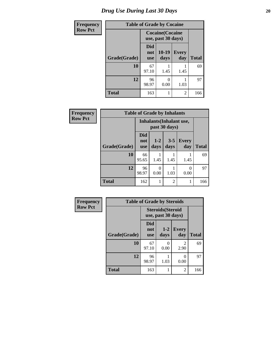# *Drug Use During Last 30 Days* 20

| <b>Frequency</b> | <b>Table of Grade by Cocaine</b> |                          |                                               |                     |              |  |
|------------------|----------------------------------|--------------------------|-----------------------------------------------|---------------------|--------------|--|
| <b>Row Pct</b>   |                                  |                          | <b>Cocaine</b> (Cocaine<br>use, past 30 days) |                     |              |  |
|                  | Grade(Grade)                     | Did<br>not<br><b>use</b> | 10-19<br>days                                 | <b>Every</b><br>day | <b>Total</b> |  |
|                  | 10                               | 67<br>97.10              | 1.45                                          | 1.45                | 69           |  |
|                  | 12                               | 96<br>98.97              | 0<br>0.00                                     | 1.03                | 97           |  |
|                  | <b>Total</b>                     | 163                      |                                               | $\overline{2}$      | 166          |  |

| Frequency      | <b>Table of Grade by Inhalants</b> |                          |                          |                 |                     |              |  |  |
|----------------|------------------------------------|--------------------------|--------------------------|-----------------|---------------------|--------------|--|--|
| <b>Row Pct</b> |                                    |                          | Inhalants (Inhalant use, | past 30 days)   |                     |              |  |  |
|                | Grade(Grade)                       | Did<br>not<br><b>use</b> | $1-2$<br>days            | $3 - 5$<br>days | <b>Every</b><br>day | <b>Total</b> |  |  |
|                | 10                                 | 66<br>95.65              | 1.45                     | 1.45            | 1.45                | 69           |  |  |
|                | 12                                 | 96<br>98.97              | $\theta$<br>0.00         | 1.03            | 0<br>0.00           | 97           |  |  |
|                | <b>Total</b>                       | 162                      | 1                        | 2               |                     | 166          |  |  |

| <b>Frequency</b> |
|------------------|
| <b>Row Pct</b>   |

| <b>Table of Grade by Steroids</b> |                                 |                                                |                                     |     |  |  |  |
|-----------------------------------|---------------------------------|------------------------------------------------|-------------------------------------|-----|--|--|--|
|                                   |                                 | <b>Steroids</b> (Steroid<br>use, past 30 days) |                                     |     |  |  |  |
| Grade(Grade)                      | <b>Did</b><br>not<br><b>use</b> | $1 - 2$<br>days                                | <b>Every</b><br>day                 |     |  |  |  |
| 10                                | 67<br>97.10                     | 0<br>0.00                                      | $\mathcal{D}_{\mathcal{L}}$<br>2.90 | 69  |  |  |  |
| 12                                | 96<br>98.97                     | 1.03                                           | 0.00                                | 97  |  |  |  |
| <b>Total</b>                      | 163                             | 1                                              | $\mathfrak{D}$                      | 166 |  |  |  |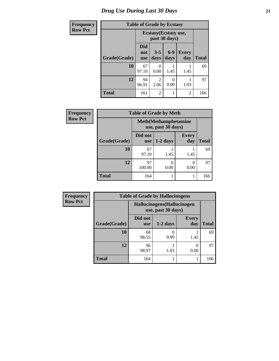# *Drug Use During Last 30 Days* **21**

| <b>Frequency</b> | <b>Table of Grade by Ecstasy</b> |                                        |                           |               |                |              |
|------------------|----------------------------------|----------------------------------------|---------------------------|---------------|----------------|--------------|
| <b>Row Pct</b>   |                                  | Ecstasy (Ecstasy use,<br>past 30 days) |                           |               |                |              |
|                  | Grade(Grade)                     | <b>Did</b><br>not<br><b>use</b>        | $3 - 5$<br>days           | $6-9$<br>days | Every<br>day   | <b>Total</b> |
|                  | 10                               | 67<br>97.10                            | $\mathbf{\Omega}$<br>0.00 | 1.45          | 1.45           | 69           |
|                  | 12                               | 94<br>96.91                            | 2<br>2.06                 | 0.00          | 1.03           | 97           |
|                  | <b>Total</b>                     | 161                                    | $\overline{2}$            |               | $\overline{2}$ | 166          |

| <b>Frequency</b> | <b>Table of Grade by Meth</b> |                                                    |            |                     |              |  |  |  |
|------------------|-------------------------------|----------------------------------------------------|------------|---------------------|--------------|--|--|--|
| <b>Row Pct</b>   |                               | <b>Meth</b> (Methamphetamine<br>use, past 30 days) |            |                     |              |  |  |  |
|                  | Grade(Grade)                  | Did not<br><b>use</b>                              | $1-2$ days | <b>Every</b><br>day | <b>Total</b> |  |  |  |
|                  | 10                            | 67<br>97.10                                        | 1.45       | 1.45                | 69           |  |  |  |
|                  | 12                            | 97<br>100.00                                       | 0<br>0.00  | 0.00                | 97           |  |  |  |
|                  | <b>Total</b>                  | 164                                                | ı          |                     | 166          |  |  |  |

| <b>Frequency</b> | <b>Table of Grade by Hallucinogens</b> |                                                   |            |                     |              |  |  |  |
|------------------|----------------------------------------|---------------------------------------------------|------------|---------------------|--------------|--|--|--|
| <b>Row Pct</b>   |                                        | Hallucinogens (Hallucinogen<br>use, past 30 days) |            |                     |              |  |  |  |
|                  | Grade(Grade)                           | Did not<br><b>use</b>                             | $1-2$ days | <b>Every</b><br>day | <b>Total</b> |  |  |  |
|                  | 10                                     | 68<br>98.55                                       | 0.00       | 1.45                | 69           |  |  |  |
|                  | 12                                     | 96<br>98.97                                       | 1.03       | 0.00                | 97           |  |  |  |
|                  | <b>Total</b>                           | 164                                               |            |                     | 166          |  |  |  |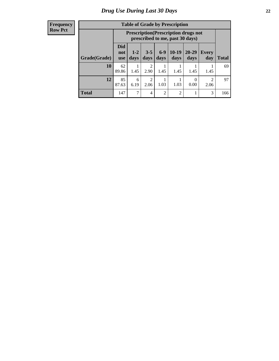#### **Frequency Row Pct**

| <b>Table of Grade by Prescription</b> |             |                                                                                                                                                                                                                                    |                        |                |                |                          |                        |              |
|---------------------------------------|-------------|------------------------------------------------------------------------------------------------------------------------------------------------------------------------------------------------------------------------------------|------------------------|----------------|----------------|--------------------------|------------------------|--------------|
|                                       |             | <b>Prescription</b> (Prescription drugs not<br>prescribed to me, past 30 days)<br>Did<br>$6 - 9$<br>$10-19$<br>$20 - 29$<br>$1 - 2$<br>$3 - 5$<br><b>Every</b><br>not<br>days<br>days<br>days<br>days<br>day<br>days<br><b>use</b> |                        |                |                |                          |                        |              |
| Grade(Grade)                          |             |                                                                                                                                                                                                                                    |                        |                |                |                          |                        | <b>Total</b> |
| 10                                    | 62<br>89.86 | 1.45                                                                                                                                                                                                                               | $\mathfrak{D}$<br>2.90 | 1.45           | 1.45           | 1.45                     | 1.45                   | 69           |
| 12                                    | 85<br>87.63 | 6<br>6.19                                                                                                                                                                                                                          | $\mathfrak{D}$<br>2.06 | 1.03           | 1.03           | $\left( \right)$<br>0.00 | $\mathfrak{D}$<br>2.06 | 97           |
| <b>Total</b>                          | 147         | 7                                                                                                                                                                                                                                  | 4                      | $\overline{c}$ | $\overline{2}$ |                          | 3                      | 166          |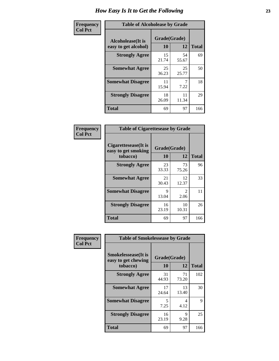| Frequency      | <b>Table of Alcoholease by Grade</b>              |                    |             |              |  |  |  |
|----------------|---------------------------------------------------|--------------------|-------------|--------------|--|--|--|
| <b>Col Pct</b> | <b>Alcoholease</b> (It is<br>easy to get alcohol) | Grade(Grade)<br>10 | 12          | <b>Total</b> |  |  |  |
|                | <b>Strongly Agree</b>                             | 15<br>21.74        | 54<br>55.67 | 69           |  |  |  |
|                | <b>Somewhat Agree</b>                             | 25<br>36.23        | 25<br>25.77 | 50           |  |  |  |
|                | <b>Somewhat Disagree</b>                          | 11<br>15.94        | 7.22        | 18           |  |  |  |
|                | <b>Strongly Disagree</b>                          | 18<br>26.09        | 11<br>11.34 | 29           |  |  |  |
|                | <b>Total</b>                                      | 69                 | 97          | 166          |  |  |  |

| Frequency      | <b>Table of Cigarettesease by Grade</b>                  |                    |                       |              |  |  |
|----------------|----------------------------------------------------------|--------------------|-----------------------|--------------|--|--|
| <b>Col Pct</b> | Cigarettesease (It is<br>easy to get smoking<br>tobacco) | Grade(Grade)<br>10 | 12                    | <b>Total</b> |  |  |
|                | <b>Strongly Agree</b>                                    | 23<br>33.33        | 73<br>75.26           | 96           |  |  |
|                | <b>Somewhat Agree</b>                                    | 21<br>30.43        | 12<br>12.37           | 33           |  |  |
|                | <b>Somewhat Disagree</b>                                 | 9<br>13.04         | $\mathcal{D}$<br>2.06 | 11           |  |  |
|                | <b>Strongly Disagree</b>                                 | 16<br>23.19        | 10<br>10.31           | 26           |  |  |
|                | <b>Total</b>                                             | 69                 | 97                    | 166          |  |  |

| Frequency      | <b>Table of Smokelessease by Grade</b>                         |                    |              |     |
|----------------|----------------------------------------------------------------|--------------------|--------------|-----|
| <b>Col Pct</b> | <b>Smokelessease</b> (It is<br>easy to get chewing<br>tobacco) | Grade(Grade)<br>10 | <b>Total</b> |     |
|                | <b>Strongly Agree</b>                                          | 31<br>44.93        | 71<br>73.20  | 102 |
|                | <b>Somewhat Agree</b>                                          | 17<br>24.64        | 13<br>13.40  | 30  |
|                | <b>Somewhat Disagree</b>                                       | 5<br>7.25          | 4<br>4.12    | 9   |
|                | <b>Strongly Disagree</b>                                       | 16<br>23.19        | 9<br>9.28    | 25  |
|                | <b>Total</b>                                                   | 69                 | 97           | 166 |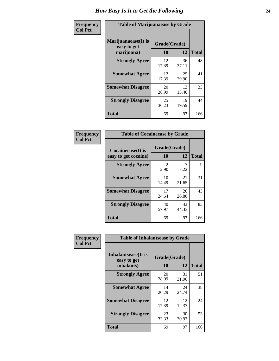| Frequency      | <b>Table of Marijuanaease by Grade</b>           |                    |             |              |  |  |  |  |  |  |
|----------------|--------------------------------------------------|--------------------|-------------|--------------|--|--|--|--|--|--|
| <b>Col Pct</b> | Marijuanaease(It is<br>easy to get<br>marijuana) | Grade(Grade)<br>10 | 12          | <b>Total</b> |  |  |  |  |  |  |
|                | <b>Strongly Agree</b>                            | 12<br>17.39        | 36<br>37.11 | 48           |  |  |  |  |  |  |
|                | <b>Somewhat Agree</b>                            | 12<br>17.39        | 29<br>29.90 | 41           |  |  |  |  |  |  |
|                | <b>Somewhat Disagree</b>                         | 20<br>28.99        | 13<br>13.40 | 33           |  |  |  |  |  |  |
|                | <b>Strongly Disagree</b>                         | 25<br>36.23        | 19<br>19.59 | 44           |  |  |  |  |  |  |
|                | Total                                            | 69                 | 97          | 166          |  |  |  |  |  |  |

| <b>Table of Cocaineease by Grade</b>              |                        |                    |              |  |  |  |  |  |  |
|---------------------------------------------------|------------------------|--------------------|--------------|--|--|--|--|--|--|
| <b>Cocaineease</b> (It is<br>easy to get cocaine) | 10                     | Grade(Grade)<br>12 | <b>Total</b> |  |  |  |  |  |  |
| <b>Strongly Agree</b>                             | $\mathfrak{D}$<br>2.90 | 7.22               | 9            |  |  |  |  |  |  |
| <b>Somewhat Agree</b>                             | 10<br>14.49            | 21<br>21.65        | 31           |  |  |  |  |  |  |
| <b>Somewhat Disagree</b>                          | 17<br>24.64            | 26<br>26.80        | 43           |  |  |  |  |  |  |
| <b>Strongly Disagree</b>                          | 40<br>57.97            | 43<br>44.33        | 83           |  |  |  |  |  |  |
| <b>Total</b>                                      | 69                     | 97                 | 166          |  |  |  |  |  |  |

| Frequency      | <b>Table of Inhalantsease by Grade</b>                   |                    |             |              |  |  |  |  |  |  |
|----------------|----------------------------------------------------------|--------------------|-------------|--------------|--|--|--|--|--|--|
| <b>Col Pct</b> | <b>Inhalantsease</b> (It is<br>easy to get<br>inhalants) | Grade(Grade)<br>10 | 12          | <b>Total</b> |  |  |  |  |  |  |
|                | <b>Strongly Agree</b>                                    | 20<br>28.99        | 31<br>31.96 | 51           |  |  |  |  |  |  |
|                | <b>Somewhat Agree</b>                                    | 14<br>20.29        | 24<br>24.74 | 38           |  |  |  |  |  |  |
|                | <b>Somewhat Disagree</b>                                 | 12<br>17.39        | 12<br>12.37 | 24           |  |  |  |  |  |  |
|                | <b>Strongly Disagree</b>                                 | 23<br>33.33        | 30<br>30.93 | 53           |  |  |  |  |  |  |
|                | Total                                                    | 69                 | 97          | 166          |  |  |  |  |  |  |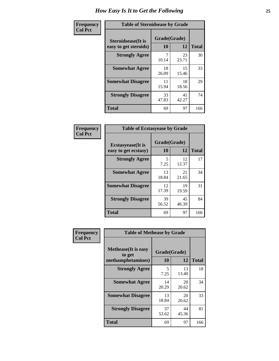| Frequency      |                                                     | <b>Table of Steroidsease by Grade</b> |             |              |  |  |  |  |
|----------------|-----------------------------------------------------|---------------------------------------|-------------|--------------|--|--|--|--|
| <b>Col Pct</b> | <b>Steroidsease</b> (It is<br>easy to get steroids) | Grade(Grade)<br>10                    | 12          | <b>Total</b> |  |  |  |  |
|                | <b>Strongly Agree</b>                               | 7<br>10.14                            | 23<br>23.71 | 30           |  |  |  |  |
|                | <b>Somewhat Agree</b>                               | 18<br>26.09                           | 15<br>15.46 | 33           |  |  |  |  |
|                | <b>Somewhat Disagree</b>                            | 11<br>15.94                           | 18<br>18.56 | 29           |  |  |  |  |
|                | <b>Strongly Disagree</b>                            | 33<br>47.83                           | 41<br>42.27 | 74           |  |  |  |  |
|                | <b>Total</b>                                        | 69                                    | 97          | 166          |  |  |  |  |

| Frequency      | <b>Table of Ecstasyease by Grade</b>              |                    |             |              |  |  |  |  |  |  |
|----------------|---------------------------------------------------|--------------------|-------------|--------------|--|--|--|--|--|--|
| <b>Col Pct</b> | <b>Ecstasyease</b> (It is<br>easy to get ecstasy) | Grade(Grade)<br>10 | 12          | <b>Total</b> |  |  |  |  |  |  |
|                | <b>Strongly Agree</b>                             | 5<br>7.25          | 12<br>12.37 | 17           |  |  |  |  |  |  |
|                | <b>Somewhat Agree</b>                             | 13<br>18.84        | 21<br>21.65 | 34           |  |  |  |  |  |  |
|                | <b>Somewhat Disagree</b>                          | 12<br>17.39        | 19<br>19.59 | 31           |  |  |  |  |  |  |
|                | <b>Strongly Disagree</b>                          | 39<br>56.52        | 45<br>46.39 | 84           |  |  |  |  |  |  |
|                | <b>Total</b>                                      | 69                 | 97          | 166          |  |  |  |  |  |  |

| Frequency      | <b>Table of Methease by Grade</b>                          |                    |             |              |
|----------------|------------------------------------------------------------|--------------------|-------------|--------------|
| <b>Col Pct</b> | <b>Methease</b> (It is easy<br>to get<br>methamphetamines) | Grade(Grade)<br>10 | 12          | <b>Total</b> |
|                | <b>Strongly Agree</b>                                      | 5<br>7.25          | 13<br>13.40 | 18           |
|                | <b>Somewhat Agree</b>                                      | 14<br>20.29        | 20<br>20.62 | 34           |
|                | <b>Somewhat Disagree</b>                                   | 13<br>18.84        | 20<br>20.62 | 33           |
|                | <b>Strongly Disagree</b>                                   | 37<br>53.62        | 44<br>45.36 | 81           |
|                | Total                                                      | 69                 | 97          | 166          |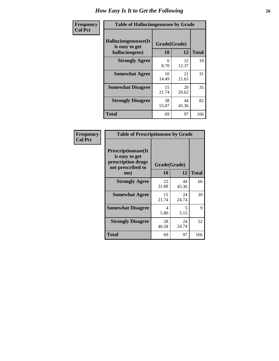| <b>Frequency</b> | <b>Table of Hallucinogensease by Grade</b>               |                    |             |              |  |  |  |  |  |  |
|------------------|----------------------------------------------------------|--------------------|-------------|--------------|--|--|--|--|--|--|
| <b>Col Pct</b>   | Hallucinogensease(It<br>is easy to get<br>hallucinogens) | Grade(Grade)<br>10 | 12          | <b>Total</b> |  |  |  |  |  |  |
|                  | <b>Strongly Agree</b>                                    | 6<br>8.70          | 12<br>12.37 | 18           |  |  |  |  |  |  |
|                  | <b>Somewhat Agree</b>                                    | 10<br>14.49        | 21<br>21.65 | 31           |  |  |  |  |  |  |
|                  | <b>Somewhat Disagree</b>                                 | 15<br>21.74        | 20<br>20.62 | 35           |  |  |  |  |  |  |
|                  | <b>Strongly Disagree</b>                                 | 38<br>55.07        | 44<br>45.36 | 82           |  |  |  |  |  |  |
|                  | <b>Total</b>                                             | 69                 | 97          | 166          |  |  |  |  |  |  |

| Frequency<br>Col Pct |
|----------------------|
|                      |

| <b>Table of Prescriptionease by Grade</b>                                                |             |              |              |  |  |  |  |  |  |
|------------------------------------------------------------------------------------------|-------------|--------------|--------------|--|--|--|--|--|--|
| <b>Prescriptionease</b> (It<br>is easy to get<br>prescription drugs<br>not prescribed to |             | Grade(Grade) |              |  |  |  |  |  |  |
| me)                                                                                      | 10          | 12           | <b>Total</b> |  |  |  |  |  |  |
| <b>Strongly Agree</b>                                                                    | 22<br>31.88 | 44<br>45.36  | 66           |  |  |  |  |  |  |
| <b>Somewhat Agree</b>                                                                    | 15<br>21.74 | 24<br>24.74  | 39           |  |  |  |  |  |  |
| <b>Somewhat Disagree</b>                                                                 | 4<br>5.80   | 5<br>5.15    | 9            |  |  |  |  |  |  |
| <b>Strongly Disagree</b>                                                                 | 28<br>40.58 | 24<br>24.74  | 52           |  |  |  |  |  |  |
| <b>Total</b>                                                                             | 69          | 97           | 166          |  |  |  |  |  |  |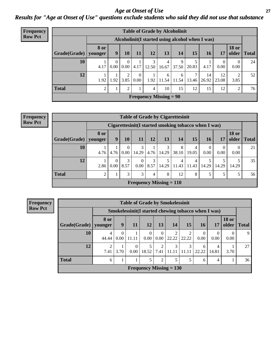*Age at Onset of Use* **27** *Results for "Age at Onset of Use" questions exclude students who said they did not use that substance*

| Frequency      | <b>Table of Grade by Alcoholinit</b> |                        |                                                  |                  |                        |                          |            |            |            |             |                  |                       |              |
|----------------|--------------------------------------|------------------------|--------------------------------------------------|------------------|------------------------|--------------------------|------------|------------|------------|-------------|------------------|-----------------------|--------------|
| <b>Row Pct</b> |                                      |                        | Alcoholinit (I started using alcohol when I was) |                  |                        |                          |            |            |            |             |                  |                       |              |
|                | Grade(Grade)                         | <b>8 or</b><br>younger | $\boldsymbol{9}$                                 | <b>10</b>        | 11                     | 12                       | 13         | 14         | 15         | <b>16</b>   | 17               | <b>18 or</b><br>older | <b>Total</b> |
|                | 10                                   | 4.17                   | $\theta$<br>0.00                                 | $\Omega$<br>0.00 | 4.17                   | 12.50                    | 4<br>16.67 | 9<br>37.50 | 20.83      | 4.17        | $\theta$<br>0.00 | $\theta$<br>0.00      | 24           |
|                | 12                                   | 1.92                   | 1.92                                             | $\gamma$<br>3.85 | $\overline{0}$<br>0.00 | 1.92                     | 6<br>11.54 | 6<br>11.54 | 7<br>13.46 | 14<br>26.92 | 12<br>23.08      | 3.85                  | 52           |
|                | <b>Total</b>                         | 2                      |                                                  | 2                |                        | 4                        | 10         | 15         | 12         | 15          | 12               | 2                     | 76           |
|                |                                      |                        |                                                  |                  |                        | Frequency Missing $= 90$ |            |            |            |             |                  |                       |              |

#### **Frequency Row Pct**

| <b>Table of Grade by Cigarettesinit</b> |                                            |                                                                                            |                       |                                |           |            |            |                         |                  |            |           |    |
|-----------------------------------------|--------------------------------------------|--------------------------------------------------------------------------------------------|-----------------------|--------------------------------|-----------|------------|------------|-------------------------|------------------|------------|-----------|----|
|                                         |                                            | Cigarettesinit(I started smoking tobacco when I was)                                       |                       |                                |           |            |            |                         |                  |            |           |    |
| Grade(Grade)                            | 8 or<br>younger                            | <b>18 or</b><br>9<br>15<br>12<br>13<br>14<br>older<br>10<br>11<br>16<br>17<br><b>Total</b> |                       |                                |           |            |            |                         |                  |            |           |    |
| 10                                      | 4.76                                       | 4.76                                                                                       | $\Omega$<br>$0.00-1$  | 3<br>14.29                     | 4.76      | 3<br>14.29 | 8<br>38.10 | 4<br>19.05              | $\theta$<br>0.00 | 0<br>0.00  | 0<br>0.00 | 21 |
| 12                                      | 2.86                                       | $\Omega$<br>0.00                                                                           | $\mathcal{F}$<br>8.57 | $\Omega$<br>$0.00\,$           | 3<br>8.57 | 5<br>14.29 | 4<br>11.43 | $\overline{4}$<br>11.43 | 14.29            | 5<br>14.29 | 14.29     | 35 |
| <b>Total</b>                            | 3<br>8<br>8<br>12<br>5<br>5<br>2<br>3<br>4 |                                                                                            |                       |                                |           |            |            |                         |                  |            | 56        |    |
|                                         |                                            |                                                                                            |                       | <b>Frequency Missing = 110</b> |           |            |            |                         |                  |            |           |    |

**Frequency Row Pct**

| <b>Table of Grade by Smokelessinit</b> |            |                                                     |                  |                           |                        |       |            |            |                  |                       |              |  |
|----------------------------------------|------------|-----------------------------------------------------|------------------|---------------------------|------------------------|-------|------------|------------|------------------|-----------------------|--------------|--|
|                                        |            | Smokelessinit(I started chewing tobacco when I was) |                  |                           |                        |       |            |            |                  |                       |              |  |
| Grade(Grade)   younger                 | 8 or       | 9                                                   | 11               | 12                        | 13                     | 14    | 15         | <b>16</b>  | 17               | <b>18 or</b><br>older | <b>Total</b> |  |
| 10                                     | 4<br>44.44 | 0.00                                                | 11.11            | $\theta$<br>0.00          | $\overline{0}$<br>0.00 | 22.22 | 2<br>22.22 | 0<br>0.00  | $\theta$<br>0.00 | 0.00                  | 9            |  |
| 12                                     | 2<br>7.41  | 3.70                                                | $\theta$<br>0.00 | 5<br>18.52                | 2<br>7.41              | 3     | 3          | 6<br>22.22 | 4<br>14.81       | 3.70                  | 27           |  |
| <b>Total</b>                           | 6          |                                                     |                  | 5                         | $\overline{2}$         | 5     |            | 6          | 4                |                       | 36           |  |
|                                        |            |                                                     |                  | Frequency Missing $= 130$ |                        |       |            |            |                  |                       |              |  |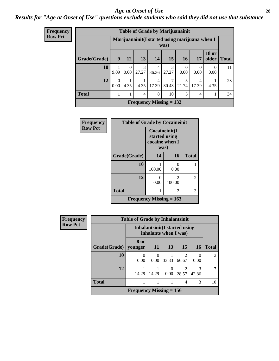#### *Age at Onset of Use* **28**

*Results for "Age at Onset of Use" questions exclude students who said they did not use that substance*

| <b>Frequency</b> | <b>Table of Grade by Marijuanainit</b> |                  |                  |                        |                                                |            |                  |            |                          |              |
|------------------|----------------------------------------|------------------|------------------|------------------------|------------------------------------------------|------------|------------------|------------|--------------------------|--------------|
| <b>Row Pct</b>   |                                        |                  |                  |                        | Marijuanainit(I started using marijuana when I | was)       |                  |            |                          |              |
|                  | Grade(Grade)                           | 9                | <b>12</b>        | 13                     | 14                                             | 15         | <b>16</b>        | 17         | <b>18 or</b><br>older    | <b>Total</b> |
|                  | 10                                     | 1<br>9.09        | $\Omega$<br>0.00 | $\mathcal{R}$<br>27.27 | $\overline{4}$<br>36.36                        | 3<br>27.27 | $\Omega$<br>0.00 | 0<br>0.00  | $\left( \right)$<br>0.00 | 11           |
|                  | 12                                     | $\Omega$<br>0.00 | 4.35             | 4.35                   | 4<br>17.39                                     | 7<br>30.43 | 5<br>21.74       | 4<br>17.39 | 4.35                     | 23           |
|                  | <b>Total</b>                           |                  |                  | $\overline{4}$         | 8                                              | 10         | 5                | 4          |                          | 34           |
|                  |                                        |                  |                  |                        | Frequency Missing $= 132$                      |            |                  |            |                          |              |

| <b>Frequency</b> | <b>Table of Grade by Cocaineinit</b> |                                                          |             |              |  |  |
|------------------|--------------------------------------|----------------------------------------------------------|-------------|--------------|--|--|
| <b>Row Pct</b>   |                                      | Cocaineinit(I<br>started using<br>cocaine when I<br>was) |             |              |  |  |
|                  | Grade(Grade)                         | 14                                                       | 16          | <b>Total</b> |  |  |
|                  | 10                                   | 100.00                                                   | 0<br>0.00   | 1            |  |  |
|                  | 12                                   | U<br>0.00                                                | っ<br>100.00 | 2            |  |  |
|                  | <b>Total</b>                         |                                                          | 2           | 3            |  |  |
|                  | Frequency Missing $= 163$            |                                                          |             |              |  |  |

| <b>Frequency</b> |                                                         | <b>Table of Grade by Inhalantsinit</b> |                  |           |                         |                  |              |
|------------------|---------------------------------------------------------|----------------------------------------|------------------|-----------|-------------------------|------------------|--------------|
| <b>Row Pct</b>   | Inhalantsinit (I started using<br>inhalants when I was) |                                        |                  |           |                         |                  |              |
|                  | Grade(Grade)                                            | 8 or<br>younger                        | 11               | 13        | 15                      | <b>16</b>        | <b>Total</b> |
|                  | 10                                                      | 0.00                                   | $\theta$<br>0.00 | 33.33     | $\mathfrak{D}$<br>66.67 | $\theta$<br>0.00 | 3            |
|                  | 12                                                      | 14.29                                  | 14.29            | 0<br>0.00 | $\mathfrak{D}$<br>28.57 | 3<br>42.86       |              |
|                  | <b>Total</b>                                            |                                        |                  |           | 4                       | 3                | 10           |
|                  |                                                         | Frequency Missing $= 156$              |                  |           |                         |                  |              |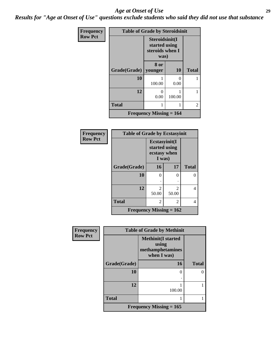#### *Age at Onset of Use* **29**

*Results for "Age at Onset of Use" questions exclude students who said they did not use that substance*

| Frequency      | <b>Table of Grade by Steroidsinit</b> |                                                            |                      |              |  |  |  |
|----------------|---------------------------------------|------------------------------------------------------------|----------------------|--------------|--|--|--|
| <b>Row Pct</b> |                                       | Steroidsinit(I<br>started using<br>steroids when I<br>was) |                      |              |  |  |  |
|                | Grade(Grade)                          | 8 or<br>younger                                            | 10                   | <b>Total</b> |  |  |  |
|                | 10                                    | 100.00                                                     | $\mathbf{0}$<br>0.00 |              |  |  |  |
|                | 12                                    | 0<br>0.00                                                  | 100.00               |              |  |  |  |
|                | <b>Total</b>                          | 1                                                          |                      | 2            |  |  |  |
|                |                                       | Frequency Missing $= 164$                                  |                      |              |  |  |  |

| Frequency      | <b>Table of Grade by Ecstasyinit</b> |                                                          |                                      |              |  |  |  |  |
|----------------|--------------------------------------|----------------------------------------------------------|--------------------------------------|--------------|--|--|--|--|
| <b>Row Pct</b> |                                      | Ecstasyinit(I<br>started using<br>ecstasy when<br>I was) |                                      |              |  |  |  |  |
|                | Grade(Grade)                         | 16                                                       | 17                                   | <b>Total</b> |  |  |  |  |
|                | 10                                   | 0                                                        | ∩                                    | O            |  |  |  |  |
|                |                                      | ٠                                                        |                                      |              |  |  |  |  |
|                | 12                                   | $\overline{\mathcal{L}}$<br>50.00                        | $\mathcal{D}_{\mathcal{L}}$<br>50.00 | 4            |  |  |  |  |
|                | <b>Total</b>                         | 2                                                        | 2                                    | 4            |  |  |  |  |
|                | Frequency Missing $= 162$            |                                                          |                                      |              |  |  |  |  |

| <b>Frequency</b> | <b>Table of Grade by Methinit</b> |                                                                       |              |  |  |  |  |
|------------------|-----------------------------------|-----------------------------------------------------------------------|--------------|--|--|--|--|
| <b>Row Pct</b>   |                                   | <b>Methinit(I started</b><br>using<br>methamphetamines<br>when I was) |              |  |  |  |  |
|                  | Grade(Grade)                      | 16                                                                    | <b>Total</b> |  |  |  |  |
|                  | 10                                | 0                                                                     | $\Omega$     |  |  |  |  |
|                  | 12                                | 100.00                                                                |              |  |  |  |  |
|                  | <b>Total</b>                      |                                                                       |              |  |  |  |  |
|                  |                                   | Frequency Missing $= 165$                                             |              |  |  |  |  |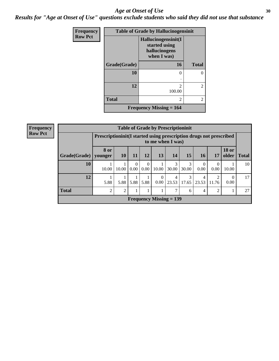#### Age at Onset of Use **30**

*Results for "Age at Onset of Use" questions exclude students who said they did not use that substance*

| Frequency      | <b>Table of Grade by Hallucinogensinit</b> |                                                                      |                |
|----------------|--------------------------------------------|----------------------------------------------------------------------|----------------|
| <b>Row Pct</b> |                                            | Hallucinogensinit(I<br>started using<br>hallucinogens<br>when I was) |                |
|                | Grade(Grade)                               | 16                                                                   | <b>Total</b>   |
|                | 10                                         | 0                                                                    | 0              |
|                | 12                                         | 2<br>100.00                                                          | $\overline{c}$ |
|                | <b>Total</b>                               | 2                                                                    | $\overline{c}$ |
|                |                                            | <b>Frequency Missing = 164</b>                                       |                |

| <b>Frequency</b> | <b>Table of Grade by Prescriptioninit</b> |                                                                                         |                 |                           |                  |                           |            |            |            |                  |                       |              |
|------------------|-------------------------------------------|-----------------------------------------------------------------------------------------|-----------------|---------------------------|------------------|---------------------------|------------|------------|------------|------------------|-----------------------|--------------|
| <b>Row Pct</b>   |                                           | Prescriptioninit(I started using prescription drugs not prescribed<br>to me when I was) |                 |                           |                  |                           |            |            |            |                  |                       |              |
|                  | Grade(Grade)                              | <b>8 or</b><br>younger                                                                  | 10 <sup>1</sup> | <b>11</b>                 | 12               | 13                        | 14         | 15         | <b>16</b>  | 17               | <b>18 or</b><br>older | <b>Total</b> |
|                  | 10                                        | 10.00                                                                                   | 10.00           | $\Omega$<br>$0.00\degree$ | $\theta$<br>0.00 | 10.00                     | 3<br>30.00 | 3<br>30.00 | 0<br>0.00  | $\Omega$<br>0.00 | 10.00                 | 10           |
|                  | 12                                        | 5.88                                                                                    | 5.88            | 5.88                      | 5.88             | $\Omega$<br>0.00          | 4<br>23.53 | 3<br>17.65 | 4<br>23.53 | റ<br>11.76       | $\Omega$<br>0.00      | 17           |
|                  | <b>Total</b>                              | ↑                                                                                       | $\overline{2}$  |                           |                  |                           | ⇁          | 6          | 4          | ာ                |                       | 27           |
|                  |                                           |                                                                                         |                 |                           |                  | Frequency Missing $= 139$ |            |            |            |                  |                       |              |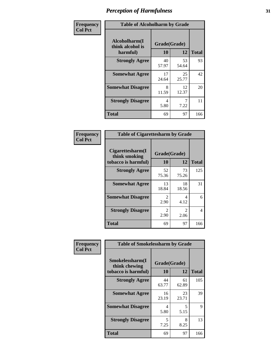| Frequency      | <b>Table of Alcoholharm by Grade</b>          |                    |             |              |  |  |  |  |
|----------------|-----------------------------------------------|--------------------|-------------|--------------|--|--|--|--|
| <b>Col Pct</b> | Alcoholharm(I<br>think alcohol is<br>harmful) | Grade(Grade)<br>10 | 12          | <b>Total</b> |  |  |  |  |
|                | <b>Strongly Agree</b>                         | 40<br>57.97        | 53<br>54.64 | 93           |  |  |  |  |
|                | <b>Somewhat Agree</b>                         | 17<br>24.64        | 25<br>25.77 | 42           |  |  |  |  |
|                | <b>Somewhat Disagree</b>                      | 8<br>11.59         | 12<br>12.37 | 20           |  |  |  |  |
|                | <b>Strongly Disagree</b>                      | 4<br>5.80          | 7.22        | 11           |  |  |  |  |
|                | <b>Total</b>                                  | 69                 | 97          | 166          |  |  |  |  |

|                                                          | <b>Table of Cigarettesharm by Grade</b> |                               |              |  |  |  |  |
|----------------------------------------------------------|-----------------------------------------|-------------------------------|--------------|--|--|--|--|
| Cigarettesharm(I<br>think smoking<br>tobacco is harmful) | Grade(Grade)<br>10                      | 12                            | <b>Total</b> |  |  |  |  |
| <b>Strongly Agree</b>                                    | 52<br>75.36                             | 73<br>75.26                   | 125          |  |  |  |  |
| <b>Somewhat Agree</b>                                    | 13<br>18.84                             | 18<br>18.56                   | 31           |  |  |  |  |
| <b>Somewhat Disagree</b>                                 | $\mathfrak{D}$<br>2.90                  | 4<br>4.12                     | 6            |  |  |  |  |
| <b>Strongly Disagree</b>                                 | $\mathcal{D}_{\cdot}$<br>2.90           | $\mathcal{D}_{\cdot}$<br>2.06 | 4            |  |  |  |  |
| <b>Total</b>                                             | 69                                      | 97                            | 166          |  |  |  |  |

| Frequency      | <b>Table of Smokelessharm by Grade</b>                  |                    |             |              |
|----------------|---------------------------------------------------------|--------------------|-------------|--------------|
| <b>Col Pct</b> | Smokelessharm(I<br>think chewing<br>tobacco is harmful) | Grade(Grade)<br>10 | 12          | <b>Total</b> |
|                | <b>Strongly Agree</b>                                   | 44<br>63.77        | 61<br>62.89 | 105          |
|                | <b>Somewhat Agree</b>                                   | 16<br>23.19        | 23<br>23.71 | 39           |
|                | <b>Somewhat Disagree</b>                                | 4<br>5.80          | 5<br>5.15   | 9            |
|                | <b>Strongly Disagree</b>                                | 5<br>7.25          | 8<br>8.25   | 13           |
|                | <b>Total</b>                                            | 69                 | 97          | 166          |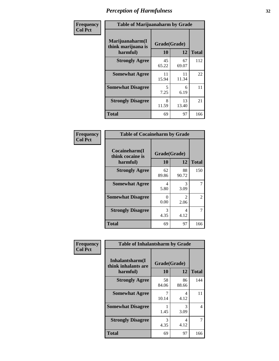| Frequency      | <b>Table of Marijuanaharm by Grade</b>            |                    |             |              |  |  |  |  |
|----------------|---------------------------------------------------|--------------------|-------------|--------------|--|--|--|--|
| <b>Col Pct</b> | Marijuanaharm(I<br>think marijuana is<br>harmful) | Grade(Grade)<br>10 | 12          | <b>Total</b> |  |  |  |  |
|                | <b>Strongly Agree</b>                             | 45<br>65.22        | 67<br>69.07 | 112          |  |  |  |  |
|                | <b>Somewhat Agree</b>                             | 11<br>15.94        | 11<br>11.34 | 22           |  |  |  |  |
|                | <b>Somewhat Disagree</b>                          | 5<br>7.25          | 6<br>6.19   | 11           |  |  |  |  |
|                | <b>Strongly Disagree</b>                          | 8<br>11.59         | 13<br>13.40 | 21           |  |  |  |  |
|                | <b>Total</b>                                      | 69                 | 97          | 166          |  |  |  |  |

| <b>Table of Cocaineharm by Grade</b>          |                    |                        |              |  |  |
|-----------------------------------------------|--------------------|------------------------|--------------|--|--|
| Cocaineharm(I<br>think cocaine is<br>harmful) | Grade(Grade)<br>10 | 12                     | <b>Total</b> |  |  |
| <b>Strongly Agree</b>                         | 62<br>89.86        | 88<br>90.72            | 150          |  |  |
| <b>Somewhat Agree</b>                         | 4<br>5.80          | 3<br>3.09              | 7            |  |  |
| <b>Somewhat Disagree</b>                      | 0<br>0.00          | $\mathfrak{D}$<br>2.06 | 2            |  |  |
| <b>Strongly Disagree</b>                      | 3<br>4.35          | 4<br>4.12              | 7            |  |  |
| <b>Total</b>                                  | 69                 | 97                     | 166          |  |  |

| Frequency      | <b>Table of Inhalantsharm by Grade</b>              |                           |             |              |
|----------------|-----------------------------------------------------|---------------------------|-------------|--------------|
| <b>Col Pct</b> | Inhalantsharm(I)<br>think inhalants are<br>harmful) | Grade(Grade)<br><b>10</b> | 12          | <b>Total</b> |
|                | <b>Strongly Agree</b>                               | 58<br>84.06               | 86<br>88.66 | 144          |
|                | <b>Somewhat Agree</b>                               | 10.14                     | 4<br>4.12   | 11           |
|                | <b>Somewhat Disagree</b>                            | 1.45                      | 3<br>3.09   | 4            |
|                | <b>Strongly Disagree</b>                            | 3<br>4.35                 | 4<br>4.12   | 7            |
|                | <b>Total</b>                                        | 69                        | 97          | 166          |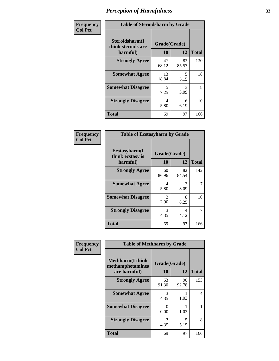| Frequency      | <b>Table of Steroidsharm by Grade</b>            |                    |             |              |
|----------------|--------------------------------------------------|--------------------|-------------|--------------|
| <b>Col Pct</b> | Steroidsharm(I<br>think steroids are<br>harmful) | Grade(Grade)<br>10 | 12          | <b>Total</b> |
|                | <b>Strongly Agree</b>                            | 47<br>68.12        | 83<br>85.57 | 130          |
|                | <b>Somewhat Agree</b>                            | 13<br>18.84        | 5<br>5.15   | 18           |
|                | <b>Somewhat Disagree</b>                         | 5<br>7.25          | 3<br>3.09   | 8            |
|                | <b>Strongly Disagree</b>                         | 4<br>5.80          | 6<br>6.19   | 10           |
|                | <b>Total</b>                                     | 69                 | 97          | 166          |

| <b>Table of Ecstasyharm by Grade</b>          |                    |             |              |  |  |
|-----------------------------------------------|--------------------|-------------|--------------|--|--|
| Ecstasyharm(I<br>think ecstasy is<br>harmful) | Grade(Grade)<br>10 | 12          | <b>Total</b> |  |  |
| <b>Strongly Agree</b>                         | 60<br>86.96        | 82<br>84.54 | 142          |  |  |
| <b>Somewhat Agree</b>                         | 4<br>5.80          | 3<br>3.09   | 7            |  |  |
| <b>Somewhat Disagree</b>                      | 2<br>2.90          | 8<br>8.25   | 10           |  |  |
| <b>Strongly Disagree</b>                      | 3<br>4.35          | 4<br>4.12   | 7            |  |  |
| <b>Total</b>                                  | 69                 | 97          | 166          |  |  |

| Frequency      | <b>Table of Methharm by Grade</b>                           |                           |             |              |  |
|----------------|-------------------------------------------------------------|---------------------------|-------------|--------------|--|
| <b>Col Pct</b> | <b>Methharm(I think</b><br>methamphetamines<br>are harmful) | Grade(Grade)<br><b>10</b> | 12          | <b>Total</b> |  |
|                | <b>Strongly Agree</b>                                       | 63<br>91.30               | 90<br>92.78 | 153          |  |
|                | <b>Somewhat Agree</b>                                       | 3<br>4.35                 | 1.03        | 4            |  |
|                | <b>Somewhat Disagree</b>                                    | 0<br>0.00                 | 1.03        |              |  |
|                | <b>Strongly Disagree</b>                                    | 3<br>4.35                 | 5<br>5.15   | 8            |  |
|                | <b>Total</b>                                                | 69                        | 97          | 166          |  |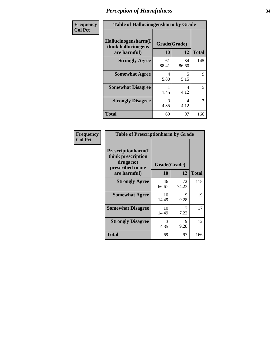| Frequency      | <b>Table of Hallucinogensharm by Grade</b>                 |                    |             |                |
|----------------|------------------------------------------------------------|--------------------|-------------|----------------|
| <b>Col Pct</b> | Hallucinogensharm(I<br>think hallucinogens<br>are harmful) | Grade(Grade)<br>10 | 12          | <b>Total</b>   |
|                | <b>Strongly Agree</b>                                      | 61<br>88.41        | 84<br>86.60 | 145            |
|                | <b>Somewhat Agree</b>                                      | 4<br>5.80          | 5<br>5.15   | 9              |
|                | <b>Somewhat Disagree</b>                                   | 1.45               | 4<br>4.12   | 5              |
|                | <b>Strongly Disagree</b>                                   | 3<br>4.35          | 4<br>4.12   | $\overline{7}$ |
|                | <b>Total</b>                                               | 69                 | 97          | 166            |

| <b>Table of Prescriptionharm by Grade</b>                                         |              |             |              |  |  |
|-----------------------------------------------------------------------------------|--------------|-------------|--------------|--|--|
| <b>Prescriptionharm</b> (I<br>think prescription<br>drugs not<br>prescribed to me | Grade(Grade) |             |              |  |  |
| are harmful)                                                                      | 10           | 12          | <b>Total</b> |  |  |
| <b>Strongly Agree</b>                                                             | 46<br>66.67  | 72<br>74.23 | 118          |  |  |
| <b>Somewhat Agree</b>                                                             | 10<br>14.49  | 9<br>9.28   | 19           |  |  |
| <b>Somewhat Disagree</b>                                                          | 10<br>14.49  | 7.22        | 17           |  |  |
| <b>Strongly Disagree</b>                                                          | 3<br>4.35    | 9<br>9.28   | 12           |  |  |
| <b>Total</b>                                                                      | 69           | 97          | 166          |  |  |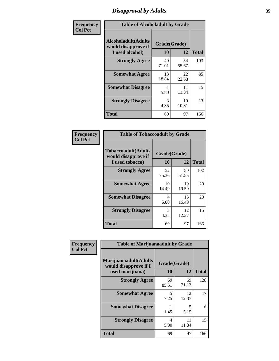# *Disapproval by Adults* **35**

| Frequency      | <b>Table of Alcoholadult by Grade</b>                                 |                    |             |              |
|----------------|-----------------------------------------------------------------------|--------------------|-------------|--------------|
| <b>Col Pct</b> | <b>Alcoholadult</b> (Adults<br>would disapprove if<br>I used alcohol) | Grade(Grade)<br>10 | 12          | <b>Total</b> |
|                | <b>Strongly Agree</b>                                                 | 49<br>71.01        | 54<br>55.67 | 103          |
|                | <b>Somewhat Agree</b>                                                 | 13<br>18.84        | 22<br>22.68 | 35           |
|                | <b>Somewhat Disagree</b>                                              | 4<br>5.80          | 11<br>11.34 | 15           |
|                | <b>Strongly Disagree</b>                                              | 3<br>4.35          | 10<br>10.31 | 13           |
|                | <b>Total</b>                                                          | 69                 | 97          | 166          |

| <b>Table of Tobaccoadult by Grade</b>                                 |                    |             |              |  |  |
|-----------------------------------------------------------------------|--------------------|-------------|--------------|--|--|
| <b>Tobaccoadult</b> (Adults<br>would disapprove if<br>I used tobacco) | Grade(Grade)<br>10 | 12          | <b>Total</b> |  |  |
| <b>Strongly Agree</b>                                                 | 52<br>75.36        | 50<br>51.55 | 102          |  |  |
| <b>Somewhat Agree</b>                                                 | 10<br>14.49        | 19<br>19.59 | 29           |  |  |
| <b>Somewhat Disagree</b>                                              | 4<br>5.80          | 16<br>16.49 | 20           |  |  |
| <b>Strongly Disagree</b>                                              | 3<br>4.35          | 12<br>12.37 | 15           |  |  |
| <b>Total</b>                                                          | 69                 | 97          | 166          |  |  |

| Frequency      | <b>Table of Marijuanaadult by Grade</b>                           |                    |             |              |  |
|----------------|-------------------------------------------------------------------|--------------------|-------------|--------------|--|
| <b>Col Pct</b> | Marijuanaadult(Adults<br>would disapprove if I<br>used marijuana) | Grade(Grade)<br>10 | 12          | <b>Total</b> |  |
|                | <b>Strongly Agree</b>                                             | 59<br>85.51        | 69<br>71.13 | 128          |  |
|                | <b>Somewhat Agree</b>                                             | 5<br>7.25          | 12<br>12.37 | 17           |  |
|                | <b>Somewhat Disagree</b>                                          | 1.45               | 5<br>5.15   | 6            |  |
|                | <b>Strongly Disagree</b>                                          | 4<br>5.80          | 11<br>11.34 | 15           |  |
|                | <b>Total</b>                                                      | 69                 | 97          | 166          |  |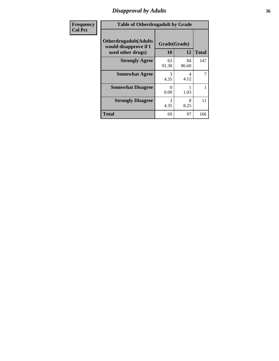### *Disapproval by Adults* **36**

| <b>Frequency</b> | <b>Table of Otherdrugadult by Grade</b>                                     |                    |             |              |
|------------------|-----------------------------------------------------------------------------|--------------------|-------------|--------------|
| <b>Col Pct</b>   | <b>Otherdrugadult</b> (Adults<br>would disapprove if I<br>used other drugs) | Grade(Grade)<br>10 | 12          | <b>Total</b> |
|                  | <b>Strongly Agree</b>                                                       | 63<br>91.30        | 84<br>86.60 | 147          |
|                  | <b>Somewhat Agree</b>                                                       | 3<br>4.35          | 4<br>4.12   | 7            |
|                  | <b>Somewhat Disagree</b>                                                    | $\Omega$<br>0.00   | 1.03        |              |
|                  | <b>Strongly Disagree</b>                                                    | 3<br>4.35          | 8<br>8.25   | 11           |
|                  | <b>Total</b>                                                                | 69                 | 97          | 166          |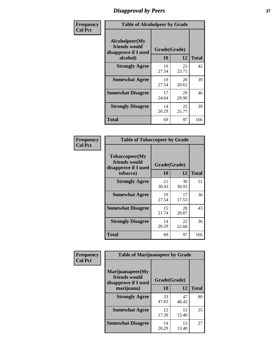# *Disapproval by Peers* **37**

| Frequency      | <b>Table of Alcoholpeer by Grade</b>                    |              |             |              |  |
|----------------|---------------------------------------------------------|--------------|-------------|--------------|--|
| <b>Col Pct</b> | Alcoholpeer(My<br>friends would<br>disapprove if I used | Grade(Grade) |             |              |  |
|                | alcohol)                                                | 10           | 12          | <b>Total</b> |  |
|                | <b>Strongly Agree</b>                                   | 19<br>27.54  | 23<br>23.71 | 42           |  |
|                | <b>Somewhat Agree</b>                                   | 19<br>27.54  | 20<br>20.62 | 39           |  |
|                | <b>Somewhat Disagree</b>                                | 17<br>24.64  | 29<br>29.90 | 46           |  |
|                | <b>Strongly Disagree</b>                                | 14<br>20.29  | 25<br>25.77 | 39           |  |
|                | Total                                                   | 69           | 97          | 166          |  |

| Frequency      | <b>Table of Tobaccopeer by Grade</b>                                |                    |             |              |
|----------------|---------------------------------------------------------------------|--------------------|-------------|--------------|
| <b>Col Pct</b> | Tobaccopeer(My<br>friends would<br>disapprove if I used<br>tobacco) | Grade(Grade)<br>10 | 12          | <b>Total</b> |
|                | <b>Strongly Agree</b>                                               | 21<br>30.43        | 30<br>30.93 | 51           |
|                | <b>Somewhat Agree</b>                                               | 19<br>27.54        | 17<br>17.53 | 36           |
|                | <b>Somewhat Disagree</b>                                            | 15<br>21.74        | 28<br>28.87 | 43           |
|                | <b>Strongly Disagree</b>                                            | 14<br>20.29        | 22<br>22.68 | 36           |
|                | Total                                                               | 69                 | 97          | 166          |

| Frequency<br><b>Col Pct</b> | <b>Table of Marijuanapeer by Grade</b>                    |              |             |              |  |
|-----------------------------|-----------------------------------------------------------|--------------|-------------|--------------|--|
|                             | Marijuanapeer(My<br>friends would<br>disapprove if I used | Grade(Grade) |             |              |  |
|                             | marijuana)                                                | 10           | 12          | <b>Total</b> |  |
|                             | <b>Strongly Agree</b>                                     | 33<br>47.83  | 47<br>48.45 | 80           |  |
|                             | <b>Somewhat Agree</b>                                     | 12<br>17.39  | 13<br>13.40 | 25           |  |
|                             | <b>Somewhat Disagree</b>                                  | 14<br>20.29  | 13<br>13.40 | 27           |  |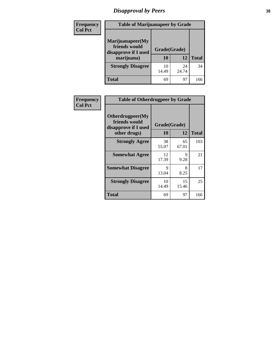# *Disapproval by Peers* **38**

| Frequency<br><b>Col Pct</b> | <b>Table of Marijuanapeer by Grade</b>                                  |                    |             |              |
|-----------------------------|-------------------------------------------------------------------------|--------------------|-------------|--------------|
|                             | Marijuanapeer(My<br>friends would<br>disapprove if I used<br>marijuana) | Grade(Grade)<br>10 | 12          | <b>Total</b> |
|                             | <b>Strongly Disagree</b>                                                | 10<br>14.49        | 24<br>24.74 | 34           |
|                             | Total                                                                   | 69                 | 97          | 166          |

| Frequency      | <b>Table of Otherdrugpeer by Grade</b>                                    |                    |             |              |
|----------------|---------------------------------------------------------------------------|--------------------|-------------|--------------|
| <b>Col Pct</b> | Otherdrugpeer(My<br>friends would<br>disapprove if I used<br>other drugs) | Grade(Grade)<br>10 | 12          | <b>Total</b> |
|                | <b>Strongly Agree</b>                                                     | 38<br>55.07        | 65<br>67.01 | 103          |
|                | <b>Somewhat Agree</b>                                                     | 12<br>17.39        | 9<br>9.28   | 21           |
|                | <b>Somewhat Disagree</b>                                                  | 9<br>13.04         | 8<br>8.25   | 17           |
|                | <b>Strongly Disagree</b>                                                  | 10<br>14.49        | 15<br>15.46 | 25           |
|                | Total                                                                     | 69                 | 97          | 166          |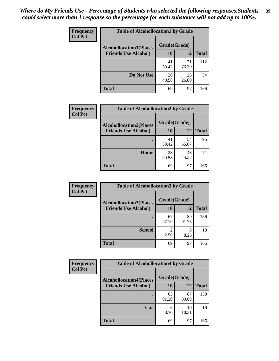| Frequency      | <b>Table of Alcohollocation1 by Grade</b> |              |             |              |
|----------------|-------------------------------------------|--------------|-------------|--------------|
| <b>Col Pct</b> | <b>Alcohollocation1(Places</b>            | Grade(Grade) |             |              |
|                | <b>Friends Use Alcohol)</b>               | 10           | 12          | <b>Total</b> |
|                |                                           | 41<br>59.42  | 71<br>73.20 | 112          |
|                | Do Not Use                                | 28<br>40.58  | 26<br>26.80 | 54           |
|                | <b>Total</b>                              | 69           | 97          | 166          |

| <b>Frequency</b> | <b>Table of Alcohollocation2 by Grade</b>                     |                    |             |              |
|------------------|---------------------------------------------------------------|--------------------|-------------|--------------|
| <b>Col Pct</b>   | <b>Alcohollocation2(Places</b><br><b>Friends Use Alcohol)</b> | Grade(Grade)<br>10 | 12          | <b>Total</b> |
|                  |                                                               | 41<br>59.42        | 54<br>55.67 | 95           |
|                  | Home                                                          | 28<br>40.58        | 43<br>44.33 | 71           |
|                  | <b>Total</b>                                                  | 69                 | 97          | 166          |

| Frequency      | <b>Table of Alcohollocation 3 by Grade</b>                    |                    |             |              |
|----------------|---------------------------------------------------------------|--------------------|-------------|--------------|
| <b>Col Pct</b> | <b>Alcohollocation3(Places</b><br><b>Friends Use Alcohol)</b> | Grade(Grade)<br>10 | 12          | <b>Total</b> |
|                |                                                               |                    |             |              |
|                |                                                               | 67<br>97.10        | 89<br>91.75 | 156          |
|                | <b>School</b>                                                 | 2<br>2.90          | 8<br>8.25   | 10           |
|                | <b>Total</b>                                                  | 69                 | 97          | 166          |

| <b>Frequency</b> | <b>Table of Alcohollocation4 by Grade</b> |              |             |              |
|------------------|-------------------------------------------|--------------|-------------|--------------|
| <b>Col Pct</b>   | <b>Alcohollocation4(Places</b>            | Grade(Grade) |             |              |
|                  | <b>Friends Use Alcohol)</b>               | 10           | 12          | <b>Total</b> |
|                  |                                           | 63<br>91.30  | 87<br>89.69 | 150          |
|                  | Car                                       | 6<br>8.70    | 10<br>10.31 | 16           |
|                  | <b>Total</b>                              | 69           | 97          | 166          |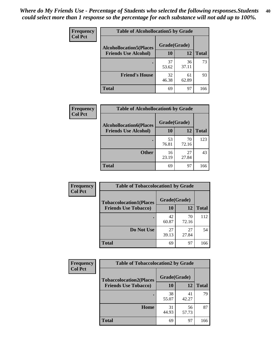| Frequency<br><b>Col Pct</b> | <b>Table of Alcohollocation5 by Grade</b> |              |             |              |
|-----------------------------|-------------------------------------------|--------------|-------------|--------------|
|                             | <b>Alcohollocation5(Places</b>            | Grade(Grade) |             |              |
|                             | <b>Friends Use Alcohol)</b>               | 10           | 12          | <b>Total</b> |
|                             |                                           | 37<br>53.62  | 36<br>37.11 | 73           |
|                             | <b>Friend's House</b>                     | 32<br>46.38  | 61<br>62.89 | 93           |
|                             | <b>Total</b>                              | 69           | 97          | 166          |

| <b>Frequency</b> | <b>Table of Alcohollocation6 by Grade</b> |              |             |              |
|------------------|-------------------------------------------|--------------|-------------|--------------|
| <b>Col Pct</b>   | <b>Alcohollocation6(Places</b>            | Grade(Grade) |             |              |
|                  | <b>Friends Use Alcohol)</b>               | 10           | 12          | <b>Total</b> |
|                  |                                           | 53<br>76.81  | 70<br>72.16 | 123          |
|                  | <b>Other</b>                              | 16<br>23.19  | 27<br>27.84 | 43           |
|                  | <b>Total</b>                              | 69           | 97          | 166          |

| Frequency                                        | <b>Table of Tobaccolocation1 by Grade</b> |             |             |              |
|--------------------------------------------------|-------------------------------------------|-------------|-------------|--------------|
| <b>Col Pct</b><br><b>Tobaccolocation1(Places</b> | Grade(Grade)                              |             |             |              |
|                                                  | <b>Friends Use Tobacco)</b>               | 10          | 12          | <b>Total</b> |
|                                                  |                                           | 42<br>60.87 | 70<br>72.16 | 112          |
|                                                  | Do Not Use                                | 27<br>39.13 | 27<br>27.84 | 54           |
|                                                  | <b>Total</b>                              | 69          | 97          | 166          |

| <b>Frequency</b> | <b>Table of Tobaccolocation2 by Grade</b> |              |             |              |
|------------------|-------------------------------------------|--------------|-------------|--------------|
| <b>Col Pct</b>   | <b>Tobaccolocation2(Places</b>            | Grade(Grade) |             |              |
|                  | <b>Friends Use Tobacco)</b>               | 10           | 12          | <b>Total</b> |
|                  |                                           | 38<br>55.07  | 41<br>42.27 | 79           |
|                  | Home                                      | 31<br>44.93  | 56<br>57.73 | 87           |
|                  | <b>Total</b>                              | 69           | 97          | 166          |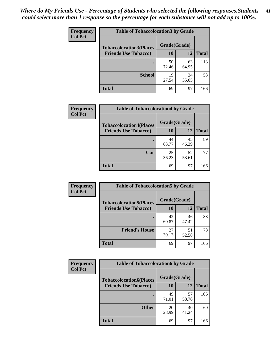| Frequency      | <b>Table of Tobaccolocation 3 by Grade</b> |              |             |              |  |
|----------------|--------------------------------------------|--------------|-------------|--------------|--|
| <b>Col Pct</b> | <b>Tobaccolocation3(Places</b>             | Grade(Grade) |             |              |  |
|                | <b>Friends Use Tobacco)</b>                | 10           | 12          | <b>Total</b> |  |
|                |                                            | 50<br>72.46  | 63<br>64.95 | 113          |  |
|                | <b>School</b>                              | 19<br>27.54  | 34<br>35.05 | 53           |  |
|                | <b>Total</b>                               | 69           | 97          | 166          |  |

| <b>Frequency</b> | <b>Table of Tobaccolocation4 by Grade</b>                     |                           |             |              |
|------------------|---------------------------------------------------------------|---------------------------|-------------|--------------|
| <b>Col Pct</b>   | <b>Tobaccolocation4(Places</b><br><b>Friends Use Tobacco)</b> | Grade(Grade)<br><b>10</b> | 12          | <b>Total</b> |
|                  |                                                               |                           |             |              |
|                  |                                                               | 44<br>63.77               | 45<br>46.39 | 89           |
|                  | Car                                                           | 25<br>36.23               | 52<br>53.61 | 77           |
|                  | <b>Total</b>                                                  | 69                        | 97          | 166          |

| Frequency      | <b>Table of Tobaccolocation5 by Grade</b> |              |             |              |
|----------------|-------------------------------------------|--------------|-------------|--------------|
| <b>Col Pct</b> | <b>Tobaccolocation5(Places</b>            | Grade(Grade) |             |              |
|                | <b>Friends Use Tobacco)</b>               | 10           | 12          | <b>Total</b> |
|                |                                           | 42<br>60.87  | 46<br>47.42 | 88           |
|                | <b>Friend's House</b>                     | 27<br>39.13  | 51<br>52.58 | 78           |
|                | <b>Total</b>                              | 69           | 97          | 166          |

| <b>Frequency</b> | <b>Table of Tobaccolocation6 by Grade</b> |              |             |              |  |
|------------------|-------------------------------------------|--------------|-------------|--------------|--|
| <b>Col Pct</b>   | <b>Tobaccolocation6(Places</b>            | Grade(Grade) |             |              |  |
|                  | <b>Friends Use Tobacco)</b>               | 10           | 12          | <b>Total</b> |  |
|                  |                                           | 49<br>71.01  | 57<br>58.76 | 106          |  |
|                  | <b>Other</b>                              | 20<br>28.99  | 40<br>41.24 | 60           |  |
|                  | <b>Total</b>                              | 69           | 97          | 166          |  |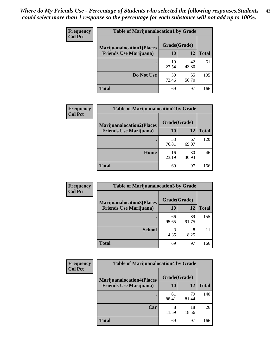| <b>Frequency</b> | <b>Table of Marijuanalocation1 by Grade</b> |              |             |              |
|------------------|---------------------------------------------|--------------|-------------|--------------|
| <b>Col Pct</b>   | <b>Marijuanalocation1(Places</b>            | Grade(Grade) |             |              |
|                  | <b>Friends Use Marijuana</b> )              | 10           | 12          | <b>Total</b> |
|                  |                                             | 19<br>27.54  | 42<br>43.30 | 61           |
|                  | Do Not Use                                  | 50<br>72.46  | 55<br>56.70 | 105          |
|                  | Total                                       | 69           | 97          | 166          |

| <b>Frequency</b> | <b>Table of Marijuanalocation2 by Grade</b>                        |                    |             |              |
|------------------|--------------------------------------------------------------------|--------------------|-------------|--------------|
| <b>Col Pct</b>   | <b>Marijuanalocation2(Places</b><br><b>Friends Use Marijuana</b> ) | Grade(Grade)<br>10 | 12          | <b>Total</b> |
|                  |                                                                    | 53<br>76.81        | 67<br>69.07 | 120          |
|                  | Home                                                               | 16<br>23.19        | 30<br>30.93 | 46           |
|                  | <b>Total</b>                                                       | 69                 | 97          | 166          |

| Frequency<br><b>Col Pct</b> | <b>Table of Marijuanalocation3 by Grade</b> |              |             |       |
|-----------------------------|---------------------------------------------|--------------|-------------|-------|
|                             | <b>Marijuanalocation3(Places</b>            | Grade(Grade) |             |       |
|                             | <b>Friends Use Marijuana</b> )              | 10           | 12          | Total |
|                             |                                             | 66<br>95.65  | 89<br>91.75 | 155   |
|                             | <b>School</b>                               | 3<br>4.35    | 8<br>8.25   |       |
|                             | <b>Total</b>                                | 69           | 97          | 166   |

| <b>Frequency</b> | <b>Table of Marijuanalocation4 by Grade</b> |              |             |              |  |
|------------------|---------------------------------------------|--------------|-------------|--------------|--|
| <b>Col Pct</b>   | <b>Marijuanalocation4(Places</b>            | Grade(Grade) |             |              |  |
|                  | <b>Friends Use Marijuana</b> )              | <b>10</b>    | 12          | <b>Total</b> |  |
|                  |                                             | 61<br>88.41  | 79<br>81.44 | 140          |  |
|                  | Car                                         | 8<br>11.59   | 18<br>18.56 | 26           |  |
|                  | <b>Total</b>                                | 69           | 97          | 166          |  |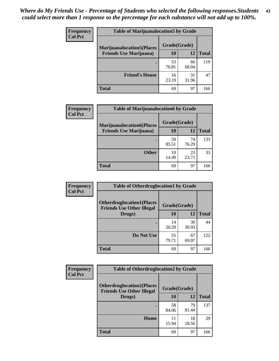| <b>Frequency</b> | <b>Table of Marijuanalocation5 by Grade</b>                         |              |             |              |
|------------------|---------------------------------------------------------------------|--------------|-------------|--------------|
| <b>Col Pct</b>   | <b>Marijuanalocation5(Places)</b><br><b>Friends Use Marijuana</b> ) | Grade(Grade) |             |              |
|                  |                                                                     | 10           | 12          | <b>Total</b> |
|                  |                                                                     | 53<br>76.81  | 66<br>68.04 | 119          |
|                  | <b>Friend's House</b>                                               | 16<br>23.19  | 31<br>31.96 | 47           |
|                  | <b>Total</b>                                                        | 69           | 97          | 166          |

| <b>Frequency</b> | <b>Table of Marijuanalocation6 by Grade</b>                        |                    |             |              |
|------------------|--------------------------------------------------------------------|--------------------|-------------|--------------|
| <b>Col Pct</b>   | <b>Marijuanalocation6(Places</b><br><b>Friends Use Marijuana</b> ) | Grade(Grade)<br>10 | 12          | <b>Total</b> |
|                  |                                                                    | 59<br>85.51        | 74<br>76.29 | 133          |
|                  | <b>Other</b>                                                       | 10<br>14.49        | 23<br>23.71 | 33           |
|                  | <b>Total</b>                                                       | 69                 | 97          | 166          |

| <b>Frequency</b> | <b>Table of Otherdruglocation1 by Grade</b>                          |              |             |              |
|------------------|----------------------------------------------------------------------|--------------|-------------|--------------|
| <b>Col Pct</b>   | <b>Otherdruglocation1(Places</b><br><b>Friends Use Other Illegal</b> | Grade(Grade) |             |              |
|                  | Drugs)                                                               | 10           | 12          | <b>Total</b> |
|                  |                                                                      | 14<br>20.29  | 30<br>30.93 | 44           |
|                  | Do Not Use                                                           | 55<br>79.71  | 67<br>69.07 | 122          |
|                  | <b>Total</b>                                                         | 69           | 97          | 166          |

| <b>Frequency</b> | <b>Table of Otherdruglocation2 by Grade</b>                          |              |             |              |
|------------------|----------------------------------------------------------------------|--------------|-------------|--------------|
| <b>Col Pct</b>   | <b>Otherdruglocation2(Places</b><br><b>Friends Use Other Illegal</b> | Grade(Grade) |             |              |
|                  | Drugs)                                                               | 10           | 12          | <b>Total</b> |
|                  |                                                                      | 58<br>84.06  | 79<br>81.44 | 137          |
|                  | Home                                                                 | 11<br>15.94  | 18<br>18.56 | 29           |
|                  | <b>Total</b>                                                         | 69           | 97          | 166          |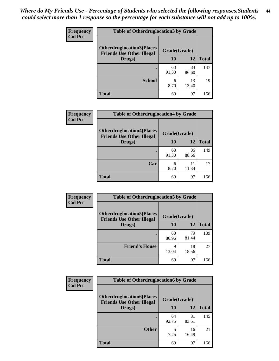| <b>Frequency</b> | <b>Table of Otherdruglocation 3 by Grade</b>                         |              |             |              |
|------------------|----------------------------------------------------------------------|--------------|-------------|--------------|
| <b>Col Pct</b>   | <b>Otherdruglocation3(Places</b><br><b>Friends Use Other Illegal</b> | Grade(Grade) |             |              |
|                  | Drugs)                                                               | 10           | 12          | <b>Total</b> |
|                  |                                                                      | 63<br>91.30  | 84<br>86.60 | 147          |
|                  | <b>School</b>                                                        | 6<br>8.70    | 13<br>13.40 | 19           |
|                  | <b>Total</b>                                                         | 69           | 97          | 166          |

| <b>Frequency</b> | <b>Table of Otherdruglocation4 by Grade</b>                          |              |             |              |
|------------------|----------------------------------------------------------------------|--------------|-------------|--------------|
| <b>Col Pct</b>   | <b>Otherdruglocation4(Places</b><br><b>Friends Use Other Illegal</b> | Grade(Grade) |             |              |
|                  | Drugs)                                                               | 10           | 12          | <b>Total</b> |
|                  |                                                                      | 63<br>91.30  | 86<br>88.66 | 149          |
|                  | Car                                                                  | 6<br>8.70    | 11<br>11.34 |              |
|                  | <b>Total</b>                                                         | 69           | 97          | 166          |

| Frequency      | <b>Table of Otherdruglocation5 by Grade</b>                          |              |             |              |
|----------------|----------------------------------------------------------------------|--------------|-------------|--------------|
| <b>Col Pct</b> | <b>Otherdruglocation5(Places</b><br><b>Friends Use Other Illegal</b> | Grade(Grade) |             |              |
|                | Drugs)                                                               | 10           | 12          | <b>Total</b> |
|                |                                                                      | 60<br>86.96  | 79<br>81.44 | 139          |
|                | <b>Friend's House</b>                                                | 9<br>13.04   | 18<br>18.56 | 27           |
|                | <b>Total</b>                                                         | 69           | 97          | 166          |

| Frequency      | <b>Table of Otherdruglocation6 by Grade</b>                          |              |             |              |
|----------------|----------------------------------------------------------------------|--------------|-------------|--------------|
| <b>Col Pct</b> | <b>Otherdruglocation6(Places</b><br><b>Friends Use Other Illegal</b> | Grade(Grade) |             |              |
|                | Drugs)                                                               | 10           | 12          | <b>Total</b> |
|                |                                                                      | 64<br>92.75  | 81<br>83.51 | 145          |
|                | <b>Other</b>                                                         | 5<br>7.25    | 16<br>16.49 | 21           |
|                | <b>Total</b>                                                         | 69           | 97          | 166          |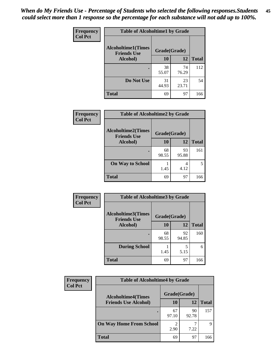| Frequency      | <b>Table of Alcoholtime1 by Grade</b> |              |             |              |
|----------------|---------------------------------------|--------------|-------------|--------------|
| <b>Col Pct</b> | <b>Alcoholtime1(Times</b>             | Grade(Grade) |             |              |
|                | <b>Friends Use</b><br>Alcohol)        | 10           | 12          | <b>Total</b> |
|                |                                       | 38<br>55.07  | 74<br>76.29 | 112          |
|                | Do Not Use                            | 31<br>44.93  | 23<br>23.71 | 54           |
|                | <b>Total</b>                          | 69           | 97          | 166          |

| Frequency      | <b>Table of Alcoholtime2 by Grade</b>           |              |             |              |
|----------------|-------------------------------------------------|--------------|-------------|--------------|
| <b>Col Pct</b> | <b>Alcoholtime2(Times</b><br><b>Friends Use</b> | Grade(Grade) |             |              |
|                | Alcohol)                                        | 10           | 12          | <b>Total</b> |
|                |                                                 | 68<br>98.55  | 93<br>95.88 | 161          |
|                | <b>On Way to School</b>                         | 1.45         | 4<br>4.12   |              |
|                | <b>Total</b>                                    | 69           | 97          | 166          |

| Frequency<br><b>Col Pct</b> | <b>Table of Alcoholtime3 by Grade</b>           |              |             |              |  |
|-----------------------------|-------------------------------------------------|--------------|-------------|--------------|--|
|                             | <b>Alcoholtime3(Times</b><br><b>Friends Use</b> | Grade(Grade) |             |              |  |
|                             | Alcohol)                                        | 10           | 12          | <b>Total</b> |  |
|                             |                                                 | 68<br>98.55  | 92<br>94.85 | 160          |  |
|                             | <b>During School</b>                            | 1.45         | 5<br>5.15   | 6            |  |
|                             | <b>Total</b>                                    | 69           | 97          | 166          |  |

| <b>Frequency</b> | <b>Table of Alcoholtime4 by Grade</b> |              |             |              |  |
|------------------|---------------------------------------|--------------|-------------|--------------|--|
| <b>Col Pct</b>   | <b>Alcoholtime4(Times</b>             | Grade(Grade) |             |              |  |
|                  | <b>Friends Use Alcohol)</b>           | 10           | 12          | <b>Total</b> |  |
|                  | ٠                                     | 67<br>97.10  | 90<br>92.78 | 157          |  |
|                  | <b>On Way Home From School</b>        | っ<br>2.90    | 7.22        | Q            |  |
|                  | <b>Total</b>                          | 69           | 97          | 166          |  |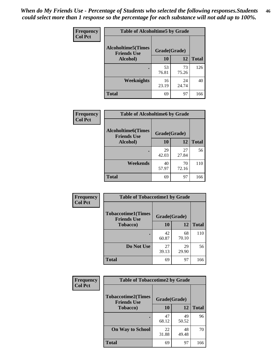*When do My Friends Use - Percentage of Students who selected the following responses.Students could select more than 1 response so the percentage for each substance will not add up to 100%.* **46**

| <b>Frequency</b> | <b>Table of Alcoholtime5 by Grade</b>           |              |             |              |
|------------------|-------------------------------------------------|--------------|-------------|--------------|
| <b>Col Pct</b>   | <b>Alcoholtime5(Times</b><br><b>Friends Use</b> | Grade(Grade) |             |              |
|                  | Alcohol)                                        | 10           | 12          | <b>Total</b> |
|                  |                                                 | 53<br>76.81  | 73<br>75.26 | 126          |
|                  | Weeknights                                      | 16<br>23.19  | 24<br>24.74 | 40           |
|                  | <b>Total</b>                                    | 69           | 97          | 166          |

| Frequency      | <b>Table of Alcoholtime6 by Grade</b>           |              |             |              |
|----------------|-------------------------------------------------|--------------|-------------|--------------|
| <b>Col Pct</b> | <b>Alcoholtime6(Times</b><br><b>Friends Use</b> | Grade(Grade) |             |              |
|                | Alcohol)                                        | 10           | 12          | <b>Total</b> |
|                |                                                 | 29<br>42.03  | 27<br>27.84 | 56           |
|                | Weekends                                        | 40<br>57.97  | 70<br>72.16 | 110          |
|                | <b>Total</b>                                    | 69           | 97          | 166          |

| Frequency      | <b>Table of Tobaccotime1 by Grade</b>           |              |             |              |
|----------------|-------------------------------------------------|--------------|-------------|--------------|
| <b>Col Pct</b> | <b>Tobaccotime1(Times</b><br><b>Friends Use</b> | Grade(Grade) |             |              |
|                | <b>Tobacco</b> )                                | 10           | 12          | <b>Total</b> |
|                |                                                 | 42<br>60.87  | 68<br>70.10 | 110          |
|                | Do Not Use                                      | 27<br>39.13  | 29<br>29.90 | 56           |
|                | <b>Total</b>                                    | 69           | 97          | 166          |

| Frequency      | <b>Table of Tobaccotime2 by Grade</b>           |              |             |              |  |
|----------------|-------------------------------------------------|--------------|-------------|--------------|--|
| <b>Col Pct</b> | <b>Tobaccotime2(Times</b><br><b>Friends Use</b> | Grade(Grade) |             |              |  |
|                | <b>Tobacco</b> )                                | 10           | 12          | <b>Total</b> |  |
|                | ٠                                               | 47<br>68.12  | 49<br>50.52 | 96           |  |
|                | <b>On Way to School</b>                         | 22<br>31.88  | 48<br>49.48 | 70           |  |
|                | Total                                           | 69           | 97          | 166          |  |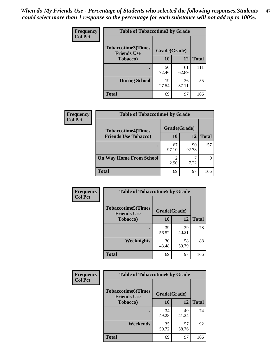*When do My Friends Use - Percentage of Students who selected the following responses.Students could select more than 1 response so the percentage for each substance will not add up to 100%.* **47**

| <b>Frequency</b> | <b>Table of Tobaccotime3 by Grade</b>           |              |             |              |  |
|------------------|-------------------------------------------------|--------------|-------------|--------------|--|
| <b>Col Pct</b>   | <b>Tobaccotime3(Times</b><br><b>Friends Use</b> | Grade(Grade) |             |              |  |
|                  | <b>Tobacco</b> )                                | 10           | 12          | <b>Total</b> |  |
|                  |                                                 | 50<br>72.46  | 61<br>62.89 | 111          |  |
|                  | <b>During School</b>                            | 19<br>27.54  | 36<br>37.11 | 55           |  |
|                  | <b>Total</b>                                    | 69           | 97          | 166          |  |

| <b>Frequency</b> | <b>Table of Tobaccotime4 by Grade</b> |              |             |              |
|------------------|---------------------------------------|--------------|-------------|--------------|
| <b>Col Pct</b>   | <b>Tobaccotime4(Times</b>             | Grade(Grade) |             |              |
|                  | <b>Friends Use Tobacco)</b>           | 10           | 12          | <b>Total</b> |
|                  |                                       | 67<br>97.10  | 90<br>92.78 | 157          |
|                  | <b>On Way Home From School</b>        | 2<br>2.90    | 7.22        | 9            |
|                  | <b>Total</b>                          | 69           | 97          | 166          |

| <b>Frequency</b> | <b>Table of Tobaccotime5 by Grade</b>            |              |             |              |
|------------------|--------------------------------------------------|--------------|-------------|--------------|
| <b>Col Pct</b>   | <b>Tobaccotime5</b> (Times<br><b>Friends Use</b> | Grade(Grade) |             |              |
|                  | <b>Tobacco</b> )                                 | 10           | 12          | <b>Total</b> |
|                  |                                                  | 39<br>56.52  | 39<br>40.21 | 78           |
|                  | Weeknights                                       | 30<br>43.48  | 58<br>59.79 | 88           |
|                  | <b>Total</b>                                     | 69           | 97          | 166          |

| Frequency      | <b>Table of Tobaccotime6 by Grade</b>           |              |             |              |
|----------------|-------------------------------------------------|--------------|-------------|--------------|
| <b>Col Pct</b> | <b>Tobaccotime6(Times</b><br><b>Friends Use</b> | Grade(Grade) |             |              |
|                | <b>Tobacco</b> )                                | 10           | 12          | <b>Total</b> |
|                |                                                 | 34<br>49.28  | 40<br>41.24 | 74           |
|                | Weekends                                        | 35<br>50.72  | 57<br>58.76 | 92           |
|                | <b>Total</b>                                    | 69           | 97          | 166          |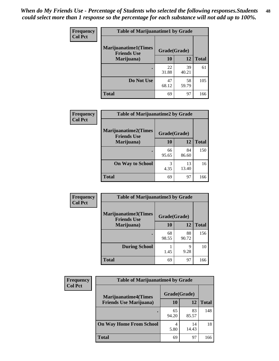| Frequency      | <b>Table of Marijuanatime1 by Grade</b>           |              |             |              |
|----------------|---------------------------------------------------|--------------|-------------|--------------|
| <b>Col Pct</b> | <b>Marijuanatime1(Times</b><br><b>Friends Use</b> | Grade(Grade) |             |              |
|                | Marijuana)                                        | 10           | 12          | <b>Total</b> |
|                |                                                   | 22<br>31.88  | 39<br>40.21 | 61           |
|                | Do Not Use                                        | 47<br>68.12  | 58<br>59.79 | 105          |
|                | <b>Total</b>                                      | 69           | 97          | 166          |

| Frequency      | <b>Table of Marijuanatime2 by Grade</b>           |              |             |              |
|----------------|---------------------------------------------------|--------------|-------------|--------------|
| <b>Col Pct</b> | <b>Marijuanatime2(Times</b><br><b>Friends Use</b> | Grade(Grade) |             |              |
|                | Marijuana)                                        | 10           | 12          | <b>Total</b> |
|                |                                                   | 66<br>95.65  | 84<br>86.60 | 150          |
|                | <b>On Way to School</b>                           | 3<br>4.35    | 13<br>13.40 | 16           |
|                | <b>Total</b>                                      | 69           | 97          | 166          |

| Frequency<br><b>Col Pct</b> | <b>Table of Marijuanatime3 by Grade</b>    |              |             |              |
|-----------------------------|--------------------------------------------|--------------|-------------|--------------|
|                             | Marijuanatime3(Times<br><b>Friends Use</b> | Grade(Grade) |             |              |
|                             | Marijuana)                                 | 10           | 12          | <b>Total</b> |
|                             |                                            | 68<br>98.55  | 88<br>90.72 | 156          |
|                             | <b>During School</b>                       | 1.45         | 9<br>9.28   | 10           |
|                             | <b>Total</b>                               | 69           | 97          | 166          |

| <b>Frequency</b> | <b>Table of Marijuanatime4 by Grade</b> |              |             |              |
|------------------|-----------------------------------------|--------------|-------------|--------------|
| <b>Col Pct</b>   | <b>Marijuanatime4</b> (Times            | Grade(Grade) |             |              |
|                  | <b>Friends Use Marijuana</b> )          | 10           | 12          | <b>Total</b> |
|                  |                                         | 65<br>94.20  | 83<br>85.57 | 148          |
|                  | <b>On Way Home From School</b>          | 4<br>5.80    | 14<br>14.43 | 18           |
|                  | <b>Total</b>                            | 69           | 97          | 166          |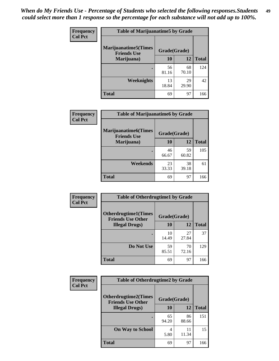| <b>Frequency</b> | <b>Table of Marijuanatime5 by Grade</b>            |              |             |              |
|------------------|----------------------------------------------------|--------------|-------------|--------------|
| <b>Col Pct</b>   | <b>Marijuanatime5</b> (Times<br><b>Friends Use</b> | Grade(Grade) |             |              |
|                  | Marijuana)                                         | 10           | 12          | <b>Total</b> |
|                  |                                                    | 56<br>81.16  | 68<br>70.10 | 124          |
|                  | <b>Weeknights</b>                                  | 13<br>18.84  | 29<br>29.90 | 42           |
|                  | <b>Total</b>                                       | 69           | 97          | 166          |

| Frequency      |                                            | <b>Table of Marijuanatime6 by Grade</b> |             |              |
|----------------|--------------------------------------------|-----------------------------------------|-------------|--------------|
| <b>Col Pct</b> | Marijuanatime6(Times<br><b>Friends Use</b> | Grade(Grade)                            |             |              |
|                | Marijuana)                                 | 10                                      | 12          | <b>Total</b> |
|                |                                            | 46<br>66.67                             | 59<br>60.82 | 105          |
|                | Weekends                                   | 23<br>33.33                             | 38<br>39.18 | 61           |
|                | <b>Total</b>                               | 69                                      | 97          | 166          |

| <b>Frequency</b> | <b>Table of Otherdrugtime1 by Grade</b>                 |              |             |              |
|------------------|---------------------------------------------------------|--------------|-------------|--------------|
| <b>Col Pct</b>   | <b>Otherdrugtime1(Times</b><br><b>Friends Use Other</b> | Grade(Grade) |             |              |
|                  | <b>Illegal Drugs</b> )                                  | 10           | 12          | <b>Total</b> |
|                  |                                                         | 10<br>14.49  | 27<br>27.84 | 37           |
|                  | Do Not Use                                              | 59<br>85.51  | 70<br>72.16 | 129          |
|                  | Total                                                   | 69           | 97          | 166          |

| <b>Frequency</b> | <b>Table of Otherdrugtime2 by Grade</b>                 |              |             |              |  |  |
|------------------|---------------------------------------------------------|--------------|-------------|--------------|--|--|
| <b>Col Pct</b>   | <b>Otherdrugtime2(Times</b><br><b>Friends Use Other</b> | Grade(Grade) |             |              |  |  |
|                  | <b>Illegal Drugs</b> )                                  | 10           | 12          | <b>Total</b> |  |  |
|                  |                                                         | 65<br>94.20  | 86<br>88.66 | 151          |  |  |
|                  | <b>On Way to School</b>                                 | 4<br>5.80    | 11<br>11.34 | 15           |  |  |
|                  | Total                                                   | 69           | 97          | 166          |  |  |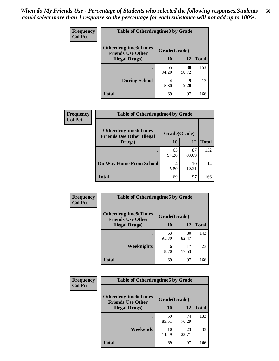| <b>Frequency</b> | <b>Table of Otherdrugtime3 by Grade</b>          |              |             |              |  |
|------------------|--------------------------------------------------|--------------|-------------|--------------|--|
| <b>Col Pct</b>   | Otherdrugtime3(Times<br><b>Friends Use Other</b> | Grade(Grade) |             |              |  |
|                  | <b>Illegal Drugs</b> )                           | 10           | 12          | <b>Total</b> |  |
|                  |                                                  | 65<br>94.20  | 88<br>90.72 | 153          |  |
|                  | <b>During School</b>                             | 4<br>5.80    | 9<br>9.28   | 13           |  |
|                  | Total                                            | 69           | 97          | 166          |  |

| Frequency      | <b>Table of Otherdrugtime4 by Grade</b>                         |              |             |              |  |
|----------------|-----------------------------------------------------------------|--------------|-------------|--------------|--|
| <b>Col Pct</b> | <b>Otherdrugtime4(Times</b><br><b>Friends Use Other Illegal</b> | Grade(Grade) |             |              |  |
|                | Drugs)                                                          | 10           | 12          | <b>Total</b> |  |
|                | ٠                                                               | 65<br>94.20  | 87<br>89.69 | 152          |  |
|                | <b>On Way Home From School</b>                                  | 4<br>5.80    | 10<br>10.31 | 14           |  |
|                | <b>Total</b>                                                    | 69           | 97          | 166          |  |

| <b>Frequency</b> | <b>Table of Otherdrugtime5 by Grade</b>                  |              |             |              |  |  |
|------------------|----------------------------------------------------------|--------------|-------------|--------------|--|--|
| <b>Col Pct</b>   | <b>Otherdrugtime5</b> (Times<br><b>Friends Use Other</b> | Grade(Grade) |             |              |  |  |
|                  | <b>Illegal Drugs</b> )                                   | 10           | 12          | <b>Total</b> |  |  |
|                  |                                                          | 63<br>91.30  | 80<br>82.47 | 143          |  |  |
|                  | Weeknights                                               | 6<br>8.70    | 17<br>17.53 | 23           |  |  |
|                  | <b>Total</b>                                             | 69           | 97          | 166          |  |  |

| <b>Frequency</b> | <b>Table of Otherdrugtime6 by Grade</b>                  |              |             |              |  |  |
|------------------|----------------------------------------------------------|--------------|-------------|--------------|--|--|
| <b>Col Pct</b>   | <b>Otherdrugtime6</b> (Times<br><b>Friends Use Other</b> | Grade(Grade) |             |              |  |  |
|                  | <b>Illegal Drugs</b> )                                   | 10           | 12          | <b>Total</b> |  |  |
|                  |                                                          | 59<br>85.51  | 74<br>76.29 | 133          |  |  |
|                  | Weekends                                                 | 10<br>14.49  | 23<br>23.71 | 33           |  |  |
|                  | Total                                                    | 69           | 97          | 166          |  |  |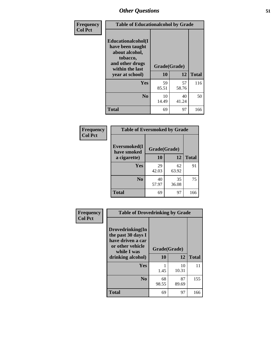| Frequency      | <b>Table of Educationalcohol by Grade</b>                                                                  |              |             |              |  |
|----------------|------------------------------------------------------------------------------------------------------------|--------------|-------------|--------------|--|
| <b>Col Pct</b> | Educationalcohol(I<br>have been taught<br>about alcohol,<br>tobacco,<br>and other drugs<br>within the last | Grade(Grade) |             |              |  |
|                | year at school)                                                                                            | 10           | 12          | <b>Total</b> |  |
|                | Yes                                                                                                        | 59<br>85.51  | 57<br>58.76 | 116          |  |
|                | N <sub>0</sub>                                                                                             | 10<br>14.49  | 40<br>41.24 | 50           |  |
|                | <b>Total</b>                                                                                               | 69           | 97          | 166          |  |

| Frequency      | <b>Table of Eversmoked by Grade</b> |              |             |              |  |  |
|----------------|-------------------------------------|--------------|-------------|--------------|--|--|
| <b>Col Pct</b> | Eversmoked(I<br>have smoked         | Grade(Grade) |             |              |  |  |
|                | a cigarette)                        | 10           | 12          | <b>Total</b> |  |  |
|                | <b>Yes</b>                          | 29<br>42.03  | 62<br>63.92 | 91           |  |  |
|                | N <sub>0</sub>                      | 40<br>57.97  | 35<br>36.08 | 75           |  |  |
|                | <b>Total</b>                        | 69           | 97          | 166          |  |  |

| Frequency<br><b>Col Pct</b> | <b>Table of Drovedrinking by Grade</b>                                                                              |                    |             |              |
|-----------------------------|---------------------------------------------------------------------------------------------------------------------|--------------------|-------------|--------------|
|                             | Drovedrinking(In<br>the past 30 days I<br>have driven a car<br>or other vehicle<br>while I was<br>drinking alcohol) | Grade(Grade)<br>10 | 12          | <b>Total</b> |
|                             | <b>Yes</b>                                                                                                          | 1.45               | 10<br>10.31 | 11           |
|                             | N <sub>0</sub>                                                                                                      | 68<br>98.55        | 87<br>89.69 | 155          |
|                             | <b>Total</b>                                                                                                        | 69                 | 97          | 166          |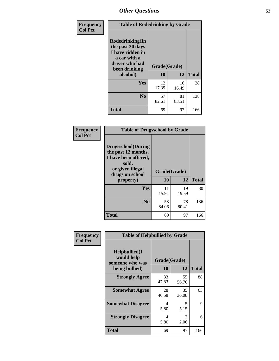| Frequency<br><b>Col Pct</b> | <b>Table of Rodedrinking by Grade</b>                                                                                      |             |             |              |  |
|-----------------------------|----------------------------------------------------------------------------------------------------------------------------|-------------|-------------|--------------|--|
|                             | Rodedrinking(In<br>the past 30 days<br>I have ridden in<br>a car with a<br>driver who had<br>Grade(Grade)<br>been drinking |             |             |              |  |
|                             | alcohol)                                                                                                                   | 10          | 12          | <b>Total</b> |  |
|                             | <b>Yes</b>                                                                                                                 | 12<br>17.39 | 16<br>16.49 | 28           |  |
|                             | N <sub>0</sub>                                                                                                             | 57<br>82.61 | 81<br>83.51 | 138          |  |
|                             | <b>Total</b>                                                                                                               | 69          | 97          | 166          |  |

#### **Frequency Col Pct**

| <b>Table of Drugsschool by Grade</b>                                                                                      |              |             |              |  |  |
|---------------------------------------------------------------------------------------------------------------------------|--------------|-------------|--------------|--|--|
| <b>Drugsschool</b> (During<br>the past 12 months,<br>I have been offered,<br>sold,<br>or given illegal<br>drugs on school | Grade(Grade) |             |              |  |  |
| property)                                                                                                                 | 10           | 12          | <b>Total</b> |  |  |
| Yes                                                                                                                       | 11<br>15.94  | 19<br>19.59 | 30           |  |  |
| N <sub>0</sub>                                                                                                            | 58<br>84.06  | 78<br>80.41 | 136          |  |  |
| <b>Total</b>                                                                                                              | 69           | 97          | 166          |  |  |

| Frequency      | <b>Table of Helpbullied by Grade</b>                 |              |                        |              |  |  |  |
|----------------|------------------------------------------------------|--------------|------------------------|--------------|--|--|--|
| <b>Col Pct</b> | $Helpb$ ullied $(I$<br>would help<br>someone who was | Grade(Grade) |                        |              |  |  |  |
|                | being bullied)                                       | 10           | 12                     | <b>Total</b> |  |  |  |
|                | <b>Strongly Agree</b>                                | 33<br>47.83  | 55<br>56.70            | 88           |  |  |  |
|                | <b>Somewhat Agree</b>                                | 28<br>40.58  | 35<br>36.08            | 63           |  |  |  |
|                | <b>Somewhat Disagree</b>                             | 4<br>5.80    | 5<br>5.15              | 9            |  |  |  |
|                | <b>Strongly Disagree</b>                             | 4<br>5.80    | $\mathfrak{D}$<br>2.06 | 6            |  |  |  |
|                | <b>Total</b>                                         | 69           | 97                     | 166          |  |  |  |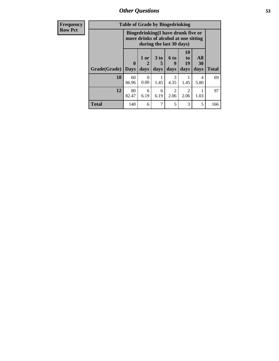*Other Questions* **53**

| <b>Frequency</b> | <b>Table of Grade by Bingedrinking</b> |                         |                                                                             |                          |                        |                        |                   |              |
|------------------|----------------------------------------|-------------------------|-----------------------------------------------------------------------------|--------------------------|------------------------|------------------------|-------------------|--------------|
| <b>Row Pct</b>   |                                        |                         | Bingedrinking(I have drunk five or<br>more drinks of alcohol at one sitting | during the last 30 days) |                        |                        |                   |              |
|                  | Grade(Grade)                           | $\bf{0}$<br><b>Days</b> | $1$ or<br>days                                                              | $3$ to<br>5<br>days      | $6$ to<br>9<br>days    | 10<br>to<br>19<br>days | All<br>30<br>days | <b>Total</b> |
|                  | 10                                     | 60<br>86.96             | 0<br>0.00                                                                   | 1.45                     | 3<br>4.35              | 1.45                   | 4<br>5.80         | 69           |
|                  | 12                                     | 80<br>82.47             | 6<br>6.19                                                                   | 6<br>6.19                | $\mathfrak{D}$<br>2.06 | $\mathfrak{D}$<br>2.06 | 1.03              | 97           |
|                  | <b>Total</b>                           | 140                     | 6                                                                           | 7                        | 5                      | 3                      | 5                 | 166          |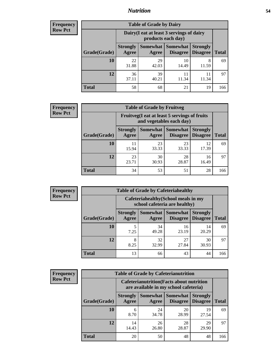## *Nutrition* **54**

| <b>Frequency</b><br>Row Pct |
|-----------------------------|
|                             |

| <b>Table of Grade by Dairy</b> |                          |                                                                 |                             |                                    |              |
|--------------------------------|--------------------------|-----------------------------------------------------------------|-----------------------------|------------------------------------|--------------|
|                                |                          | Dairy (I eat at least 3 servings of dairy<br>products each day) |                             |                                    |              |
| Grade(Grade)                   | <b>Strongly</b><br>Agree | Somewhat  <br>Agree                                             | <b>Somewhat</b><br>Disagree | <b>Strongly</b><br><b>Disagree</b> | <b>Total</b> |
| <b>10</b>                      | 22<br>31.88              | 29<br>42.03                                                     | 10<br>14.49                 | 8<br>11.59                         | 69           |
| 12                             | 36<br>37.11              | 39<br>40.21                                                     | 11<br>11.34                 | 11<br>11.34                        | 97           |
| <b>Total</b>                   | 58                       | 68                                                              | 21                          | 19                                 | 166          |

| <b>Frequency</b> |  |
|------------------|--|
| <b>Row Pct</b>   |  |

| <b>Table of Grade by Fruitveg</b> |                          |                                                                          |             |                                             |              |  |
|-----------------------------------|--------------------------|--------------------------------------------------------------------------|-------------|---------------------------------------------|--------------|--|
|                                   |                          | Fruitveg(I eat at least 5 servings of fruits<br>and vegetables each day) |             |                                             |              |  |
| Grade(Grade)                      | <b>Strongly</b><br>Agree | Somewhat<br>Agree                                                        | Somewhat    | <b>Strongly</b><br><b>Disagree</b> Disagree | <b>Total</b> |  |
| 10                                | 11<br>15.94              | 23<br>33.33                                                              | 23<br>33.33 | 12<br>17.39                                 | 69           |  |
| 12                                | 23<br>23.71              | 30<br>30.93                                                              | 28<br>28.87 | 16<br>16.49                                 | 97           |  |
| <b>Total</b>                      | 34                       | 53                                                                       | 51          | 28                                          | 166          |  |

| <b>Frequency</b> |
|------------------|
| <b>Row Pct</b>   |

| <b>Table of Grade by Cafeteriahealthy</b> |                          |                                                                       |                                        |                                    |              |  |  |
|-------------------------------------------|--------------------------|-----------------------------------------------------------------------|----------------------------------------|------------------------------------|--------------|--|--|
|                                           |                          | Cafeteriahealthy (School meals in my<br>school cafeteria are healthy) |                                        |                                    |              |  |  |
| Grade(Grade)                              | <b>Strongly</b><br>Agree | Agree                                                                 | <b>Somewhat   Somewhat</b><br>Disagree | <b>Strongly</b><br><b>Disagree</b> | <b>Total</b> |  |  |
| 10                                        | 5<br>7.25                | 34<br>49.28                                                           | 16<br>23.19                            | 14<br>20.29                        | 69           |  |  |
| 12                                        | 8<br>8.25                | 32<br>32.99                                                           | 27<br>27.84                            | 30<br>30.93                        | 97           |  |  |
| <b>Total</b>                              | 13                       | 66                                                                    | 43                                     | 44                                 | 166          |  |  |

**Frequency Row Pct**

| <b>Table of Grade by Cafeterianutrition</b> |                                                                                           |                   |                      |                                    |              |
|---------------------------------------------|-------------------------------------------------------------------------------------------|-------------------|----------------------|------------------------------------|--------------|
|                                             | <b>Cafeterianutrition</b> (Facts about nutrition<br>are available in my school cafeteria) |                   |                      |                                    |              |
| Grade(Grade)                                | <b>Strongly</b><br>Agree                                                                  | Somewhat<br>Agree | Somewhat<br>Disagree | <b>Strongly</b><br><b>Disagree</b> | <b>Total</b> |
| 10                                          | 6<br>8.70                                                                                 | 24<br>34.78       | 20<br>28.99          | 19<br>27.54                        | 69           |
| 12                                          | 14<br>14.43                                                                               | 26<br>26.80       | 28<br>28.87          | 29<br>29.90                        | 97           |
| <b>Total</b>                                | 20                                                                                        | 50                | 48                   | 48                                 | 166          |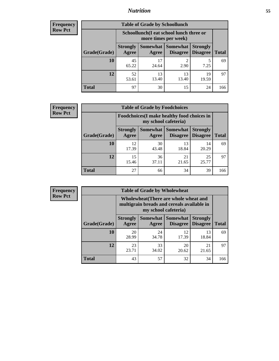## *Nutrition* **55**

| <b>Frequency</b> |
|------------------|
| Row Pct          |

| <b>Table of Grade by Schoollunch</b> |                          |                                                                 |                             |                                    |              |
|--------------------------------------|--------------------------|-----------------------------------------------------------------|-----------------------------|------------------------------------|--------------|
|                                      |                          | Schoollunch(I eat school lunch three or<br>more times per week) |                             |                                    |              |
| Grade(Grade)                         | <b>Strongly</b><br>Agree | Somewhat  <br>Agree                                             | <b>Somewhat</b><br>Disagree | <b>Strongly</b><br><b>Disagree</b> | <b>Total</b> |
| 10                                   | 45<br>65.22              | 17<br>24.64                                                     | 2.90                        | 5<br>7.25                          | 69           |
| 12                                   | 52<br>53.61              | 13<br>13.40                                                     | 13<br>13.40                 | 19<br>19.59                        | 97           |
| <b>Total</b>                         | 97                       | 30                                                              | 15                          | 24                                 | 166          |

| <b>Frequency</b> |  |
|------------------|--|
| <b>Row Pct</b>   |  |

| V | <b>Table of Grade by Foodchoices</b> |                                                                     |             |                               |                                    |              |
|---|--------------------------------------|---------------------------------------------------------------------|-------------|-------------------------------|------------------------------------|--------------|
|   |                                      | Foodchoices (I make healthy food choices in<br>my school cafeteria) |             |                               |                                    |              |
|   | Grade(Grade)                         | <b>Strongly</b><br>Agree                                            | Agree       | Somewhat Somewhat<br>Disagree | <b>Strongly</b><br><b>Disagree</b> | <b>Total</b> |
|   | 10                                   | 12<br>17.39                                                         | 30<br>43.48 | 13<br>18.84                   | 14<br>20.29                        | 69           |
|   | 12                                   | 15<br>15.46                                                         | 36<br>37.11 | 21<br>21.65                   | 25<br>25.77                        | 97           |
|   | <b>Total</b>                         | 27                                                                  | 66          | 34                            | 39                                 | 166          |

| <b>Frequency</b> |
|------------------|
| <b>Row Pct</b>   |

п

| <b>Table of Grade by Wholewheat</b> |                          |                                                                                                             |                      |                                    |              |  |
|-------------------------------------|--------------------------|-------------------------------------------------------------------------------------------------------------|----------------------|------------------------------------|--------------|--|
|                                     |                          | Wholewheat (There are whole wheat and<br>multigrain breads and cereals available in<br>my school cafeteria) |                      |                                    |              |  |
| Grade(Grade)                        | <b>Strongly</b><br>Agree | Somewhat  <br>Agree                                                                                         | Somewhat<br>Disagree | <b>Strongly</b><br><b>Disagree</b> | <b>Total</b> |  |
| <b>10</b>                           | 20<br>28.99              | 24<br>34.78                                                                                                 | 12<br>17.39          | 13<br>18.84                        | 69           |  |
| 12                                  | 23<br>23.71              | 33<br>34.02                                                                                                 | 20<br>20.62          | 21<br>21.65                        | 97           |  |
| <b>Total</b>                        | 43                       | 57                                                                                                          | 32                   | 34                                 | 166          |  |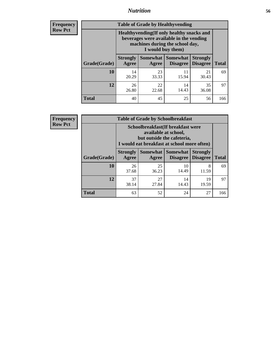## *Nutrition* **56**

**Frequency Row Pct**

| <b>Table of Grade by Healthyvending</b> |                                                                                                                                               |             |                                        |                                    |              |  |
|-----------------------------------------|-----------------------------------------------------------------------------------------------------------------------------------------------|-------------|----------------------------------------|------------------------------------|--------------|--|
|                                         | Healthyvending (If only healthy snacks and<br>beverages were available in the vending<br>machines during the school day,<br>I would buy them) |             |                                        |                                    |              |  |
| Grade(Grade)                            | <b>Strongly</b><br>Agree                                                                                                                      | Agree       | Somewhat   Somewhat<br><b>Disagree</b> | <b>Strongly</b><br><b>Disagree</b> | <b>Total</b> |  |
| 10                                      | 14<br>20.29                                                                                                                                   | 23<br>33.33 | 11<br>15.94                            | 21<br>30.43                        | 69           |  |
| 12                                      | 26<br>26.80                                                                                                                                   | 22<br>22.68 | 14<br>14.43                            | 35<br>36.08                        | 97           |  |
| <b>Total</b>                            | 40                                                                                                                                            | 45          | 25                                     | 56                                 | 166          |  |

**Frequency Row Pct**

| <b>Table of Grade by Schoolbreakfast</b> |                                                                                                                                         |             |                                        |                                    |              |  |
|------------------------------------------|-----------------------------------------------------------------------------------------------------------------------------------------|-------------|----------------------------------------|------------------------------------|--------------|--|
|                                          | Schoolbreakfast (If breakfast were<br>available at school,<br>but outside the cafeteria,<br>I would eat breakfast at school more often) |             |                                        |                                    |              |  |
| Grade(Grade)                             | <b>Strongly</b><br>Agree                                                                                                                | Agree       | Somewhat   Somewhat<br><b>Disagree</b> | <b>Strongly</b><br><b>Disagree</b> | <b>Total</b> |  |
| 10                                       | 26<br>37.68                                                                                                                             | 25<br>36.23 | 10<br>14.49                            | 8<br>11.59                         | 69           |  |
| 12                                       | 37<br>38.14                                                                                                                             | 27<br>27.84 | 14<br>14.43                            | 19<br>19.59                        | 97           |  |
| <b>Total</b>                             | 63                                                                                                                                      | 52          | 24                                     | 27                                 | 166          |  |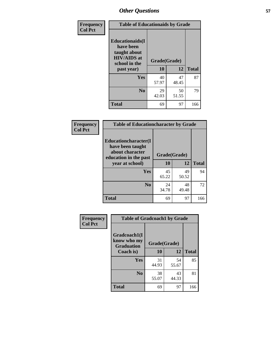| Frequency<br><b>Col Pct</b> | <b>Table of Educationaids by Grade</b>                                                                    |                    |             |              |
|-----------------------------|-----------------------------------------------------------------------------------------------------------|--------------------|-------------|--------------|
|                             | <b>Educationaids</b> (I<br>have been<br>taught about<br><b>HIV/AIDS</b> at<br>school in the<br>past year) | Grade(Grade)<br>10 | 12          | <b>Total</b> |
|                             | Yes                                                                                                       | 40                 | 47          | 87           |
|                             |                                                                                                           | 57.97              | 48.45       |              |
|                             | N <sub>0</sub>                                                                                            | 29<br>42.03        | 50<br>51.55 | 79           |
|                             | <b>Total</b>                                                                                              | 69                 | 97          | 166          |

| Frequency      | <b>Table of Educationcharacter by Grade</b>                         |              |             |              |
|----------------|---------------------------------------------------------------------|--------------|-------------|--------------|
| <b>Col Pct</b> | <b>Educationcharacter(I)</b><br>have been taught<br>about character |              |             |              |
|                | education in the past                                               | Grade(Grade) |             |              |
|                | year at school)                                                     | 10           | 12          | <b>Total</b> |
|                | Yes                                                                 | 45<br>65.22  | 49<br>50.52 | 94           |
|                |                                                                     |              |             |              |
|                | N <sub>0</sub>                                                      | 24<br>34.78  | 48<br>49.48 | 72           |
|                | <b>Total</b>                                                        | 69           | 97          | 166          |

| Frequency      | <b>Table of Gradcoach1 by Grade</b>              |              |             |              |
|----------------|--------------------------------------------------|--------------|-------------|--------------|
| <b>Col Pct</b> | Gradcoach1(I<br>know who my<br><b>Graduation</b> | Grade(Grade) |             |              |
|                | Coach is)                                        | 10           | 12          | <b>Total</b> |
|                | Yes                                              | 31<br>44.93  | 54<br>55.67 | 85           |
|                | N <sub>0</sub>                                   | 38<br>55.07  | 43<br>44.33 | 81           |
|                | <b>Total</b>                                     | 69           | 97          | 166          |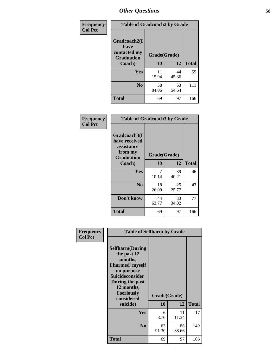| Frequency      | <b>Table of Gradcoach2 by Grade</b>                                 |              |             |              |
|----------------|---------------------------------------------------------------------|--------------|-------------|--------------|
| <b>Col Pct</b> | Gradcoach2(I<br>have<br>contacted my<br><b>Graduation</b><br>Coach) | Grade(Grade) |             |              |
|                |                                                                     | 10           | 12          | <b>Total</b> |
|                | Yes                                                                 | 11<br>15.94  | 44<br>45.36 | 55           |
|                | N <sub>0</sub>                                                      | 58<br>84.06  | 53<br>54.64 | 111          |
|                | <b>Total</b>                                                        | 69           | 97          | 166          |

| Frequency<br><b>Col Pct</b> | <b>Table of Gradcoach3 by Grade</b>                                         |              |             |              |
|-----------------------------|-----------------------------------------------------------------------------|--------------|-------------|--------------|
|                             | Gradcoach3(I<br>have received<br>assistance<br>from my<br><b>Graduation</b> | Grade(Grade) |             |              |
|                             | Coach)                                                                      | 10           | 12          | <b>Total</b> |
|                             | Yes                                                                         | 7<br>10.14   | 39<br>40.21 | 46           |
|                             | N <sub>0</sub>                                                              | 18<br>26.09  | 25<br>25.77 | 43           |
|                             | Don't know                                                                  | 44<br>63.77  | 33<br>34.02 | 77           |
|                             | <b>Total</b>                                                                | 69           | 97          | 166          |

| Frequency      | <b>Table of Selfharm by Grade</b>                                                                                                                                                      |                    |             |              |
|----------------|----------------------------------------------------------------------------------------------------------------------------------------------------------------------------------------|--------------------|-------------|--------------|
| <b>Col Pct</b> | <b>Selfharm</b> (During<br>the past 12<br>months,<br>I harmed myself<br>on purpose<br><b>Suicideconsider</b><br>During the past<br>12 months,<br>I seriously<br>considered<br>suicide) | Grade(Grade)<br>10 | 12          | <b>Total</b> |
|                | Yes                                                                                                                                                                                    | 6<br>8.70          | 11<br>11.34 | 17           |
|                | N <sub>0</sub>                                                                                                                                                                         | 63<br>91.30        | 86<br>88.66 | 149          |
|                | Total                                                                                                                                                                                  | 69                 | 97          | 166          |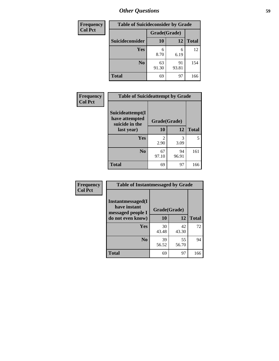| <b>Frequency</b> | <b>Table of Suicideconsider by Grade</b> |              |             |              |
|------------------|------------------------------------------|--------------|-------------|--------------|
| <b>Col Pct</b>   |                                          | Grade(Grade) |             |              |
|                  | Suicideconsider                          | <b>10</b>    | 12          | <b>Total</b> |
|                  | Yes                                      | 6<br>8.70    | 6<br>6.19   | 12           |
|                  | N <sub>0</sub>                           | 63<br>91.30  | 91<br>93.81 | 154          |
|                  | <b>Total</b>                             | 69           | 97          | 166          |

| Frequency      | <b>Table of Suicideattempt by Grade</b>              |                                     |             |              |
|----------------|------------------------------------------------------|-------------------------------------|-------------|--------------|
| <b>Col Pct</b> | Suicideattempt(I<br>have attempted<br>suicide in the | Grade(Grade)                        |             |              |
|                | last year)                                           | 10                                  | 12          | <b>Total</b> |
|                | Yes                                                  | $\mathcal{D}_{\mathcal{L}}$<br>2.90 | 3<br>3.09   | 5            |
|                | N <sub>0</sub>                                       | 67<br>97.10                         | 94<br>96.91 | 161          |
|                | <b>Total</b>                                         | 69                                  | 97          | 166          |

| Frequency      | <b>Table of Instantmessaged by Grade</b>                |              |             |              |
|----------------|---------------------------------------------------------|--------------|-------------|--------------|
| <b>Col Pct</b> | Instantmessaged(I)<br>have instant<br>messaged people I | Grade(Grade) |             |              |
|                | do not even know)                                       | 10           | 12          | <b>Total</b> |
|                | Yes                                                     | 30<br>43.48  | 42<br>43.30 | 72           |
|                | N <sub>0</sub>                                          | 39<br>56.52  | 55<br>56.70 | 94           |
|                | <b>Total</b>                                            | 69           | 97          | 166          |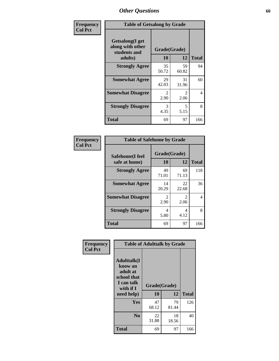| Frequency      | <b>Table of Getsalong by Grade</b>                          |              |             |              |  |  |  |
|----------------|-------------------------------------------------------------|--------------|-------------|--------------|--|--|--|
| <b>Col Pct</b> | <b>Getsalong</b> (I get<br>along with other<br>students and | Grade(Grade) |             |              |  |  |  |
|                | adults)                                                     | 10           | 12          | <b>Total</b> |  |  |  |
|                | <b>Strongly Agree</b>                                       | 35<br>50.72  | 59<br>60.82 | 94           |  |  |  |
|                | <b>Somewhat Agree</b>                                       | 29<br>42.03  | 31<br>31.96 | 60           |  |  |  |
|                | <b>Somewhat Disagree</b>                                    | 2<br>2.90    | 2<br>2.06   | 4            |  |  |  |
|                | <b>Strongly Disagree</b>                                    | 3<br>4.35    | 5<br>5.15   | 8            |  |  |  |
|                | <b>Total</b>                                                | 69           | 97          | 166          |  |  |  |

| Frequency      | <b>Table of Safehome by Grade</b> |                           |                                     |              |  |  |  |
|----------------|-----------------------------------|---------------------------|-------------------------------------|--------------|--|--|--|
| <b>Col Pct</b> | Safehome(I feel<br>safe at home)  | Grade(Grade)<br><b>10</b> | 12                                  | <b>Total</b> |  |  |  |
|                | <b>Strongly Agree</b>             | 49<br>71.01               | 69<br>71.13                         | 118          |  |  |  |
|                | <b>Somewhat Agree</b>             | 14<br>20.29               | 22<br>22.68                         | 36           |  |  |  |
|                | <b>Somewhat Disagree</b>          | 2<br>2.90                 | $\mathcal{D}_{\mathcal{L}}$<br>2.06 | 4            |  |  |  |
|                | <b>Strongly Disagree</b>          | 4<br>5.80                 | 4<br>4.12                           | 8            |  |  |  |
|                | <b>Total</b>                      | 69                        | 97                                  | 166          |  |  |  |

| Frequency      |                                                                                                    |                    | <b>Table of Adulttalk by Grade</b> |              |
|----------------|----------------------------------------------------------------------------------------------------|--------------------|------------------------------------|--------------|
| <b>Col Pct</b> | <b>Adulttalk</b> (I<br>know an<br>adult at<br>school that<br>I can talk<br>with if I<br>need help) | Grade(Grade)<br>10 | 12                                 | <b>Total</b> |
|                |                                                                                                    |                    |                                    |              |
|                | <b>Yes</b>                                                                                         | 47<br>68.12        | 79<br>81.44                        | 126          |
|                | N <sub>0</sub>                                                                                     | 22<br>31.88        | 18<br>18.56                        | 40           |
|                | <b>Total</b>                                                                                       | 69                 | 97                                 | 166          |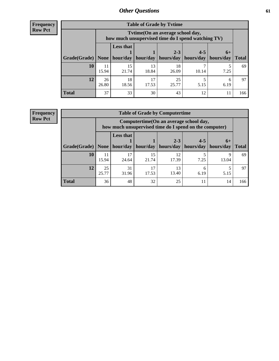**Frequency Row Pct**

| <b>Table of Grade by Tvtime</b> |             |                                                                                         |                     |                        |                                    |           |              |  |  |  |
|---------------------------------|-------------|-----------------------------------------------------------------------------------------|---------------------|------------------------|------------------------------------|-----------|--------------|--|--|--|
|                                 |             | Tytime (On an average school day,<br>how much unsupervised time do I spend watching TV) |                     |                        |                                    |           |              |  |  |  |
| Grade(Grade)   None             |             | <b>Less that</b>                                                                        | hour/day   hour/day | $2 - 3$<br>  hours/day | $4 - 5$<br>  hours/day   hours/day | $6+$      | <b>Total</b> |  |  |  |
| 10                              | 11<br>15.94 | 15<br>21.74                                                                             | 13<br>18.84         | 18<br>26.09            | 10.14                              | 7.25      | 69           |  |  |  |
| 12                              | 26<br>26.80 | 18<br>18.56                                                                             | 17<br>17.53         | 25<br>25.77            | 5.15                               | 6<br>6.19 | 97           |  |  |  |
| <b>Total</b>                    | 37          | 33                                                                                      | 30                  | 43                     | 12                                 |           | 166          |  |  |  |

**Frequency Row Pct**

| <b>Table of Grade by Computertime</b> |             |                                                                                                   |             |                        |                      |                   |              |  |  |
|---------------------------------------|-------------|---------------------------------------------------------------------------------------------------|-------------|------------------------|----------------------|-------------------|--------------|--|--|
|                                       |             | Computertime (On an average school day,<br>how much unsupervised time do I spend on the computer) |             |                        |                      |                   |              |  |  |
| Grade(Grade)                          | None        | <b>Less that</b><br>hour/day                                                                      | hour/day    | $2 - 3$<br>  hours/day | $4 - 5$<br>hours/day | $6+$<br>hours/day | <b>Total</b> |  |  |
| 10                                    | 11<br>15.94 | 17<br>24.64                                                                                       | 15<br>21.74 | 12<br>17.39            | 7.25                 | Q<br>13.04        | 69           |  |  |
| 12                                    | 25<br>25.77 | 31<br>17<br>13<br>6<br>13.40<br>31.96<br>17.53<br>6.19<br>5.15                                    |             |                        |                      |                   |              |  |  |
| <b>Total</b>                          | 36          | 48                                                                                                | 32          | 25                     | 11                   | 14                | 166          |  |  |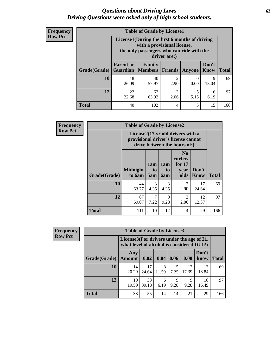#### *Questions about Driving Laws* **62** *Driving Questions were asked only of high school students.*

| <b>Frequency</b> |
|------------------|
| <b>Row Pct</b>   |

| <b>Table of Grade by License1</b> |                                                                                |                                                                                                                                           |                |               |               |              |  |  |  |
|-----------------------------------|--------------------------------------------------------------------------------|-------------------------------------------------------------------------------------------------------------------------------------------|----------------|---------------|---------------|--------------|--|--|--|
|                                   |                                                                                | License1(During the first 6 months of driving<br>with a provisional license,<br>the only passengers who can ride with the<br>driver are:) |                |               |               |              |  |  |  |
| Grade(Grade)                      | <b>Parent or</b>                                                               | <b>Family</b><br><b>Guardian</b>   Members                                                                                                | <b>Friends</b> | <b>Anyone</b> | Don't<br>Know | <b>Total</b> |  |  |  |
| 10                                | 18<br>26.09                                                                    | 40<br>57.97                                                                                                                               | 2<br>2.90      | 0.00          | 9<br>13.04    | 69           |  |  |  |
| 12                                | 62<br>$\overline{c}$<br>22<br>5<br>6<br>5.15<br>22.68<br>6.19<br>63.92<br>2.06 |                                                                                                                                           |                |               |               |              |  |  |  |
| Total                             | 40                                                                             | 102                                                                                                                                       | 4              | 5             | 15            | 166          |  |  |  |

| <b>Frequency</b> |                     | <b>Table of Grade by License2</b>                                                                        |                  |                                     |                                                      |               |              |  |  |
|------------------|---------------------|----------------------------------------------------------------------------------------------------------|------------------|-------------------------------------|------------------------------------------------------|---------------|--------------|--|--|
| <b>Row Pct</b>   |                     | License2(17 yr old drivers with a<br>provisional driver's license cannot<br>drive between the hours of:) |                  |                                     |                                                      |               |              |  |  |
|                  | <b>Grade(Grade)</b> | <b>Midnight</b><br>to 6am                                                                                | 1am<br>to<br>5am | 1am<br>t <sub>0</sub><br><b>6am</b> | N <sub>0</sub><br>curfew<br>for $17$<br>vear<br>olds | Don't<br>Know | <b>Total</b> |  |  |
|                  | 10                  | 44<br>63.77                                                                                              | 3<br>4.35        | 3<br>4.35                           | $\overline{2}$<br>2.90                               | 17<br>24.64   | 69           |  |  |
|                  | 12                  | 67<br>69.07                                                                                              | 7<br>7.22        | 9<br>9.28                           | $\overline{2}$<br>2.06                               | 12<br>12.37   | 97           |  |  |
|                  | <b>Total</b>        | 111                                                                                                      | 10               | 12                                  | 4                                                    | 29            | 166          |  |  |

| Frequency      |              | <b>Table of Grade by License3</b> |                                                                                        |            |           |             |               |              |  |
|----------------|--------------|-----------------------------------|----------------------------------------------------------------------------------------|------------|-----------|-------------|---------------|--------------|--|
| <b>Row Pct</b> |              |                                   | License3(For drivers under the age of 21,<br>what level of alcohol is considered DUI?) |            |           |             |               |              |  |
|                | Grade(Grade) | Any<br><b>Amount</b>              | 0.02                                                                                   | 0.04       | 0.06      | 0.08        | Don't<br>know | <b>Total</b> |  |
|                | 10           | 14<br>20.29                       | 17<br>24.64                                                                            | 8<br>11.59 | 7.25      | 12<br>17.39 | 13<br>18.84   | 69           |  |
|                | 12           | 19<br>19.59                       | 38<br>39.18                                                                            | 6<br>6.19  | 9<br>9.28 | 9<br>9.28   | 16<br>16.49   | 97           |  |
|                | <b>Total</b> | 33                                | 55                                                                                     | 14         | 14        | 21          | 29            | 166          |  |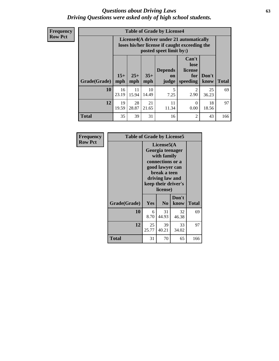#### *Questions about Driving Laws* **63** *Driving Questions were asked only of high school students.*

**Frequency Row Pct**

| <b>Table of Grade by License4</b> |              |                                                                                                                                                      |             |           |           |             |     |  |
|-----------------------------------|--------------|------------------------------------------------------------------------------------------------------------------------------------------------------|-------------|-----------|-----------|-------------|-----|--|
|                                   |              | License4(A driver under 21 automatically<br>loses his/her license if caught exceeding the<br>posted speet limit by:)                                 |             |           |           |             |     |  |
| Grade(Grade)                      | $15+$<br>mph | Can't<br>lose<br><b>Depends</b><br>license<br>$25+$<br>$35+$<br>Don't<br>for<br><b>on</b><br><b>Total</b><br>mph<br>speeding<br>know<br>mph<br>judge |             |           |           |             |     |  |
| 10                                | 16<br>23.19  | 11<br>15.94                                                                                                                                          | 10<br>14.49 | 5<br>7.25 | 2<br>2.90 | 25<br>36.23 | 69  |  |
| 12                                | 19<br>19.59  | 11<br>28<br>21<br>18<br>0<br>28.87<br>21.65<br>11.34<br>0.00<br>18.56                                                                                |             |           |           |             |     |  |
| <b>Total</b>                      | 35           | 39                                                                                                                                                   | 31          | 16        | 2         | 43          | 166 |  |

| Frequency      | <b>Table of Grade by License5</b> |                                                                                                                                                             |                |               |              |
|----------------|-----------------------------------|-------------------------------------------------------------------------------------------------------------------------------------------------------------|----------------|---------------|--------------|
| <b>Row Pct</b> |                                   | License5(A)<br>Georgia teenager<br>with family<br>connections or a<br>good lawyer can<br>break a teen<br>driving law and<br>keep their driver's<br>license) |                |               |              |
|                | Grade(Grade)                      | Yes                                                                                                                                                         | N <sub>0</sub> | Don't<br>know | <b>Total</b> |
|                | 10                                | 6<br>8.70                                                                                                                                                   | 31<br>44.93    | 32<br>46.38   | 69           |
|                | 12                                | 25<br>25.77                                                                                                                                                 | 39<br>40.21    | 33<br>34.02   | 97           |
|                | Total                             | 31                                                                                                                                                          | 70             | 65            | 166          |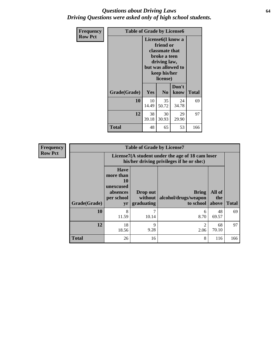### *Questions about Driving Laws* **64** *Driving Questions were asked only of high school students.*

| <b>Frequency</b> |              | <b>Table of Grade by License6</b>         |                                                                                                                                                 |               |              |  |  |
|------------------|--------------|-------------------------------------------|-------------------------------------------------------------------------------------------------------------------------------------------------|---------------|--------------|--|--|
| <b>Row Pct</b>   |              |                                           | License <sub>6</sub> (I know a<br>friend or<br>classmate that<br>broke a teen<br>driving law,<br>but was allowed to<br>keep his/her<br>license) |               |              |  |  |
|                  | Grade(Grade) | Yes                                       | N <sub>0</sub>                                                                                                                                  | Don't<br>know | <b>Total</b> |  |  |
|                  | 10           | 10<br>14.49                               | 35<br>50.72                                                                                                                                     | 24<br>34.78   | 69           |  |  |
|                  | 12           | 38<br>30<br>29<br>39.18<br>30.93<br>29.90 |                                                                                                                                                 |               | 97           |  |  |
|                  | Total        | 48                                        | 65                                                                                                                                              | 53            | 166          |  |  |

| <b>Frequency</b> | <b>Table of Grade by License7</b> |                                                                                               |                                     |                                                   |                        |              |
|------------------|-----------------------------------|-----------------------------------------------------------------------------------------------|-------------------------------------|---------------------------------------------------|------------------------|--------------|
| <b>Row Pct</b>   |                                   | License7(A student under the age of 18 cam loser<br>his/her driving privileges if he or she:) |                                     |                                                   |                        |              |
|                  | <b>Grade(Grade)</b>               | <b>Have</b><br>more than<br>10<br>unexcused<br>absences<br>per school<br>yr                   | Drop out<br>without  <br>graduating | <b>Bring</b><br>alcohol/drugs/weapon<br>to school | All of<br>the<br>above | <b>Total</b> |
|                  | 10                                | 8<br>11.59                                                                                    | 10.14                               | 6<br>8.70                                         | 48<br>69.57            | 69           |
|                  | 12                                | 18<br>18.56                                                                                   | 9<br>9.28                           | 2<br>2.06                                         | 68<br>70.10            | 97           |
|                  | <b>Total</b>                      | 26                                                                                            | 16                                  | 8                                                 | 116                    | 166          |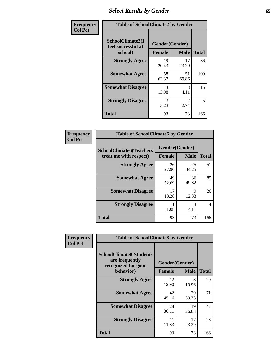# *Select Results by Gender* **65**

| Frequency      | <b>Table of SchoolClimate2 by Gender</b>          |                                 |                       |              |
|----------------|---------------------------------------------------|---------------------------------|-----------------------|--------------|
| <b>Col Pct</b> | SchoolClimate2(I<br>feel successful at<br>school) | Gender(Gender)<br><b>Female</b> | <b>Male</b>           | <b>Total</b> |
|                | <b>Strongly Agree</b>                             | 19<br>20.43                     | 17<br>23.29           | 36           |
|                | <b>Somewhat Agree</b>                             | 58<br>62.37                     | 51<br>69.86           | 109          |
|                | <b>Somewhat Disagree</b>                          | 13<br>13.98                     | 3<br>4.11             | 16           |
|                | <b>Strongly Disagree</b>                          | 3<br>3.23                       | $\mathcal{L}$<br>2.74 | 5            |
|                | <b>Total</b>                                      | 93                              | 73                    | 166          |

| <b>Frequency</b> | <b>Table of SchoolClimate6 by Gender</b> |                |             |                |  |
|------------------|------------------------------------------|----------------|-------------|----------------|--|
| <b>Col Pct</b>   | <b>SchoolClimate6(Teachers</b>           | Gender(Gender) |             |                |  |
|                  | treat me with respect)                   | Female         | <b>Male</b> | <b>Total</b>   |  |
|                  | <b>Strongly Agree</b>                    | 26<br>27.96    | 25<br>34.25 | 51             |  |
|                  | <b>Somewhat Agree</b>                    | 49<br>52.69    | 36<br>49.32 | 85             |  |
|                  | <b>Somewhat Disagree</b>                 | 17<br>18.28    | 9<br>12.33  | 26             |  |
|                  | <b>Strongly Disagree</b>                 | 1.08           | 3<br>4.11   | $\overline{4}$ |  |
|                  | <b>Total</b>                             | 93             | 73          | 166            |  |

| Frequency      | <b>Table of SchoolClimate8 by Gender</b>                                             |                                 |             |              |
|----------------|--------------------------------------------------------------------------------------|---------------------------------|-------------|--------------|
| <b>Col Pct</b> | <b>SchoolClimate8(Students</b><br>are frequently<br>recognized for good<br>behavior) | Gender(Gender)<br><b>Female</b> | <b>Male</b> | <b>Total</b> |
|                | <b>Strongly Agree</b>                                                                | 12                              | 8           | 20           |
|                |                                                                                      | 12.90                           | 10.96       |              |
|                | <b>Somewhat Agree</b>                                                                | 42<br>45.16                     | 29<br>39.73 | 71           |
|                | <b>Somewhat Disagree</b>                                                             | 28<br>30.11                     | 19<br>26.03 | 47           |
|                | <b>Strongly Disagree</b>                                                             | 11<br>11.83                     | 17<br>23.29 | 28           |
|                | Total                                                                                | 93                              | 73          | 166          |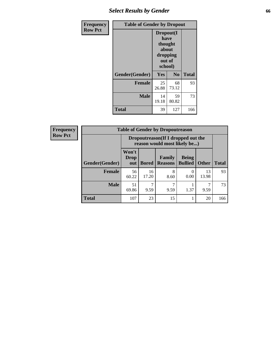# *Select Results by Gender* **66**

| Frequency      | <b>Table of Gender by Dropout</b> |                                                                        |                |              |
|----------------|-----------------------------------|------------------------------------------------------------------------|----------------|--------------|
| <b>Row Pct</b> |                                   | Dropout(I<br>have<br>thought<br>about<br>dropping<br>out of<br>school) |                |              |
|                | Gender(Gender)                    | Yes                                                                    | N <sub>0</sub> | <b>Total</b> |
|                | <b>Female</b>                     | 25<br>26.88                                                            | 68<br>73.12    | 93           |
|                | <b>Male</b>                       | 14<br>19.18                                                            | 59<br>80.82    | 73           |
|                | <b>Total</b>                      | 39                                                                     | 127            | 166          |

| <b>Frequency</b> |                | <b>Table of Gender by Dropoutreason</b>                             |              |                          |                                |              |              |
|------------------|----------------|---------------------------------------------------------------------|--------------|--------------------------|--------------------------------|--------------|--------------|
| <b>Row Pct</b>   |                | Dropoutreason (If I dropped out the<br>reason would most likely be) |              |                          |                                |              |              |
|                  | Gender(Gender) | Won't<br>Drop<br>out                                                | <b>Bored</b> | Family<br><b>Reasons</b> | <b>Being</b><br><b>Bullied</b> | <b>Other</b> | <b>Total</b> |
|                  | Female         | 56<br>60.22                                                         | 16<br>17.20  | 8<br>8.60                | 0.00                           | 13<br>13.98  | 93           |
|                  | <b>Male</b>    | 51<br>69.86                                                         | 7<br>9.59    | 9.59                     | 1.37                           | 7<br>9.59    | 73           |
|                  | <b>Total</b>   | 107                                                                 | 23           | 15                       |                                | 20           | 166          |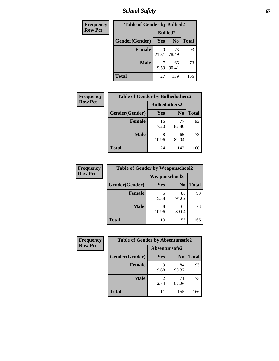*School Safety* **67**

| Frequency      | <b>Table of Gender by Bullied2</b> |                 |                |              |
|----------------|------------------------------------|-----------------|----------------|--------------|
| <b>Row Pct</b> |                                    | <b>Bullied2</b> |                |              |
|                | Gender(Gender)                     | Yes             | N <sub>0</sub> | <b>Total</b> |
|                | <b>Female</b>                      | 20<br>21.51     | 73<br>78.49    | 93           |
|                | <b>Male</b>                        | 9.59            | 66<br>90.41    | 73           |
|                | <b>Total</b>                       | 27              | 139            | 166          |

| Frequency      | <b>Table of Gender by Bulliedothers2</b> |                       |                |              |
|----------------|------------------------------------------|-----------------------|----------------|--------------|
| <b>Row Pct</b> |                                          | <b>Bulliedothers2</b> |                |              |
|                | Gender(Gender)                           | <b>Yes</b>            | N <sub>0</sub> | <b>Total</b> |
|                | <b>Female</b>                            | 16<br>17.20           | 77<br>82.80    | 93           |
|                | <b>Male</b>                              | 8<br>10.96            | 65<br>89.04    | 73           |
|                | <b>Total</b>                             | 24                    | 142            | 166          |

| Frequency      | <b>Table of Gender by Weaponschool2</b> |                      |                |              |
|----------------|-----------------------------------------|----------------------|----------------|--------------|
| <b>Row Pct</b> |                                         | <b>Weaponschool2</b> |                |              |
|                | Gender(Gender)                          | Yes                  | N <sub>0</sub> | <b>Total</b> |
|                | <b>Female</b>                           | 5<br>5.38            | 88<br>94.62    | 93           |
|                | <b>Male</b>                             | 10.96                | 65<br>89.04    | 73           |
|                | <b>Total</b>                            | 13                   | 153            | 166          |

| Frequency      | <b>Table of Gender by Absentunsafe2</b> |               |                |              |
|----------------|-----------------------------------------|---------------|----------------|--------------|
| <b>Row Pct</b> |                                         | Absentunsafe2 |                |              |
|                | Gender(Gender)                          | Yes           | N <sub>0</sub> | <b>Total</b> |
|                | <b>Female</b>                           | 9.68          | 84<br>90.32    | 93           |
|                | <b>Male</b>                             | 2.74          | 71<br>97.26    | 73           |
|                | <b>Total</b>                            | 11            | 155            | 166          |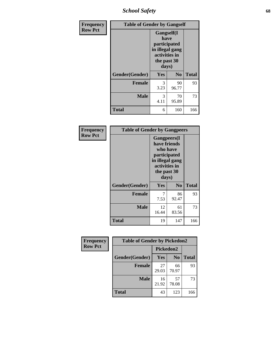*School Safety* **68**

| Frequency      | <b>Table of Gender by Gangself</b> |                                                                                                |                |              |  |
|----------------|------------------------------------|------------------------------------------------------------------------------------------------|----------------|--------------|--|
| <b>Row Pct</b> |                                    | Gangself(I<br>have<br>participated<br>in illegal gang<br>activities in<br>the past 30<br>days) |                |              |  |
|                | Gender(Gender)                     | Yes                                                                                            | N <sub>0</sub> | <b>Total</b> |  |
|                | <b>Female</b>                      | 3<br>3.23                                                                                      | 90<br>96.77    | 93           |  |
|                | <b>Male</b>                        | 3<br>4.11                                                                                      | 70<br>95.89    | 73           |  |
|                | <b>Total</b>                       | 6                                                                                              | 160            | 166          |  |

| Frequency      | <b>Table of Gender by Gangpeers</b> |                                                                                                                             |                |              |  |
|----------------|-------------------------------------|-----------------------------------------------------------------------------------------------------------------------------|----------------|--------------|--|
| <b>Row Pct</b> |                                     | <b>Gangpeers</b> (I<br>have friends<br>who have<br>participated<br>in illegal gang<br>activities in<br>the past 30<br>days) |                |              |  |
|                | Gender(Gender)                      | Yes                                                                                                                         | N <sub>0</sub> | <b>Total</b> |  |
|                | <b>Female</b>                       | 7<br>7.53                                                                                                                   | 86<br>92.47    | 93           |  |
|                | <b>Male</b>                         | 12<br>16.44                                                                                                                 | 61<br>83.56    | 73           |  |
|                | Total                               | 19                                                                                                                          | 147            | 166          |  |

| Frequency      | <b>Table of Gender by Pickedon2</b> |             |                |              |
|----------------|-------------------------------------|-------------|----------------|--------------|
| <b>Row Pct</b> |                                     | Pickedon2   |                |              |
|                | Gender(Gender)                      | <b>Yes</b>  | N <sub>0</sub> | <b>Total</b> |
|                | <b>Female</b>                       | 27<br>29.03 | 66<br>70.97    | 93           |
|                | <b>Male</b>                         | 16<br>21.92 | 57<br>78.08    | 73           |
|                | <b>Total</b>                        | 43          | 123            | 166          |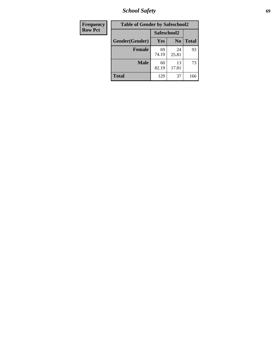*School Safety* **69**

| Frequency      | <b>Table of Gender by Safeschool2</b> |             |                |              |
|----------------|---------------------------------------|-------------|----------------|--------------|
| <b>Row Pct</b> |                                       | Safeschool2 |                |              |
|                | Gender(Gender)                        | Yes         | N <sub>0</sub> | <b>Total</b> |
|                | <b>Female</b>                         | 69<br>74.19 | 24<br>25.81    | 93           |
|                | Male                                  | 60<br>82.19 | 13<br>17.81    | 73           |
|                | <b>Total</b>                          | 129         | 37             | 166          |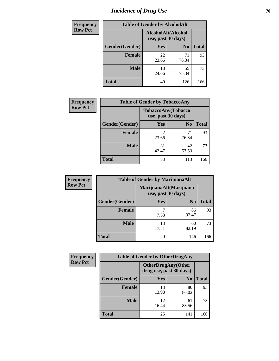# *Incidence of Drug Use* **70**

| <b>Frequency</b> | <b>Table of Gender by AlcoholAlt</b> |                                          |                |              |  |
|------------------|--------------------------------------|------------------------------------------|----------------|--------------|--|
| <b>Row Pct</b>   |                                      | AlcoholAlt(Alcohol<br>use, past 30 days) |                |              |  |
|                  | Gender(Gender)                       | <b>Yes</b>                               | N <sub>0</sub> | <b>Total</b> |  |
|                  | <b>Female</b>                        | 22<br>23.66                              | 71<br>76.34    | 93           |  |
|                  | <b>Male</b>                          | 18<br>24.66                              | 55<br>75.34    | 73           |  |
|                  | <b>Total</b>                         | 40                                       | 126            | 166          |  |

| Frequency      | <b>Table of Gender by TobaccoAny</b> |                                          |                |              |  |
|----------------|--------------------------------------|------------------------------------------|----------------|--------------|--|
| <b>Row Pct</b> |                                      | TobaccoAny(Tobacco<br>use, past 30 days) |                |              |  |
|                | Gender(Gender)                       | Yes                                      | N <sub>0</sub> | <b>Total</b> |  |
|                | <b>Female</b>                        | 22<br>23.66                              | 71<br>76.34    | 93           |  |
|                | <b>Male</b>                          | 31<br>42.47                              | 42<br>57.53    | 73           |  |
|                | <b>Total</b>                         | 53                                       | 113            | 166          |  |

| <b>Frequency</b> | <b>Table of Gender by MarijuanaAlt</b> |                    |                        |              |
|------------------|----------------------------------------|--------------------|------------------------|--------------|
| <b>Row Pct</b>   |                                        | use, past 30 days) | MarijuanaAlt(Marijuana |              |
|                  | Gender(Gender)                         | <b>Yes</b>         | N <sub>0</sub>         | <b>Total</b> |
|                  | Female                                 | 7.53               | 86<br>92.47            | 93           |
|                  | <b>Male</b>                            | 13<br>17.81        | 60<br>82.19            | 73           |
|                  | <b>Total</b>                           | 20                 | 146                    | 166          |

| <b>Frequency</b> | <b>Table of Gender by OtherDrugAny</b> |                                                      |                |              |
|------------------|----------------------------------------|------------------------------------------------------|----------------|--------------|
| <b>Row Pct</b>   |                                        | <b>OtherDrugAny(Other</b><br>drug use, past 30 days) |                |              |
|                  | Gender(Gender)                         | <b>Yes</b>                                           | N <sub>0</sub> | <b>Total</b> |
|                  | <b>Female</b>                          | 13<br>13.98                                          | 80<br>86.02    | 93           |
|                  | <b>Male</b>                            | 12<br>16.44                                          | 61<br>83.56    | 73           |
|                  | <b>Total</b>                           | 25                                                   | 141            | 166          |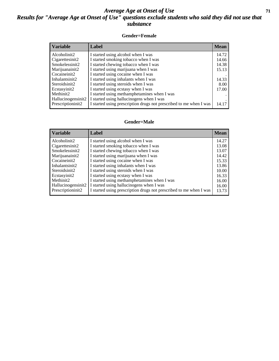### *Average Age at Onset of Use* **71** *Results for "Average Age at Onset of Use" questions exclude students who said they did not use that substance*

#### **Gender=Female**

| <b>Variable</b>    | Label                                                              | <b>Mean</b> |
|--------------------|--------------------------------------------------------------------|-------------|
| Alcoholinit2       | I started using alcohol when I was                                 | 14.72       |
| Cigarettesinit2    | I started smoking tobacco when I was                               | 14.66       |
| Smokelessinit2     | I started chewing tobacco when I was                               | 14.38       |
| Marijuanainit2     | I started using marijuana when I was                               | 15.13       |
| Cocaineinit2       | I started using cocaine when I was                                 |             |
| Inhalantsinit2     | I started using inhalants when I was                               | 14.33       |
| Steroidsinit2      | I started using steroids when I was                                | 8.00        |
| Ecstasyinit2       | I started using ecstasy when I was                                 | 17.00       |
| Methinit2          | I started using methamphetamines when I was                        |             |
| Hallucinogensinit2 | I started using hallucinogens when I was                           |             |
| Prescriptioninit2  | I started using prescription drugs not prescribed to me when I was | 14.17       |

#### **Gender=Male**

| <b>Variable</b>     | Label                                                              | <b>Mean</b> |
|---------------------|--------------------------------------------------------------------|-------------|
| Alcoholinit2        | I started using alcohol when I was                                 | 14.27       |
| Cigarettesinit2     | I started smoking tobacco when I was                               | 13.08       |
| Smokelessinit2      | I started chewing tobacco when I was                               | 13.07       |
| Marijuanainit2      | I started using marijuana when I was                               | 14.42       |
| Cocaineinit2        | I started using cocaine when I was                                 | 15.33       |
| Inhalantsinit2      | I started using inhalants when I was                               | 13.86       |
| Steroidsinit2       | I started using steroids when I was                                | 10.00       |
| Ecstasyinit2        | I started using ecstasy when I was                                 | 16.33       |
| Methinit2           | I started using methamphetamines when I was                        | 16.00       |
| Hallucinogensinit2  | I started using hallucinogens when I was                           | 16.00       |
| Prescription in it2 | I started using prescription drugs not prescribed to me when I was | 13.73       |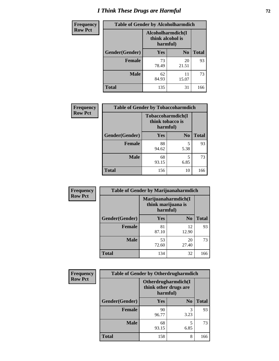# *I Think These Drugs are Harmful* **72**

| <b>Frequency</b> | <b>Table of Gender by Alcoholharmdich</b> |                                                   |                |              |
|------------------|-------------------------------------------|---------------------------------------------------|----------------|--------------|
| <b>Row Pct</b>   |                                           | Alcoholharmdich(I<br>think alcohol is<br>harmful) |                |              |
|                  | Gender(Gender)                            | <b>Yes</b>                                        | N <sub>0</sub> | <b>Total</b> |
|                  | Female                                    | 73<br>78.49                                       | 20<br>21.51    | 93           |
|                  | <b>Male</b>                               | 62<br>84.93                                       | 11<br>15.07    | 73           |
|                  | <b>Total</b>                              | 135                                               | 31             | 166          |

| <b>Frequency</b> | <b>Table of Gender by Tobaccoharmdich</b> |                                                           |                |              |
|------------------|-------------------------------------------|-----------------------------------------------------------|----------------|--------------|
| <b>Row Pct</b>   |                                           | <b>Tobaccoharmdich</b> (I<br>think tobacco is<br>harmful) |                |              |
|                  | Gender(Gender)                            | Yes                                                       | N <sub>0</sub> | <b>Total</b> |
|                  | <b>Female</b>                             | 88<br>94.62                                               | 5<br>5.38      | 93           |
|                  | <b>Male</b>                               | 68<br>93.15                                               | 5<br>6.85      | 73           |
|                  | <b>Total</b>                              | 156                                                       | 10             | 166          |

| Frequency      | <b>Table of Gender by Marijuanaharmdich</b> |                                |                     |              |  |
|----------------|---------------------------------------------|--------------------------------|---------------------|--------------|--|
| <b>Row Pct</b> |                                             | think marijuana is<br>harmful) | Marijuanaharmdich(I |              |  |
|                | Gender(Gender)                              | <b>Yes</b>                     | N <sub>0</sub>      | <b>Total</b> |  |
|                | <b>Female</b>                               | 81<br>87.10                    | 12<br>12.90         | 93           |  |
|                | <b>Male</b>                                 | 53<br>72.60                    | 20<br>27.40         | 73           |  |
|                | <b>Total</b>                                | 134                            | 32                  | 166          |  |

| Frequency      | <b>Table of Gender by Otherdrugharmdich</b> |                                                          |                |              |
|----------------|---------------------------------------------|----------------------------------------------------------|----------------|--------------|
| <b>Row Pct</b> |                                             | Otherdrugharmdich(I<br>think other drugs are<br>harmful) |                |              |
|                | Gender(Gender)                              | <b>Yes</b>                                               | N <sub>0</sub> | <b>Total</b> |
|                | <b>Female</b>                               | 90<br>96.77                                              | 3<br>3.23      | 93           |
|                | <b>Male</b>                                 | 68<br>93.15                                              | 5<br>6.85      | 73           |
|                | <b>Total</b>                                | 158                                                      | 8              | 166          |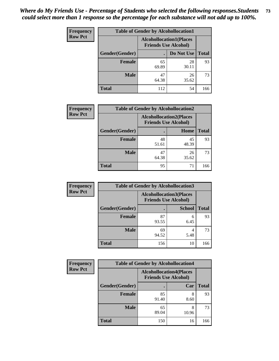| <b>Frequency</b> | <b>Table of Gender by Alcohollocation1</b> |                                                               |             |              |
|------------------|--------------------------------------------|---------------------------------------------------------------|-------------|--------------|
| <b>Row Pct</b>   |                                            | <b>Alcohollocation1(Places</b><br><b>Friends Use Alcohol)</b> |             |              |
|                  | Gender(Gender)                             |                                                               | Do Not Use  | <b>Total</b> |
|                  | <b>Female</b>                              | 65<br>69.89                                                   | 28<br>30.11 | 93           |
|                  | <b>Male</b>                                | 47<br>64.38                                                   | 26<br>35.62 | 73           |
|                  | <b>Total</b>                               | 112                                                           | 54          | 166          |

| <b>Frequency</b> | <b>Table of Gender by Alcohollocation2</b> |             |                                                               |              |
|------------------|--------------------------------------------|-------------|---------------------------------------------------------------|--------------|
| <b>Row Pct</b>   |                                            |             | <b>Alcohollocation2(Places</b><br><b>Friends Use Alcohol)</b> |              |
|                  | Gender(Gender)                             |             | Home                                                          | <b>Total</b> |
|                  | <b>Female</b>                              | 48<br>51.61 | 45<br>48.39                                                   | 93           |
|                  | <b>Male</b>                                | 47<br>64.38 | 26<br>35.62                                                   | 73           |
|                  | <b>Total</b>                               | 95          | 71                                                            | 166          |

| Frequency      | <b>Table of Gender by Alcohollocation3</b> |                                                               |               |              |
|----------------|--------------------------------------------|---------------------------------------------------------------|---------------|--------------|
| <b>Row Pct</b> |                                            | <b>Alcohollocation3(Places</b><br><b>Friends Use Alcohol)</b> |               |              |
|                | Gender(Gender)                             |                                                               | <b>School</b> | <b>Total</b> |
|                | <b>Female</b>                              | 87<br>93.55                                                   | 6<br>6.45     | 93           |
|                | <b>Male</b>                                | 69<br>94.52                                                   | 4<br>5.48     | 73           |
|                | <b>Total</b>                               | 156                                                           | 10            | 166          |

| <b>Frequency</b> | <b>Table of Gender by Alcohollocation4</b> |                                                               |            |              |
|------------------|--------------------------------------------|---------------------------------------------------------------|------------|--------------|
| <b>Row Pct</b>   |                                            | <b>Alcohollocation4(Places</b><br><b>Friends Use Alcohol)</b> |            |              |
|                  | Gender(Gender)                             |                                                               | Car        | <b>Total</b> |
|                  | <b>Female</b>                              | 85<br>91.40                                                   | 8<br>8.60  | 93           |
|                  | <b>Male</b>                                | 65<br>89.04                                                   | 8<br>10.96 | 73           |
|                  | <b>Total</b>                               | 150                                                           | 16         | 166          |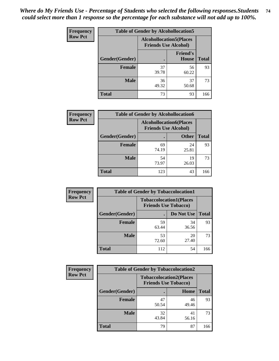| <b>Frequency</b> | <b>Table of Gender by Alcohollocation5</b> |             |                                                                |              |
|------------------|--------------------------------------------|-------------|----------------------------------------------------------------|--------------|
| <b>Row Pct</b>   |                                            |             | <b>Alcohollocation5</b> (Places<br><b>Friends Use Alcohol)</b> |              |
|                  | Gender(Gender)                             | $\bullet$   | <b>Friend's</b><br>House                                       | <b>Total</b> |
|                  | <b>Female</b>                              | 37<br>39.78 | 56<br>60.22                                                    | 93           |
|                  | <b>Male</b>                                | 36<br>49.32 | 37<br>50.68                                                    | 73           |
|                  | <b>Total</b>                               | 73          | 93                                                             | 166          |

| Frequency      | <b>Table of Gender by Alcohollocation6</b> |                                                               |              |              |
|----------------|--------------------------------------------|---------------------------------------------------------------|--------------|--------------|
| <b>Row Pct</b> |                                            | <b>Alcohollocation6(Places</b><br><b>Friends Use Alcohol)</b> |              |              |
|                | <b>Gender</b> (Gender)                     |                                                               | <b>Other</b> | <b>Total</b> |
|                | Female                                     | 69<br>74.19                                                   | 24<br>25.81  | 93           |
|                | <b>Male</b>                                | 54<br>73.97                                                   | 19<br>26.03  | 73           |
|                | <b>Total</b>                               | 123                                                           | 43           | 166          |

| Frequency      | <b>Table of Gender by Tobaccolocation1</b> |                                                               |             |              |  |
|----------------|--------------------------------------------|---------------------------------------------------------------|-------------|--------------|--|
| <b>Row Pct</b> |                                            | <b>Tobaccolocation1(Places</b><br><b>Friends Use Tobacco)</b> |             |              |  |
|                | Gender(Gender)                             |                                                               | Do Not Use  | <b>Total</b> |  |
|                | Female                                     | 59<br>63.44                                                   | 34<br>36.56 | 93           |  |
|                | <b>Male</b>                                | 53<br>72.60                                                   | 20<br>27.40 | 73           |  |
|                | <b>Total</b>                               | 112                                                           | 54          | 166          |  |

| <b>Frequency</b> | <b>Table of Gender by Tobaccolocation2</b> |                             |                                |              |  |
|------------------|--------------------------------------------|-----------------------------|--------------------------------|--------------|--|
| <b>Row Pct</b>   |                                            | <b>Friends Use Tobacco)</b> | <b>Tobaccolocation2(Places</b> |              |  |
|                  | Gender(Gender)                             |                             | Home                           | <b>Total</b> |  |
|                  | Female                                     | 47<br>50.54                 | 46<br>49.46                    | 93           |  |
|                  | <b>Male</b>                                | 32<br>43.84                 | 41<br>56.16                    | 73           |  |
|                  | <b>Total</b>                               | 79                          | 87                             | 166          |  |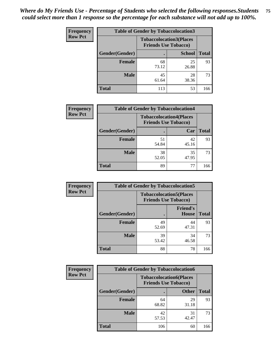| <b>Frequency</b> | <b>Table of Gender by Tobaccolocation3</b> |             |                                                               |              |  |
|------------------|--------------------------------------------|-------------|---------------------------------------------------------------|--------------|--|
| <b>Row Pct</b>   |                                            |             | <b>Tobaccolocation3(Places</b><br><b>Friends Use Tobacco)</b> |              |  |
|                  | Gender(Gender)                             |             | <b>School</b>                                                 | <b>Total</b> |  |
|                  | <b>Female</b>                              | 68<br>73.12 | 25<br>26.88                                                   | 93           |  |
|                  | <b>Male</b>                                | 45<br>61.64 | 28<br>38.36                                                   | 73           |  |
|                  | <b>Total</b>                               | 113         | 53                                                            | 166          |  |

| <b>Frequency</b> | <b>Table of Gender by Tobaccolocation4</b> |                             |                                |              |
|------------------|--------------------------------------------|-----------------------------|--------------------------------|--------------|
| <b>Row Pct</b>   |                                            | <b>Friends Use Tobacco)</b> | <b>Tobaccolocation4(Places</b> |              |
|                  | Gender(Gender)                             |                             | Car                            | <b>Total</b> |
|                  | Female                                     | 51<br>54.84                 | 42<br>45.16                    | 93           |
|                  | <b>Male</b>                                | 38<br>52.05                 | 35<br>47.95                    | 73           |
|                  | <b>Total</b>                               | 89                          | 77                             | 166          |

| <b>Frequency</b> | <b>Table of Gender by Tobaccolocation5</b> |                                                               |                                 |              |
|------------------|--------------------------------------------|---------------------------------------------------------------|---------------------------------|--------------|
| <b>Row Pct</b>   |                                            | <b>Tobaccolocation5(Places</b><br><b>Friends Use Tobacco)</b> |                                 |              |
|                  | Gender(Gender)                             |                                                               | <b>Friend's</b><br><b>House</b> | <b>Total</b> |
|                  | <b>Female</b>                              | 49<br>52.69                                                   | 44<br>47.31                     | 93           |
|                  | <b>Male</b>                                | 39<br>53.42                                                   | 34<br>46.58                     | 73           |
|                  | <b>Total</b>                               | 88                                                            | 78                              | 166          |

| <b>Frequency</b> | <b>Table of Gender by Tobaccolocation6</b> |                             |                                |              |  |
|------------------|--------------------------------------------|-----------------------------|--------------------------------|--------------|--|
| <b>Row Pct</b>   |                                            | <b>Friends Use Tobacco)</b> | <b>Tobaccolocation6(Places</b> |              |  |
|                  | Gender(Gender)                             |                             | <b>Other</b>                   | <b>Total</b> |  |
|                  | Female                                     | 64<br>68.82                 | 29<br>31.18                    | 93           |  |
|                  | <b>Male</b>                                | 42<br>57.53                 | 31<br>42.47                    | 73           |  |
|                  | <b>Total</b>                               | 106                         | 60                             | 166          |  |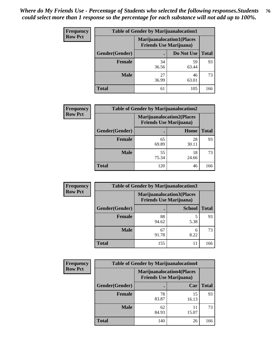| <b>Frequency</b> | <b>Table of Gender by Marijuanalocation1</b> |                                                                    |             |              |
|------------------|----------------------------------------------|--------------------------------------------------------------------|-------------|--------------|
| <b>Row Pct</b>   |                                              | <b>Marijuanalocation1(Places</b><br><b>Friends Use Marijuana</b> ) |             |              |
|                  | Gender(Gender)                               |                                                                    | Do Not Use  | <b>Total</b> |
|                  | <b>Female</b>                                | 34<br>36.56                                                        | 59<br>63.44 | 93           |
|                  | <b>Male</b>                                  | 27<br>36.99                                                        | 46<br>63.01 | 73           |
|                  | <b>Total</b>                                 | 61                                                                 | 105         | 166          |

| <b>Frequency</b> | <b>Table of Gender by Marijuanalocation2</b> |                                                                    |             |              |  |
|------------------|----------------------------------------------|--------------------------------------------------------------------|-------------|--------------|--|
| <b>Row Pct</b>   |                                              | <b>Marijuanalocation2(Places</b><br><b>Friends Use Marijuana</b> ) |             |              |  |
|                  | Gender(Gender)                               |                                                                    | Home        | <b>Total</b> |  |
|                  | Female                                       | 65<br>69.89                                                        | 28<br>30.11 | 93           |  |
|                  | <b>Male</b>                                  | 55<br>75.34                                                        | 18<br>24.66 | 73           |  |
|                  | <b>Total</b>                                 | 120                                                                | 46          | 166          |  |

| Frequency      | <b>Table of Gender by Marijuanalocation3</b> |                                                                    |               |              |
|----------------|----------------------------------------------|--------------------------------------------------------------------|---------------|--------------|
| <b>Row Pct</b> |                                              | <b>Marijuanalocation3(Places</b><br><b>Friends Use Marijuana</b> ) |               |              |
|                | Gender(Gender)                               |                                                                    | <b>School</b> | <b>Total</b> |
|                | Female                                       | 88<br>94.62                                                        | 5<br>5.38     | 93           |
|                | <b>Male</b>                                  | 67<br>91.78                                                        | 6<br>8.22     | 73           |
|                | <b>Total</b>                                 | 155                                                                | 11            | 166          |

| <b>Frequency</b> | <b>Table of Gender by Marijuanalocation4</b> |                                |                                  |              |
|------------------|----------------------------------------------|--------------------------------|----------------------------------|--------------|
| <b>Row Pct</b>   |                                              | <b>Friends Use Marijuana</b> ) | <b>Marijuanalocation4(Places</b> |              |
|                  | Gender(Gender)                               |                                | Car                              | <b>Total</b> |
|                  | Female                                       | 78<br>83.87                    | 15<br>16.13                      | 93           |
|                  | <b>Male</b>                                  | 62<br>84.93                    | 11<br>15.07                      | 73           |
|                  | <b>Total</b>                                 | 140                            | 26                               | 166          |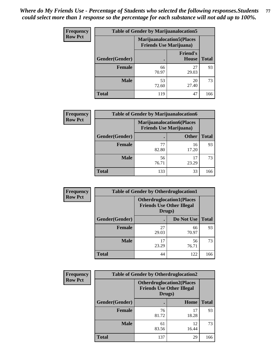| <b>Frequency</b> | <b>Table of Gender by Marijuanalocation5</b> |                                                                    |                          |              |
|------------------|----------------------------------------------|--------------------------------------------------------------------|--------------------------|--------------|
| <b>Row Pct</b>   |                                              | <b>Marijuanalocation5(Places</b><br><b>Friends Use Marijuana</b> ) |                          |              |
|                  | <b>Gender</b> (Gender)                       |                                                                    | <b>Friend's</b><br>House | <b>Total</b> |
|                  | Female                                       | 66<br>70.97                                                        | 27<br>29.03              | 93           |
|                  | <b>Male</b>                                  | 53<br>72.60                                                        | 20<br>27.40              | 73           |
|                  | <b>Total</b>                                 | 119                                                                | 47                       | 166          |

| <b>Frequency</b> | <b>Table of Gender by Marijuanalocation6</b> |                                |                                  |              |
|------------------|----------------------------------------------|--------------------------------|----------------------------------|--------------|
| <b>Row Pct</b>   |                                              | <b>Friends Use Marijuana</b> ) | <b>Marijuanalocation6(Places</b> |              |
|                  | <b>Gender(Gender)</b>                        |                                | <b>Other</b>                     | <b>Total</b> |
|                  | Female                                       | 77<br>82.80                    | 16<br>17.20                      | 93           |
|                  | <b>Male</b>                                  | 56<br>76.71                    | 17<br>23.29                      | 73           |
|                  | <b>Total</b>                                 | 133                            | 33                               | 166          |

| <b>Frequency</b> | <b>Table of Gender by Otherdruglocation1</b> |                                                                                |             |              |
|------------------|----------------------------------------------|--------------------------------------------------------------------------------|-------------|--------------|
| <b>Row Pct</b>   |                                              | <b>Otherdruglocation1(Places</b><br><b>Friends Use Other Illegal</b><br>Drugs) |             |              |
|                  | Gender(Gender)                               |                                                                                | Do Not Use  | <b>Total</b> |
|                  | <b>Female</b>                                | 27<br>29.03                                                                    | 66<br>70.97 | 93           |
|                  | <b>Male</b>                                  | 17<br>23.29                                                                    | 56<br>76.71 | 73           |
|                  | <b>Total</b>                                 | 44                                                                             | 122         | 166          |

| Frequency      | <b>Table of Gender by Otherdruglocation2</b> |                                                                                |             |              |
|----------------|----------------------------------------------|--------------------------------------------------------------------------------|-------------|--------------|
| <b>Row Pct</b> |                                              | <b>Otherdruglocation2(Places</b><br><b>Friends Use Other Illegal</b><br>Drugs) |             |              |
|                | Gender(Gender)                               |                                                                                | Home        | <b>Total</b> |
|                | <b>Female</b>                                | 76<br>81.72                                                                    | 17<br>18.28 | 93           |
|                | <b>Male</b>                                  | 61<br>83.56                                                                    | 12<br>16.44 | 73           |
|                | <b>Total</b>                                 | 137                                                                            | 29          | 166          |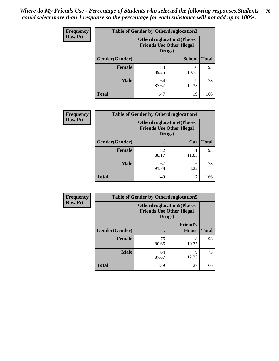| Frequency      | <b>Table of Gender by Otherdruglocation3</b> |                                                                                |               |              |
|----------------|----------------------------------------------|--------------------------------------------------------------------------------|---------------|--------------|
| <b>Row Pct</b> |                                              | <b>Otherdruglocation3(Places</b><br><b>Friends Use Other Illegal</b><br>Drugs) |               |              |
|                | Gender(Gender)                               |                                                                                | <b>School</b> | <b>Total</b> |
|                | Female                                       | 83<br>89.25                                                                    | 10<br>10.75   | 93           |
|                | <b>Male</b>                                  | 64<br>87.67                                                                    | q<br>12.33    | 73           |
|                | <b>Total</b>                                 | 147                                                                            | 19            | 166          |

| <b>Frequency</b> | <b>Table of Gender by Otherdruglocation4</b> |                                                                                |             |              |
|------------------|----------------------------------------------|--------------------------------------------------------------------------------|-------------|--------------|
| <b>Row Pct</b>   |                                              | <b>Otherdruglocation4(Places</b><br><b>Friends Use Other Illegal</b><br>Drugs) |             |              |
|                  | Gender(Gender)                               |                                                                                | Car         | <b>Total</b> |
|                  | <b>Female</b>                                | 82<br>88.17                                                                    | 11<br>11.83 | 93           |
|                  | <b>Male</b>                                  | 67<br>91.78                                                                    | 6<br>8.22   | 73           |
|                  | <b>Total</b>                                 | 149                                                                            | 17          | 166          |

| <b>Frequency</b> | <b>Table of Gender by Otherdruglocation5</b> |             |                                                                      |              |
|------------------|----------------------------------------------|-------------|----------------------------------------------------------------------|--------------|
| <b>Row Pct</b>   |                                              | Drugs)      | <b>Otherdruglocation5(Places</b><br><b>Friends Use Other Illegal</b> |              |
|                  | Gender(Gender)                               |             | <b>Friend's</b><br>House                                             | <b>Total</b> |
|                  | <b>Female</b>                                | 75<br>80.65 | 18<br>19.35                                                          | 93           |
|                  | <b>Male</b>                                  | 64<br>87.67 | Q<br>12.33                                                           | 73           |
|                  | <b>Total</b>                                 | 139         | 27                                                                   | 166          |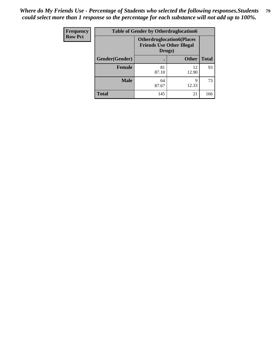| <b>Frequency</b> | <b>Table of Gender by Otherdruglocation6</b> |                                                                                |              |              |
|------------------|----------------------------------------------|--------------------------------------------------------------------------------|--------------|--------------|
| <b>Row Pct</b>   |                                              | <b>Otherdruglocation6(Places</b><br><b>Friends Use Other Illegal</b><br>Drugs) |              |              |
|                  | Gender(Gender)                               |                                                                                | <b>Other</b> | <b>Total</b> |
|                  | Female                                       | 81<br>87.10                                                                    | 12<br>12.90  | 93           |
|                  | <b>Male</b>                                  | 64<br>87.67                                                                    | q<br>12.33   | 73           |
|                  | <b>Total</b>                                 | 145                                                                            | 21           | 166          |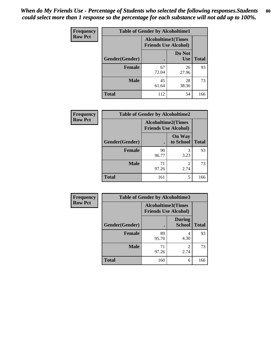| <b>Frequency</b> | <b>Table of Gender by Alcoholtime1</b> |                                                          |                      |              |
|------------------|----------------------------------------|----------------------------------------------------------|----------------------|--------------|
| <b>Row Pct</b>   |                                        | <b>Alcoholtime1(Times</b><br><b>Friends Use Alcohol)</b> |                      |              |
|                  | Gender(Gender)                         | $\bullet$                                                | Do Not<br><b>Use</b> | <b>Total</b> |
|                  | <b>Female</b>                          | 67<br>72.04                                              | 26<br>27.96          | 93           |
|                  | <b>Male</b>                            | 45<br>61.64                                              | 28<br>38.36          | 73           |
|                  | <b>Total</b>                           | 112                                                      | 54                   | 166          |

| <b>Frequency</b> | <b>Table of Gender by Alcoholtime2</b> |                                                          |                            |              |
|------------------|----------------------------------------|----------------------------------------------------------|----------------------------|--------------|
| <b>Row Pct</b>   |                                        | <b>Alcoholtime2(Times</b><br><b>Friends Use Alcohol)</b> |                            |              |
|                  | Gender(Gender)                         |                                                          | <b>On Way</b><br>to School | <b>Total</b> |
|                  | <b>Female</b>                          | 90<br>96.77                                              | 3<br>3.23                  | 93           |
|                  | <b>Male</b>                            | 71<br>97.26                                              | 2<br>2.74                  | 73           |
|                  | <b>Total</b>                           | 161                                                      | 5                          | 166          |

| Frequency      | <b>Table of Gender by Alcoholtime3</b> |                                                   |                                  |              |
|----------------|----------------------------------------|---------------------------------------------------|----------------------------------|--------------|
| <b>Row Pct</b> |                                        | Alcoholtime3(Times<br><b>Friends Use Alcohol)</b> |                                  |              |
|                | Gender(Gender)                         |                                                   | <b>During</b><br><b>School</b>   | <b>Total</b> |
|                | Female                                 | 89<br>95.70                                       | 4<br>4.30                        | 93           |
|                | <b>Male</b>                            | 71<br>97.26                                       | $\overline{\mathcal{L}}$<br>2.74 | 73           |
|                | <b>Total</b>                           | 160                                               | 6                                | 166          |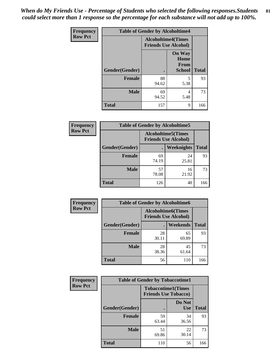*When do My Friends Use - Percentage of Students who selected the following responses.Students could select more than 1 response so the percentage for each substance will not add up to 100%.* **81**

| <b>Frequency</b> | <b>Table of Gender by Alcoholtime4</b> |                                                          |                                                       |              |
|------------------|----------------------------------------|----------------------------------------------------------|-------------------------------------------------------|--------------|
| <b>Row Pct</b>   |                                        | <b>Alcoholtime4(Times</b><br><b>Friends Use Alcohol)</b> |                                                       |              |
|                  | <b>Gender</b> (Gender)                 | $\bullet$                                                | <b>On Way</b><br>Home<br><b>From</b><br><b>School</b> | <b>Total</b> |
|                  | <b>Female</b>                          | 88<br>94.62                                              | 5<br>5.38                                             | 93           |
|                  | <b>Male</b>                            | 69<br>94.52                                              | 4<br>5.48                                             | 73           |
|                  | <b>Total</b>                           | 157                                                      | 9                                                     | 166          |

| <b>Frequency</b> | <b>Table of Gender by Alcoholtime5</b> |                                                           |             |              |
|------------------|----------------------------------------|-----------------------------------------------------------|-------------|--------------|
| <b>Row Pct</b>   |                                        | <b>Alcoholtime5</b> (Times<br><b>Friends Use Alcohol)</b> |             |              |
|                  | Gender(Gender)                         |                                                           | Weeknights  | <b>Total</b> |
|                  | <b>Female</b>                          | 69<br>74.19                                               | 24<br>25.81 | 93           |
|                  | <b>Male</b>                            | 57<br>78.08                                               | 16<br>21.92 | 73           |
|                  | <b>Total</b>                           | 126                                                       | 40          | 166          |

| <b>Frequency</b> | <b>Table of Gender by Alcoholtime6</b> |             |                                                          |              |  |
|------------------|----------------------------------------|-------------|----------------------------------------------------------|--------------|--|
| <b>Row Pct</b>   |                                        |             | <b>Alcoholtime6(Times</b><br><b>Friends Use Alcohol)</b> |              |  |
|                  | Gender(Gender)                         |             | <b>Weekends</b>                                          | <b>Total</b> |  |
|                  | Female                                 | 28<br>30.11 | 65<br>69.89                                              | 93           |  |
|                  | <b>Male</b>                            | 28<br>38.36 | 45<br>61.64                                              | 73           |  |
|                  | <b>Total</b>                           | 56          | 110                                                      | 166          |  |

| Frequency      | <b>Table of Gender by Tobaccotime1</b> |                                                          |                      |              |
|----------------|----------------------------------------|----------------------------------------------------------|----------------------|--------------|
| <b>Row Pct</b> |                                        | <b>Tobaccotime1(Times</b><br><b>Friends Use Tobacco)</b> |                      |              |
|                | Gender(Gender)                         |                                                          | Do Not<br><b>Use</b> | <b>Total</b> |
|                | <b>Female</b>                          | 59<br>63.44                                              | 34<br>36.56          | 93           |
|                | <b>Male</b>                            | 51<br>69.86                                              | 22<br>30.14          | 73           |
|                | <b>Total</b>                           | 110                                                      | 56                   | 166          |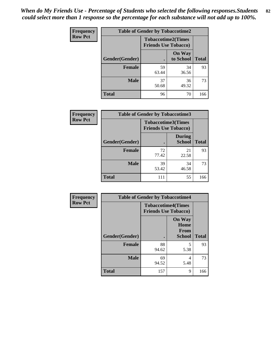| Frequency      | <b>Table of Gender by Tobaccotime2</b> |                                                          |                            |              |
|----------------|----------------------------------------|----------------------------------------------------------|----------------------------|--------------|
| <b>Row Pct</b> |                                        | <b>Tobaccotime2(Times</b><br><b>Friends Use Tobacco)</b> |                            |              |
|                | Gender(Gender)                         | $\bullet$                                                | <b>On Way</b><br>to School | <b>Total</b> |
|                | <b>Female</b>                          | 59<br>63.44                                              | 34<br>36.56                | 93           |
|                | <b>Male</b>                            | 37<br>50.68                                              | 36<br>49.32                | 73           |
|                | <b>Total</b>                           | 96                                                       | 70                         | 166          |

| Frequency      | <b>Table of Gender by Tobaccotime3</b> |                                                          |                                |              |
|----------------|----------------------------------------|----------------------------------------------------------|--------------------------------|--------------|
| <b>Row Pct</b> |                                        | <b>Tobaccotime3(Times</b><br><b>Friends Use Tobacco)</b> |                                |              |
|                | Gender(Gender)                         | п                                                        | <b>During</b><br><b>School</b> | <b>Total</b> |
|                | Female                                 | 72<br>77.42                                              | 21<br>22.58                    | 93           |
|                | <b>Male</b>                            | 39<br>53.42                                              | 34<br>46.58                    | 73           |
|                | <b>Total</b>                           | 111                                                      | 55                             | 166          |

| <b>Frequency</b> | <b>Table of Gender by Tobaccotime4</b> |                                                          |                                                |              |
|------------------|----------------------------------------|----------------------------------------------------------|------------------------------------------------|--------------|
| <b>Row Pct</b>   |                                        | <b>Tobaccotime4(Times</b><br><b>Friends Use Tobacco)</b> |                                                |              |
|                  | Gender(Gender)                         |                                                          | <b>On Way</b><br>Home<br>From<br><b>School</b> | <b>Total</b> |
|                  | <b>Female</b>                          | 88<br>94.62                                              | 5<br>5.38                                      | 93           |
|                  | <b>Male</b>                            | 69<br>94.52                                              | 4<br>5.48                                      | 73           |
|                  | <b>Total</b>                           | 157                                                      | 9                                              | 166          |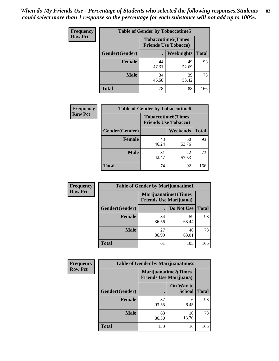| <b>Frequency</b> | <b>Table of Gender by Tobaccotime5</b> |                                                           |                   |              |  |
|------------------|----------------------------------------|-----------------------------------------------------------|-------------------|--------------|--|
| <b>Row Pct</b>   |                                        | <b>Tobaccotime5</b> (Times<br><b>Friends Use Tobacco)</b> |                   |              |  |
|                  | Gender(Gender)                         |                                                           | <b>Weeknights</b> | <b>Total</b> |  |
|                  | <b>Female</b>                          | 44<br>47.31                                               | 49<br>52.69       | 93           |  |
|                  | <b>Male</b>                            | 34<br>46.58                                               | 39<br>53.42       | 73           |  |
|                  | Total                                  | 78                                                        | 88                | 166          |  |

| <b>Frequency</b> |                | <b>Table of Gender by Tobaccotime6</b>                   |             |              |
|------------------|----------------|----------------------------------------------------------|-------------|--------------|
| <b>Row Pct</b>   |                | <b>Tobaccotime6(Times</b><br><b>Friends Use Tobacco)</b> |             |              |
|                  | Gender(Gender) |                                                          | Weekends    | <b>Total</b> |
|                  | Female         | 43<br>46.24                                              | 50<br>53.76 | 93           |
|                  | <b>Male</b>    | 31<br>42.47                                              | 42<br>57.53 | 73           |
|                  | <b>Total</b>   | 74                                                       | 92          | 166          |

| <b>Frequency</b> | <b>Table of Gender by Marijuanatime1</b> |                                |                             |              |
|------------------|------------------------------------------|--------------------------------|-----------------------------|--------------|
| <b>Row Pct</b>   |                                          | <b>Friends Use Marijuana</b> ) | <b>Marijuanatime1(Times</b> |              |
|                  | Gender(Gender)                           |                                | Do Not Use                  | <b>Total</b> |
|                  | <b>Female</b>                            | 34<br>36.56                    | 59<br>63.44                 | 93           |
|                  | <b>Male</b>                              | 27<br>36.99                    | 46<br>63.01                 | 73           |
|                  | <b>Total</b>                             | 61                             | 105                         | 166          |

| <b>Frequency</b> | <b>Table of Gender by Marijuanatime2</b> |                                                               |                            |              |
|------------------|------------------------------------------|---------------------------------------------------------------|----------------------------|--------------|
| <b>Row Pct</b>   |                                          | <b>Marijuanatime2(Times</b><br><b>Friends Use Marijuana</b> ) |                            |              |
|                  | Gender(Gender)                           |                                                               | On Way to<br><b>School</b> | <b>Total</b> |
|                  | <b>Female</b>                            | 87<br>93.55                                                   | 6<br>6.45                  | 93           |
|                  | <b>Male</b>                              | 63<br>86.30                                                   | 10<br>13.70                | 73           |
|                  | <b>Total</b>                             | 150                                                           | 16                         | 166          |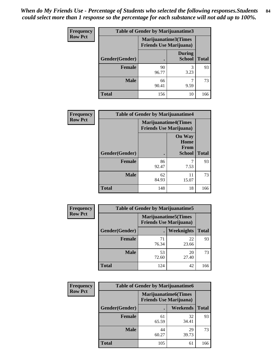| <b>Frequency</b> | <b>Table of Gender by Marijuanatime3</b> |                                                        |                                |              |
|------------------|------------------------------------------|--------------------------------------------------------|--------------------------------|--------------|
| <b>Row Pct</b>   |                                          | Marijuanatime3(Times<br><b>Friends Use Marijuana</b> ) |                                |              |
|                  | Gender(Gender)                           |                                                        | <b>During</b><br><b>School</b> | <b>Total</b> |
|                  | <b>Female</b>                            | 90<br>96.77                                            | 3<br>3.23                      | 93           |
|                  | <b>Male</b>                              | 66<br>90.41                                            | 9.59                           | 73           |
|                  | <b>Total</b>                             | 156                                                    | 10                             | 166          |

| Frequency      | <b>Table of Gender by Marijuanatime4</b> |                                |                                                       |              |
|----------------|------------------------------------------|--------------------------------|-------------------------------------------------------|--------------|
| <b>Row Pct</b> |                                          | <b>Friends Use Marijuana</b> ) | <b>Marijuanatime4</b> (Times                          |              |
|                | Gender(Gender)                           |                                | <b>On Way</b><br>Home<br><b>From</b><br><b>School</b> | <b>Total</b> |
|                | <b>Female</b>                            | 86<br>92.47                    | 7.53                                                  | 93           |
|                | <b>Male</b>                              | 62<br>84.93                    | 11<br>15.07                                           | 73           |
|                | <b>Total</b>                             | 148                            | 18                                                    | 166          |

| Frequency      | <b>Table of Gender by Marijuanatime5</b> |                                                                |                   |              |  |
|----------------|------------------------------------------|----------------------------------------------------------------|-------------------|--------------|--|
| <b>Row Pct</b> |                                          | <b>Marijuanatime5</b> (Times<br><b>Friends Use Marijuana</b> ) |                   |              |  |
|                | Gender(Gender)                           |                                                                | <b>Weeknights</b> | <b>Total</b> |  |
|                | <b>Female</b>                            | 71<br>76.34                                                    | 22<br>23.66       | 93           |  |
|                | <b>Male</b>                              | 53<br>72.60                                                    | 20<br>27.40       | 73           |  |
|                | <b>Total</b>                             | 124                                                            | 42                | 166          |  |

| Frequency      | <b>Table of Gender by Marijuanatime6</b> |                                                               |                 |              |  |
|----------------|------------------------------------------|---------------------------------------------------------------|-----------------|--------------|--|
| <b>Row Pct</b> |                                          | <b>Marijuanatime6(Times</b><br><b>Friends Use Marijuana</b> ) |                 |              |  |
|                | Gender(Gender)                           |                                                               | <b>Weekends</b> | <b>Total</b> |  |
|                | <b>Female</b>                            | 61<br>65.59                                                   | 32<br>34.41     | 93           |  |
|                | <b>Male</b>                              | 44<br>60.27                                                   | 29<br>39.73     | 73           |  |
|                | <b>Total</b>                             | 105                                                           | 61              | 166          |  |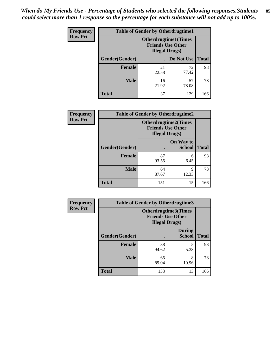*When do My Friends Use - Percentage of Students who selected the following responses.Students could select more than 1 response so the percentage for each substance will not add up to 100%.* **85**

| <b>Frequency</b> | <b>Table of Gender by Otherdrugtime1</b> |                        |                                                         |     |
|------------------|------------------------------------------|------------------------|---------------------------------------------------------|-----|
| <b>Row Pct</b>   |                                          | <b>Illegal Drugs</b> ) | <b>Otherdrugtime1(Times</b><br><b>Friends Use Other</b> |     |
|                  | Gender(Gender)                           |                        | Do Not Use   Total                                      |     |
|                  | <b>Female</b>                            | 21<br>22.58            | 72<br>77.42                                             | 93  |
|                  | <b>Male</b>                              | 16<br>21.92            | 57<br>78.08                                             | 73  |
|                  | <b>Total</b>                             | 37                     | 129                                                     | 166 |

| Frequency      | <b>Table of Gender by Otherdrugtime2</b> |                        |                                                         |              |
|----------------|------------------------------------------|------------------------|---------------------------------------------------------|--------------|
| <b>Row Pct</b> |                                          | <b>Illegal Drugs</b> ) | <b>Otherdrugtime2(Times</b><br><b>Friends Use Other</b> |              |
|                | <b>Gender</b> (Gender)                   |                        | On Way to<br><b>School</b>                              | <b>Total</b> |
|                | <b>Female</b>                            | 87<br>93.55            | 6<br>6.45                                               | 93           |
|                | <b>Male</b>                              | 64<br>87.67            | 9<br>12.33                                              | 73           |
|                | <b>Total</b>                             | 151                    | 15                                                      | 166          |

| Frequency      | <b>Table of Gender by Otherdrugtime3</b> |                        |                                                  |              |  |
|----------------|------------------------------------------|------------------------|--------------------------------------------------|--------------|--|
| <b>Row Pct</b> |                                          | <b>Illegal Drugs</b> ) | Otherdrugtime3(Times<br><b>Friends Use Other</b> |              |  |
|                | Gender(Gender)                           |                        | <b>During</b><br><b>School</b>                   | <b>Total</b> |  |
|                | <b>Female</b>                            | 88<br>94.62            | 5<br>5.38                                        | 93           |  |
|                | <b>Male</b>                              | 65<br>89.04            | 8<br>10.96                                       | 73           |  |
|                | <b>Total</b>                             | 153                    | 13                                               | 166          |  |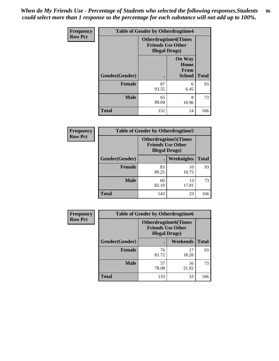*When do My Friends Use - Percentage of Students who selected the following responses.Students could select more than 1 response so the percentage for each substance will not add up to 100%.* **86**

| <b>Frequency</b> | <b>Table of Gender by Otherdrugtime4</b> |                                                    |                                                |              |
|------------------|------------------------------------------|----------------------------------------------------|------------------------------------------------|--------------|
| <b>Row Pct</b>   |                                          | <b>Friends Use Other</b><br><b>Illegal Drugs</b> ) | <b>Otherdrugtime4(Times</b>                    |              |
|                  | Gender(Gender)                           |                                                    | <b>On Way</b><br>Home<br>From<br><b>School</b> | <b>Total</b> |
|                  | Female                                   | 87<br>93.55                                        | 6<br>6.45                                      | 93           |
|                  | <b>Male</b>                              | 65<br>89.04                                        | 8<br>10.96                                     | 73           |
|                  | <b>Total</b>                             | 152                                                | 14                                             | 166          |

| <b>Frequency</b> | <b>Table of Gender by Otherdrugtime5</b> |                                                                                    |             |              |
|------------------|------------------------------------------|------------------------------------------------------------------------------------|-------------|--------------|
| <b>Row Pct</b>   |                                          | <b>Otherdrugtime5</b> (Times<br><b>Friends Use Other</b><br><b>Illegal Drugs</b> ) |             |              |
|                  | Gender(Gender)                           |                                                                                    | Weeknights  | <b>Total</b> |
|                  | <b>Female</b>                            | 83<br>89.25                                                                        | 10<br>10.75 | 93           |
|                  | <b>Male</b>                              | 60<br>82.19                                                                        | 13<br>17.81 | 73           |
|                  | <b>Total</b>                             | 143                                                                                | 23          | 166          |

| <b>Frequency</b> | <b>Table of Gender by Otherdrugtime6</b> |                                                                                   |             |              |  |
|------------------|------------------------------------------|-----------------------------------------------------------------------------------|-------------|--------------|--|
| <b>Row Pct</b>   |                                          | <b>Otherdrugtime6(Times</b><br><b>Friends Use Other</b><br><b>Illegal Drugs</b> ) |             |              |  |
|                  | Gender(Gender)                           |                                                                                   | Weekends    | <b>Total</b> |  |
|                  | Female                                   | 76<br>81.72                                                                       | 17<br>18.28 | 93           |  |
|                  | <b>Male</b>                              | 57<br>78.08                                                                       | 16<br>21.92 | 73           |  |
|                  | <b>Total</b>                             | 133                                                                               | 33          | 166          |  |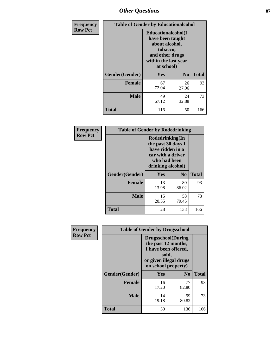## *Other Questions* **87**

| <b>Frequency</b> | <b>Table of Gender by Educationalcohol</b> |                                                                                                                                       |                |              |
|------------------|--------------------------------------------|---------------------------------------------------------------------------------------------------------------------------------------|----------------|--------------|
| <b>Row Pct</b>   |                                            | <b>Educationalcohol</b> (I<br>have been taught<br>about alcohol,<br>tobacco,<br>and other drugs<br>within the last year<br>at school) |                |              |
|                  | Gender(Gender)                             | <b>Yes</b>                                                                                                                            | N <sub>0</sub> | <b>Total</b> |
|                  | <b>Female</b>                              | 67<br>72.04                                                                                                                           | 26<br>27.96    | 93           |
|                  | <b>Male</b>                                | 49<br>67.12                                                                                                                           | 24<br>32.88    | 73           |
|                  | <b>Total</b>                               | 116                                                                                                                                   | 50             | 166          |

| Frequency      | <b>Table of Gender by Rodedrinking</b> |                                                                                                                     |             |              |  |
|----------------|----------------------------------------|---------------------------------------------------------------------------------------------------------------------|-------------|--------------|--|
| <b>Row Pct</b> |                                        | Rodedrinking(In<br>the past 30 days I<br>have ridden in a<br>car with a driver<br>who had been<br>drinking alcohol) |             |              |  |
|                | Gender(Gender)                         | Yes                                                                                                                 | $\bf N_0$   | <b>Total</b> |  |
|                | <b>Female</b>                          | 13<br>13.98                                                                                                         | 80<br>86.02 | 93           |  |
|                | <b>Male</b>                            | 15<br>20.55                                                                                                         | 58<br>79.45 | 73           |  |
|                | <b>Total</b>                           | 28                                                                                                                  | 138         | 166          |  |

| Frequency      | <b>Table of Gender by Drugsschool</b> |                                                                                                                                     |                |              |
|----------------|---------------------------------------|-------------------------------------------------------------------------------------------------------------------------------------|----------------|--------------|
| <b>Row Pct</b> |                                       | <b>Drugsschool</b> (During<br>the past 12 months,<br>I have been offered,<br>sold,<br>or given illegal drugs<br>on school property) |                |              |
|                | Gender(Gender)                        | Yes                                                                                                                                 | N <sub>0</sub> | <b>Total</b> |
|                | <b>Female</b>                         | 16<br>17.20                                                                                                                         | 77<br>82.80    | 93           |
|                | <b>Male</b>                           | 14<br>19.18                                                                                                                         | 59<br>80.82    | 73           |
|                | <b>Total</b>                          | 30                                                                                                                                  | 136            | 166          |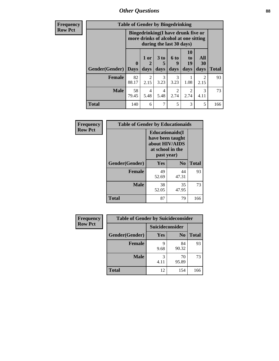*Other Questions* **88**

**Frequency Row Pct**

| <b>Table of Gender by Bingedrinking</b> |                         |                                                                                                         |                              |                   |                        |                        |              |
|-----------------------------------------|-------------------------|---------------------------------------------------------------------------------------------------------|------------------------------|-------------------|------------------------|------------------------|--------------|
|                                         |                         | Bingedrinking(I have drunk five or<br>more drinks of alcohol at one sitting<br>during the last 30 days) |                              |                   |                        |                        |              |
| <b>Gender</b> (Gender)                  | $\bf{0}$<br><b>Days</b> | 1 or<br>2<br>days                                                                                       | 3 <sub>to</sub><br>5<br>days | 6 to<br>9<br>days | 10<br>to<br>19<br>days | All<br>30<br>days      | <b>Total</b> |
| <b>Female</b>                           | 82<br>88.17             | $\mathcal{L}$<br>2.15                                                                                   | 3<br>3.23                    | 3<br>3.23         | 1.08                   | $\mathfrak{D}$<br>2.15 | 93           |
| <b>Male</b>                             | 58                      | 4                                                                                                       | $\overline{4}$               | 2                 | $\mathfrak{D}$         | 3                      | 73           |
|                                         | 79.45                   | 5.48                                                                                                    | 5.48                         | 2.74              | 2.74                   | 4.11                   |              |

| Frequency      | <b>Table of Gender by Educationaids</b> |                                                                                                 |                |              |  |
|----------------|-----------------------------------------|-------------------------------------------------------------------------------------------------|----------------|--------------|--|
| <b>Row Pct</b> |                                         | <b>Educationaids</b> (I<br>have been taught<br>about HIV/AIDS<br>at school in the<br>past year) |                |              |  |
|                | Gender(Gender)                          | Yes                                                                                             | N <sub>0</sub> | <b>Total</b> |  |
|                | <b>Female</b>                           | 49<br>52.69                                                                                     | 44<br>47.31    | 93           |  |
|                | <b>Male</b>                             | 38<br>52.05                                                                                     | 35<br>47.95    | 73           |  |
|                | <b>Total</b>                            | 87                                                                                              | 79             | 166          |  |

| <b>Frequency</b> | <b>Table of Gender by Suicideconsider</b> |                 |                |              |  |
|------------------|-------------------------------------------|-----------------|----------------|--------------|--|
| <b>Row Pct</b>   |                                           | Suicideconsider |                |              |  |
|                  | Gender(Gender)                            | Yes             | N <sub>0</sub> | <b>Total</b> |  |
|                  | <b>Female</b>                             | q<br>9.68       | 84<br>90.32    | 93           |  |
|                  | <b>Male</b>                               | 4.11            | 70<br>95.89    | 73           |  |
|                  | <b>Total</b>                              | 12              | 154            | 166          |  |